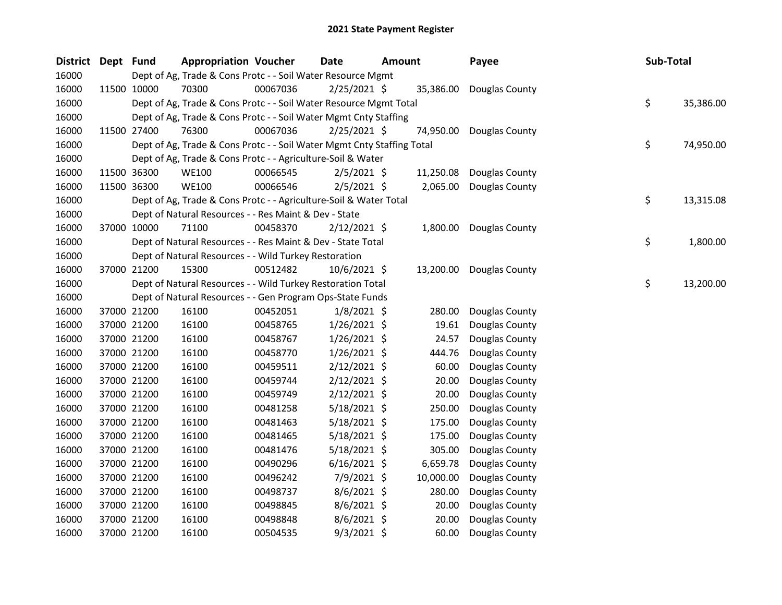| District Dept Fund |             | <b>Appropriation Voucher</b>                                           |          | <b>Date</b>    | <b>Amount</b> |           | Payee          | Sub-Total       |
|--------------------|-------------|------------------------------------------------------------------------|----------|----------------|---------------|-----------|----------------|-----------------|
| 16000              |             | Dept of Ag, Trade & Cons Protc - - Soil Water Resource Mgmt            |          |                |               |           |                |                 |
| 16000              | 11500 10000 | 70300                                                                  | 00067036 | $2/25/2021$ \$ |               | 35,386.00 | Douglas County |                 |
| 16000              |             | Dept of Ag, Trade & Cons Protc - - Soil Water Resource Mgmt Total      |          |                |               |           |                | \$<br>35,386.00 |
| 16000              |             | Dept of Ag, Trade & Cons Protc - - Soil Water Mgmt Cnty Staffing       |          |                |               |           |                |                 |
| 16000              | 11500 27400 | 76300                                                                  | 00067036 | $2/25/2021$ \$ |               | 74,950.00 | Douglas County |                 |
| 16000              |             | Dept of Ag, Trade & Cons Protc - - Soil Water Mgmt Cnty Staffing Total |          |                |               |           |                | \$<br>74,950.00 |
| 16000              |             | Dept of Ag, Trade & Cons Protc - - Agriculture-Soil & Water            |          |                |               |           |                |                 |
| 16000              | 11500 36300 | <b>WE100</b>                                                           | 00066545 | $2/5/2021$ \$  |               | 11,250.08 | Douglas County |                 |
| 16000              | 11500 36300 | <b>WE100</b>                                                           | 00066546 | 2/5/2021 \$    |               | 2,065.00  | Douglas County |                 |
| 16000              |             | Dept of Ag, Trade & Cons Protc - - Agriculture-Soil & Water Total      |          |                |               |           |                | \$<br>13,315.08 |
| 16000              |             | Dept of Natural Resources - - Res Maint & Dev - State                  |          |                |               |           |                |                 |
| 16000              | 37000 10000 | 71100                                                                  | 00458370 | $2/12/2021$ \$ |               | 1,800.00  | Douglas County |                 |
| 16000              |             | Dept of Natural Resources - - Res Maint & Dev - State Total            |          |                |               |           |                | \$<br>1,800.00  |
| 16000              |             | Dept of Natural Resources - - Wild Turkey Restoration                  |          |                |               |           |                |                 |
| 16000              | 37000 21200 | 15300                                                                  | 00512482 | $10/6/2021$ \$ |               | 13,200.00 | Douglas County |                 |
| 16000              |             | Dept of Natural Resources - - Wild Turkey Restoration Total            |          |                |               |           |                | \$<br>13,200.00 |
| 16000              |             | Dept of Natural Resources - - Gen Program Ops-State Funds              |          |                |               |           |                |                 |
| 16000              | 37000 21200 | 16100                                                                  | 00452051 | $1/8/2021$ \$  |               | 280.00    | Douglas County |                 |
| 16000              | 37000 21200 | 16100                                                                  | 00458765 | $1/26/2021$ \$ |               | 19.61     | Douglas County |                 |
| 16000              | 37000 21200 | 16100                                                                  | 00458767 | $1/26/2021$ \$ |               | 24.57     | Douglas County |                 |
| 16000              | 37000 21200 | 16100                                                                  | 00458770 | $1/26/2021$ \$ |               | 444.76    | Douglas County |                 |
| 16000              | 37000 21200 | 16100                                                                  | 00459511 | $2/12/2021$ \$ |               | 60.00     | Douglas County |                 |
| 16000              | 37000 21200 | 16100                                                                  | 00459744 | $2/12/2021$ \$ |               | 20.00     | Douglas County |                 |
| 16000              | 37000 21200 | 16100                                                                  | 00459749 | 2/12/2021 \$   |               | 20.00     | Douglas County |                 |
| 16000              | 37000 21200 | 16100                                                                  | 00481258 | 5/18/2021 \$   |               | 250.00    | Douglas County |                 |
| 16000              | 37000 21200 | 16100                                                                  | 00481463 | 5/18/2021 \$   |               | 175.00    | Douglas County |                 |
| 16000              | 37000 21200 | 16100                                                                  | 00481465 | 5/18/2021 \$   |               | 175.00    | Douglas County |                 |
| 16000              | 37000 21200 | 16100                                                                  | 00481476 | 5/18/2021 \$   |               | 305.00    | Douglas County |                 |
| 16000              | 37000 21200 | 16100                                                                  | 00490296 | 6/16/2021 \$   |               | 6,659.78  | Douglas County |                 |
| 16000              | 37000 21200 | 16100                                                                  | 00496242 | 7/9/2021 \$    |               | 10,000.00 | Douglas County |                 |
| 16000              | 37000 21200 | 16100                                                                  | 00498737 | $8/6/2021$ \$  |               | 280.00    | Douglas County |                 |
| 16000              | 37000 21200 | 16100                                                                  | 00498845 | 8/6/2021 \$    |               | 20.00     | Douglas County |                 |
| 16000              | 37000 21200 | 16100                                                                  | 00498848 | 8/6/2021 \$    |               | 20.00     | Douglas County |                 |
| 16000              | 37000 21200 | 16100                                                                  | 00504535 | 9/3/2021 \$    |               | 60.00     | Douglas County |                 |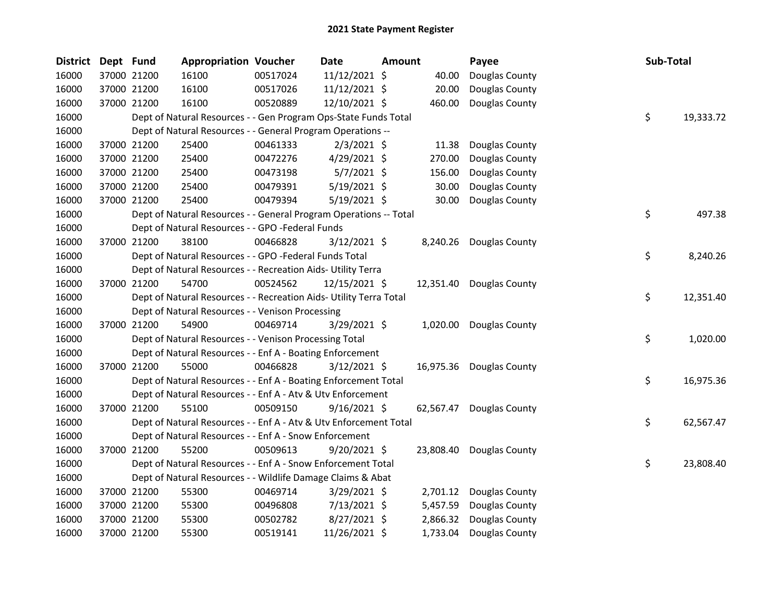| <b>District</b> | Dept Fund |             | <b>Appropriation Voucher</b>                                       |          | Date           | <b>Amount</b> |          | Payee                    | Sub-Total |           |
|-----------------|-----------|-------------|--------------------------------------------------------------------|----------|----------------|---------------|----------|--------------------------|-----------|-----------|
| 16000           |           | 37000 21200 | 16100                                                              | 00517024 | 11/12/2021 \$  |               | 40.00    | Douglas County           |           |           |
| 16000           |           | 37000 21200 | 16100                                                              | 00517026 | 11/12/2021 \$  |               | 20.00    | Douglas County           |           |           |
| 16000           |           | 37000 21200 | 16100                                                              | 00520889 | 12/10/2021 \$  |               | 460.00   | Douglas County           |           |           |
| 16000           |           |             | Dept of Natural Resources - - Gen Program Ops-State Funds Total    |          |                |               |          |                          | \$        | 19,333.72 |
| 16000           |           |             | Dept of Natural Resources - - General Program Operations --        |          |                |               |          |                          |           |           |
| 16000           |           | 37000 21200 | 25400                                                              | 00461333 | $2/3/2021$ \$  |               | 11.38    | Douglas County           |           |           |
| 16000           |           | 37000 21200 | 25400                                                              | 00472276 | 4/29/2021 \$   |               | 270.00   | Douglas County           |           |           |
| 16000           |           | 37000 21200 | 25400                                                              | 00473198 | $5/7/2021$ \$  |               | 156.00   | Douglas County           |           |           |
| 16000           |           | 37000 21200 | 25400                                                              | 00479391 | 5/19/2021 \$   |               | 30.00    | Douglas County           |           |           |
| 16000           |           | 37000 21200 | 25400                                                              | 00479394 | 5/19/2021 \$   |               | 30.00    | Douglas County           |           |           |
| 16000           |           |             | Dept of Natural Resources - - General Program Operations -- Total  |          |                |               |          |                          | \$        | 497.38    |
| 16000           |           |             | Dept of Natural Resources - - GPO -Federal Funds                   |          |                |               |          |                          |           |           |
| 16000           |           | 37000 21200 | 38100                                                              | 00466828 | $3/12/2021$ \$ |               |          | 8,240.26 Douglas County  |           |           |
| 16000           |           |             | Dept of Natural Resources - - GPO -Federal Funds Total             |          |                |               |          |                          | \$        | 8,240.26  |
| 16000           |           |             | Dept of Natural Resources - - Recreation Aids- Utility Terra       |          |                |               |          |                          |           |           |
| 16000           |           | 37000 21200 | 54700                                                              | 00524562 | 12/15/2021 \$  |               |          | 12,351.40 Douglas County |           |           |
| 16000           |           |             | Dept of Natural Resources - - Recreation Aids- Utility Terra Total |          |                |               |          |                          | \$        | 12,351.40 |
| 16000           |           |             | Dept of Natural Resources - - Venison Processing                   |          |                |               |          |                          |           |           |
| 16000           |           | 37000 21200 | 54900                                                              | 00469714 | $3/29/2021$ \$ |               |          | 1,020.00 Douglas County  |           |           |
| 16000           |           |             | Dept of Natural Resources - - Venison Processing Total             |          |                |               |          |                          | \$        | 1,020.00  |
| 16000           |           |             | Dept of Natural Resources - - Enf A - Boating Enforcement          |          |                |               |          |                          |           |           |
| 16000           |           | 37000 21200 | 55000                                                              | 00466828 | $3/12/2021$ \$ |               |          | 16,975.36 Douglas County |           |           |
| 16000           |           |             | Dept of Natural Resources - - Enf A - Boating Enforcement Total    |          |                |               |          |                          | \$        | 16,975.36 |
| 16000           |           |             | Dept of Natural Resources - - Enf A - Atv & Utv Enforcement        |          |                |               |          |                          |           |           |
| 16000           |           | 37000 21200 | 55100                                                              | 00509150 | $9/16/2021$ \$ |               |          | 62,567.47 Douglas County |           |           |
| 16000           |           |             | Dept of Natural Resources - - Enf A - Atv & Utv Enforcement Total  |          |                |               |          |                          | \$        | 62,567.47 |
| 16000           |           |             | Dept of Natural Resources - - Enf A - Snow Enforcement             |          |                |               |          |                          |           |           |
| 16000           |           | 37000 21200 | 55200                                                              | 00509613 | $9/20/2021$ \$ |               |          | 23,808.40 Douglas County |           |           |
| 16000           |           |             | Dept of Natural Resources - - Enf A - Snow Enforcement Total       |          |                |               |          |                          | \$        | 23,808.40 |
| 16000           |           |             | Dept of Natural Resources - - Wildlife Damage Claims & Abat        |          |                |               |          |                          |           |           |
| 16000           |           | 37000 21200 | 55300                                                              | 00469714 | $3/29/2021$ \$ |               | 2,701.12 | Douglas County           |           |           |
| 16000           |           | 37000 21200 | 55300                                                              | 00496808 | 7/13/2021 \$   |               | 5,457.59 | Douglas County           |           |           |
| 16000           |           | 37000 21200 | 55300                                                              | 00502782 | 8/27/2021 \$   |               | 2,866.32 | Douglas County           |           |           |
| 16000           |           | 37000 21200 | 55300                                                              | 00519141 | 11/26/2021 \$  |               | 1,733.04 | Douglas County           |           |           |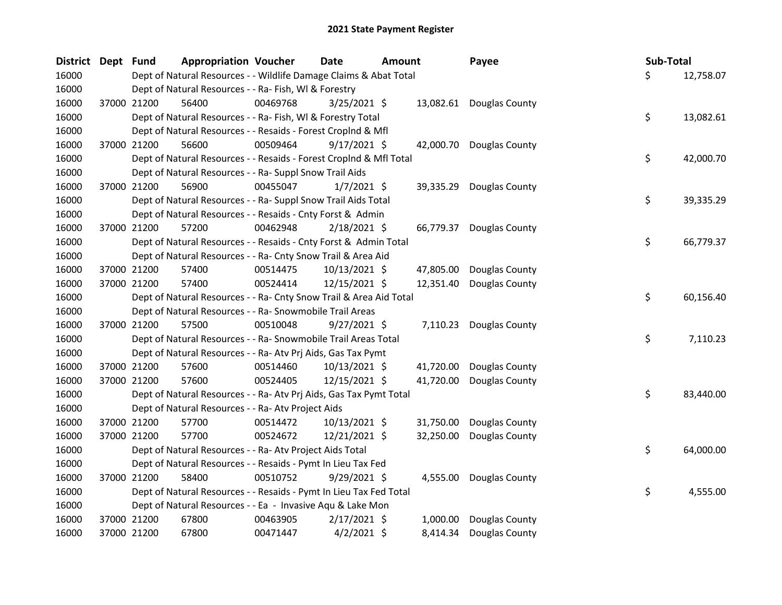| District Dept | <b>Fund</b> | <b>Appropriation Voucher</b>                                       |          | Date            | <b>Amount</b> |           | Payee                    | Sub-Total |           |
|---------------|-------------|--------------------------------------------------------------------|----------|-----------------|---------------|-----------|--------------------------|-----------|-----------|
| 16000         |             | Dept of Natural Resources - - Wildlife Damage Claims & Abat Total  |          |                 |               |           |                          | \$.       | 12,758.07 |
| 16000         |             | Dept of Natural Resources - - Ra- Fish, WI & Forestry              |          |                 |               |           |                          |           |           |
| 16000         | 37000 21200 | 56400                                                              | 00469768 | $3/25/2021$ \$  |               |           | 13,082.61 Douglas County |           |           |
| 16000         |             | Dept of Natural Resources - - Ra- Fish, WI & Forestry Total        |          |                 |               |           |                          | \$        | 13,082.61 |
| 16000         |             | Dept of Natural Resources - - Resaids - Forest Croplnd & Mfl       |          |                 |               |           |                          |           |           |
| 16000         | 37000 21200 | 56600                                                              | 00509464 | $9/17/2021$ \$  |               |           | 42,000.70 Douglas County |           |           |
| 16000         |             | Dept of Natural Resources - - Resaids - Forest CropInd & Mfl Total |          |                 |               |           |                          | \$        | 42,000.70 |
| 16000         |             | Dept of Natural Resources - - Ra- Suppl Snow Trail Aids            |          |                 |               |           |                          |           |           |
| 16000         | 37000 21200 | 56900                                                              | 00455047 | $1/7/2021$ \$   |               | 39,335.29 | Douglas County           |           |           |
| 16000         |             | Dept of Natural Resources - - Ra- Suppl Snow Trail Aids Total      |          |                 |               |           |                          | \$        | 39,335.29 |
| 16000         |             | Dept of Natural Resources - - Resaids - Cnty Forst & Admin         |          |                 |               |           |                          |           |           |
| 16000         | 37000 21200 | 57200                                                              | 00462948 | 2/18/2021 \$    |               |           | 66,779.37 Douglas County |           |           |
| 16000         |             | Dept of Natural Resources - - Resaids - Cnty Forst & Admin Total   |          |                 |               |           |                          | \$        | 66,779.37 |
| 16000         |             | Dept of Natural Resources - - Ra- Cnty Snow Trail & Area Aid       |          |                 |               |           |                          |           |           |
| 16000         | 37000 21200 | 57400                                                              | 00514475 | 10/13/2021 \$   |               | 47,805.00 | Douglas County           |           |           |
| 16000         | 37000 21200 | 57400                                                              | 00524414 | 12/15/2021 \$   |               | 12,351.40 | Douglas County           |           |           |
| 16000         |             | Dept of Natural Resources - - Ra- Cnty Snow Trail & Area Aid Total |          |                 |               |           |                          | \$        | 60,156.40 |
| 16000         |             | Dept of Natural Resources - - Ra- Snowmobile Trail Areas           |          |                 |               |           |                          |           |           |
| 16000         | 37000 21200 | 57500                                                              | 00510048 | $9/27/2021$ \$  |               |           | 7,110.23 Douglas County  |           |           |
| 16000         |             | Dept of Natural Resources - - Ra- Snowmobile Trail Areas Total     |          |                 |               |           |                          | \$        | 7,110.23  |
| 16000         |             | Dept of Natural Resources - - Ra- Atv Prj Aids, Gas Tax Pymt       |          |                 |               |           |                          |           |           |
| 16000         | 37000 21200 | 57600                                                              | 00514460 | $10/13/2021$ \$ |               | 41,720.00 | Douglas County           |           |           |
| 16000         | 37000 21200 | 57600                                                              | 00524405 | 12/15/2021 \$   |               | 41,720.00 | Douglas County           |           |           |
| 16000         |             | Dept of Natural Resources - - Ra- Atv Prj Aids, Gas Tax Pymt Total |          |                 |               |           |                          | \$        | 83,440.00 |
| 16000         |             | Dept of Natural Resources - - Ra- Atv Project Aids                 |          |                 |               |           |                          |           |           |
| 16000         | 37000 21200 | 57700                                                              | 00514472 | 10/13/2021 \$   |               | 31,750.00 | Douglas County           |           |           |
| 16000         | 37000 21200 | 57700                                                              | 00524672 | 12/21/2021 \$   |               | 32,250.00 | Douglas County           |           |           |
| 16000         |             | Dept of Natural Resources - - Ra- Atv Project Aids Total           |          |                 |               |           |                          | \$        | 64,000.00 |
| 16000         |             | Dept of Natural Resources - - Resaids - Pymt In Lieu Tax Fed       |          |                 |               |           |                          |           |           |
| 16000         | 37000 21200 | 58400                                                              | 00510752 | $9/29/2021$ \$  |               | 4,555.00  | Douglas County           |           |           |
| 16000         |             | Dept of Natural Resources - - Resaids - Pymt In Lieu Tax Fed Total |          |                 |               |           |                          | \$        | 4,555.00  |
| 16000         |             | Dept of Natural Resources - - Ea - Invasive Aqu & Lake Mon         |          |                 |               |           |                          |           |           |
| 16000         | 37000 21200 | 67800                                                              | 00463905 | $2/17/2021$ \$  |               | 1,000.00  | Douglas County           |           |           |
| 16000         | 37000 21200 | 67800                                                              | 00471447 | $4/2/2021$ \$   |               | 8,414.34  | Douglas County           |           |           |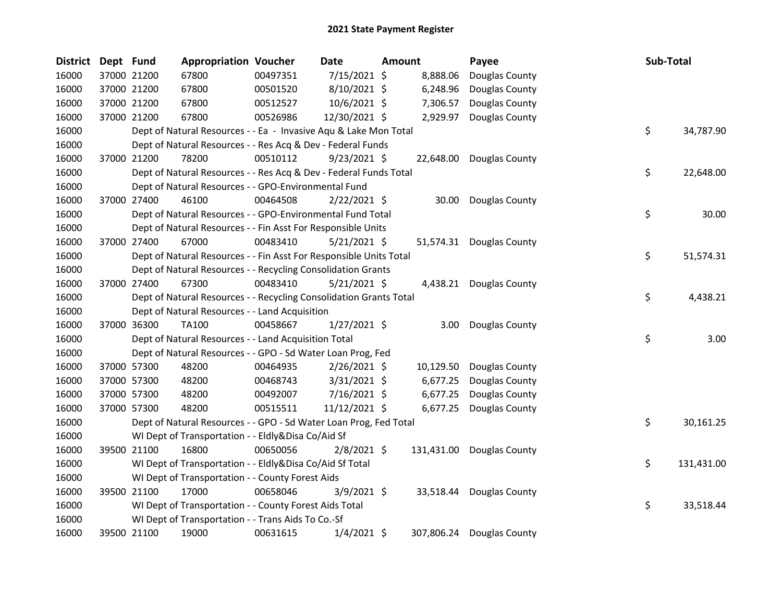| <b>District</b> | Dept Fund |             | <b>Appropriation Voucher</b>                                       |          | <b>Date</b>    | Amount |           | Payee                     | Sub-Total |            |
|-----------------|-----------|-------------|--------------------------------------------------------------------|----------|----------------|--------|-----------|---------------------------|-----------|------------|
| 16000           |           | 37000 21200 | 67800                                                              | 00497351 | 7/15/2021 \$   |        | 8,888.06  | Douglas County            |           |            |
| 16000           |           | 37000 21200 | 67800                                                              | 00501520 | 8/10/2021 \$   |        | 6,248.96  | Douglas County            |           |            |
| 16000           |           | 37000 21200 | 67800                                                              | 00512527 | 10/6/2021 \$   |        | 7,306.57  | Douglas County            |           |            |
| 16000           |           | 37000 21200 | 67800                                                              | 00526986 | 12/30/2021 \$  |        | 2,929.97  | Douglas County            |           |            |
| 16000           |           |             | Dept of Natural Resources - - Ea - Invasive Aqu & Lake Mon Total   |          |                |        |           |                           | \$        | 34,787.90  |
| 16000           |           |             | Dept of Natural Resources - - Res Acq & Dev - Federal Funds        |          |                |        |           |                           |           |            |
| 16000           |           | 37000 21200 | 78200                                                              | 00510112 | $9/23/2021$ \$ |        |           | 22,648.00 Douglas County  |           |            |
| 16000           |           |             | Dept of Natural Resources - - Res Acq & Dev - Federal Funds Total  |          |                |        |           |                           | \$        | 22,648.00  |
| 16000           |           |             | Dept of Natural Resources - - GPO-Environmental Fund               |          |                |        |           |                           |           |            |
| 16000           |           | 37000 27400 | 46100                                                              | 00464508 | $2/22/2021$ \$ |        | 30.00     | Douglas County            |           |            |
| 16000           |           |             | Dept of Natural Resources - - GPO-Environmental Fund Total         |          |                |        |           |                           | \$        | 30.00      |
| 16000           |           |             | Dept of Natural Resources - - Fin Asst For Responsible Units       |          |                |        |           |                           |           |            |
| 16000           |           | 37000 27400 | 67000                                                              | 00483410 | $5/21/2021$ \$ |        |           | 51,574.31 Douglas County  |           |            |
| 16000           |           |             | Dept of Natural Resources - - Fin Asst For Responsible Units Total |          |                |        |           |                           | \$        | 51,574.31  |
| 16000           |           |             | Dept of Natural Resources - - Recycling Consolidation Grants       |          |                |        |           |                           |           |            |
| 16000           |           | 37000 27400 | 67300                                                              | 00483410 | $5/21/2021$ \$ |        |           | 4,438.21 Douglas County   |           |            |
| 16000           |           |             | Dept of Natural Resources - - Recycling Consolidation Grants Total |          |                |        |           |                           | \$        | 4,438.21   |
| 16000           |           |             | Dept of Natural Resources - - Land Acquisition                     |          |                |        |           |                           |           |            |
| 16000           |           | 37000 36300 | TA100                                                              | 00458667 | $1/27/2021$ \$ |        | 3.00      | Douglas County            |           |            |
| 16000           |           |             | Dept of Natural Resources - - Land Acquisition Total               |          |                |        |           |                           | \$        | 3.00       |
| 16000           |           |             | Dept of Natural Resources - - GPO - Sd Water Loan Prog, Fed        |          |                |        |           |                           |           |            |
| 16000           |           | 37000 57300 | 48200                                                              | 00464935 | $2/26/2021$ \$ |        | 10,129.50 | Douglas County            |           |            |
| 16000           |           | 37000 57300 | 48200                                                              | 00468743 | 3/31/2021 \$   |        | 6,677.25  | Douglas County            |           |            |
| 16000           |           | 37000 57300 | 48200                                                              | 00492007 | $7/16/2021$ \$ |        | 6,677.25  | Douglas County            |           |            |
| 16000           |           | 37000 57300 | 48200                                                              | 00515511 | 11/12/2021 \$  |        | 6,677.25  | Douglas County            |           |            |
| 16000           |           |             | Dept of Natural Resources - - GPO - Sd Water Loan Prog, Fed Total  |          |                |        |           |                           | \$        | 30,161.25  |
| 16000           |           |             | WI Dept of Transportation - - Eldly&Disa Co/Aid Sf                 |          |                |        |           |                           |           |            |
| 16000           |           | 39500 21100 | 16800                                                              | 00650056 | $2/8/2021$ \$  |        |           | 131,431.00 Douglas County |           |            |
| 16000           |           |             | WI Dept of Transportation - - Eldly&Disa Co/Aid Sf Total           |          |                |        |           |                           | \$        | 131,431.00 |
| 16000           |           |             | WI Dept of Transportation - - County Forest Aids                   |          |                |        |           |                           |           |            |
| 16000           |           | 39500 21100 | 17000                                                              | 00658046 | 3/9/2021 \$    |        |           | 33,518.44 Douglas County  |           |            |
| 16000           |           |             | WI Dept of Transportation - - County Forest Aids Total             |          |                |        |           |                           | \$        | 33,518.44  |
| 16000           |           |             | WI Dept of Transportation - - Trans Aids To Co.-Sf                 |          |                |        |           |                           |           |            |
| 16000           |           | 39500 21100 | 19000                                                              | 00631615 | $1/4/2021$ \$  |        |           | 307,806.24 Douglas County |           |            |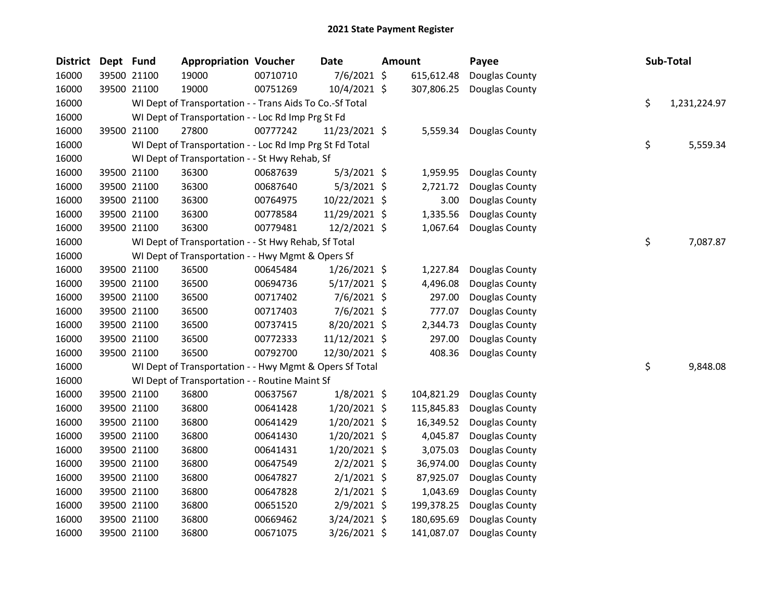| <b>District</b> | Dept Fund |             | <b>Appropriation Voucher</b>                             |          | Date            | Amount     | Payee                   | Sub-Total          |
|-----------------|-----------|-------------|----------------------------------------------------------|----------|-----------------|------------|-------------------------|--------------------|
| 16000           |           | 39500 21100 | 19000                                                    | 00710710 | 7/6/2021 \$     | 615,612.48 | Douglas County          |                    |
| 16000           |           | 39500 21100 | 19000                                                    | 00751269 | 10/4/2021 \$    | 307,806.25 | Douglas County          |                    |
| 16000           |           |             | WI Dept of Transportation - - Trans Aids To Co.-Sf Total |          |                 |            |                         | \$<br>1,231,224.97 |
| 16000           |           |             | WI Dept of Transportation - - Loc Rd Imp Prg St Fd       |          |                 |            |                         |                    |
| 16000           |           | 39500 21100 | 27800                                                    | 00777242 | 11/23/2021 \$   |            | 5,559.34 Douglas County |                    |
| 16000           |           |             | WI Dept of Transportation - - Loc Rd Imp Prg St Fd Total |          |                 |            |                         | \$<br>5,559.34     |
| 16000           |           |             | WI Dept of Transportation - - St Hwy Rehab, Sf           |          |                 |            |                         |                    |
| 16000           |           | 39500 21100 | 36300                                                    | 00687639 | $5/3/2021$ \$   | 1,959.95   | Douglas County          |                    |
| 16000           |           | 39500 21100 | 36300                                                    | 00687640 | $5/3/2021$ \$   | 2,721.72   | Douglas County          |                    |
| 16000           |           | 39500 21100 | 36300                                                    | 00764975 | 10/22/2021 \$   | 3.00       | Douglas County          |                    |
| 16000           |           | 39500 21100 | 36300                                                    | 00778584 | 11/29/2021 \$   | 1,335.56   | Douglas County          |                    |
| 16000           |           | 39500 21100 | 36300                                                    | 00779481 | 12/2/2021 \$    | 1,067.64   | Douglas County          |                    |
| 16000           |           |             | WI Dept of Transportation - - St Hwy Rehab, Sf Total     |          |                 |            |                         | \$<br>7,087.87     |
| 16000           |           |             | WI Dept of Transportation - - Hwy Mgmt & Opers Sf        |          |                 |            |                         |                    |
| 16000           |           | 39500 21100 | 36500                                                    | 00645484 | 1/26/2021 \$    | 1,227.84   | Douglas County          |                    |
| 16000           |           | 39500 21100 | 36500                                                    | 00694736 | 5/17/2021 \$    | 4,496.08   | Douglas County          |                    |
| 16000           |           | 39500 21100 | 36500                                                    | 00717402 | 7/6/2021 \$     | 297.00     | Douglas County          |                    |
| 16000           |           | 39500 21100 | 36500                                                    | 00717403 | 7/6/2021 \$     | 777.07     | Douglas County          |                    |
| 16000           |           | 39500 21100 | 36500                                                    | 00737415 | 8/20/2021 \$    | 2,344.73   | Douglas County          |                    |
| 16000           |           | 39500 21100 | 36500                                                    | 00772333 | $11/12/2021$ \$ | 297.00     | Douglas County          |                    |
| 16000           |           | 39500 21100 | 36500                                                    | 00792700 | 12/30/2021 \$   | 408.36     | Douglas County          |                    |
| 16000           |           |             | WI Dept of Transportation - - Hwy Mgmt & Opers Sf Total  |          |                 |            |                         | \$<br>9,848.08     |
| 16000           |           |             | WI Dept of Transportation - - Routine Maint Sf           |          |                 |            |                         |                    |
| 16000           |           | 39500 21100 | 36800                                                    | 00637567 | $1/8/2021$ \$   | 104,821.29 | Douglas County          |                    |
| 16000           |           | 39500 21100 | 36800                                                    | 00641428 | 1/20/2021 \$    | 115,845.83 | Douglas County          |                    |
| 16000           |           | 39500 21100 | 36800                                                    | 00641429 | 1/20/2021 \$    | 16,349.52  | Douglas County          |                    |
| 16000           |           | 39500 21100 | 36800                                                    | 00641430 | 1/20/2021 \$    | 4,045.87   | Douglas County          |                    |
| 16000           |           | 39500 21100 | 36800                                                    | 00641431 | $1/20/2021$ \$  | 3,075.03   | Douglas County          |                    |
| 16000           |           | 39500 21100 | 36800                                                    | 00647549 | $2/2/2021$ \$   | 36,974.00  | Douglas County          |                    |
| 16000           |           | 39500 21100 | 36800                                                    | 00647827 | $2/1/2021$ \$   | 87,925.07  | Douglas County          |                    |
| 16000           |           | 39500 21100 | 36800                                                    | 00647828 | $2/1/2021$ \$   | 1,043.69   | Douglas County          |                    |
| 16000           |           | 39500 21100 | 36800                                                    | 00651520 | $2/9/2021$ \$   | 199,378.25 | Douglas County          |                    |
| 16000           |           | 39500 21100 | 36800                                                    | 00669462 | 3/24/2021 \$    | 180,695.69 | Douglas County          |                    |
| 16000           |           | 39500 21100 | 36800                                                    | 00671075 | 3/26/2021 \$    | 141,087.07 | Douglas County          |                    |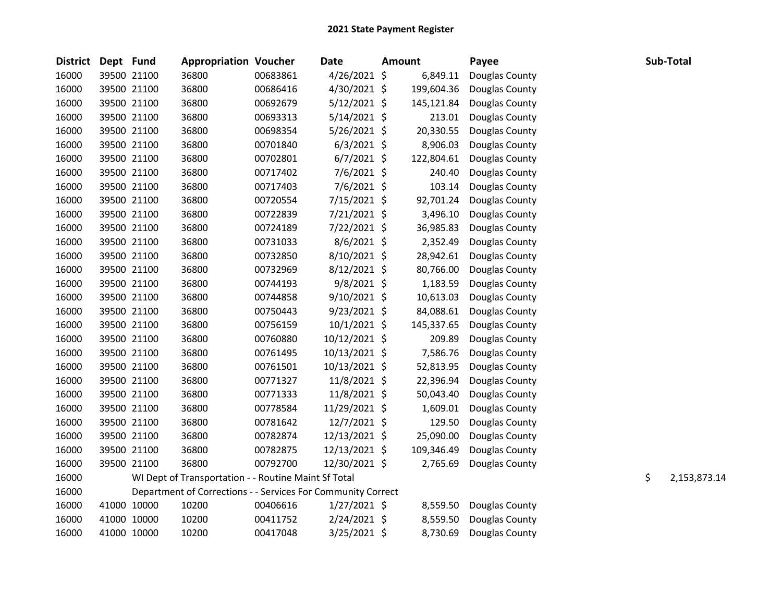| <b>District</b> | Dept Fund |             | <b>Appropriation Voucher</b>                                 |          | <b>Date</b>    | <b>Amount</b> |            | Payee          | Sub-Total          |
|-----------------|-----------|-------------|--------------------------------------------------------------|----------|----------------|---------------|------------|----------------|--------------------|
| 16000           |           | 39500 21100 | 36800                                                        | 00683861 | 4/26/2021 \$   |               | 6,849.11   | Douglas County |                    |
| 16000           |           | 39500 21100 | 36800                                                        | 00686416 | 4/30/2021 \$   |               | 199,604.36 | Douglas County |                    |
| 16000           |           | 39500 21100 | 36800                                                        | 00692679 | $5/12/2021$ \$ |               | 145,121.84 | Douglas County |                    |
| 16000           |           | 39500 21100 | 36800                                                        | 00693313 | 5/14/2021 \$   |               | 213.01     | Douglas County |                    |
| 16000           |           | 39500 21100 | 36800                                                        | 00698354 | 5/26/2021 \$   |               | 20,330.55  | Douglas County |                    |
| 16000           |           | 39500 21100 | 36800                                                        | 00701840 | $6/3/2021$ \$  |               | 8,906.03   | Douglas County |                    |
| 16000           |           | 39500 21100 | 36800                                                        | 00702801 | $6/7/2021$ \$  |               | 122,804.61 | Douglas County |                    |
| 16000           |           | 39500 21100 | 36800                                                        | 00717402 | $7/6/2021$ \$  |               | 240.40     | Douglas County |                    |
| 16000           |           | 39500 21100 | 36800                                                        | 00717403 | 7/6/2021 \$    |               | 103.14     | Douglas County |                    |
| 16000           |           | 39500 21100 | 36800                                                        | 00720554 | 7/15/2021 \$   |               | 92,701.24  | Douglas County |                    |
| 16000           |           | 39500 21100 | 36800                                                        | 00722839 | 7/21/2021 \$   |               | 3,496.10   | Douglas County |                    |
| 16000           |           | 39500 21100 | 36800                                                        | 00724189 | 7/22/2021 \$   |               | 36,985.83  | Douglas County |                    |
| 16000           |           | 39500 21100 | 36800                                                        | 00731033 | $8/6/2021$ \$  |               | 2,352.49   | Douglas County |                    |
| 16000           |           | 39500 21100 | 36800                                                        | 00732850 | 8/10/2021 \$   |               | 28,942.61  | Douglas County |                    |
| 16000           |           | 39500 21100 | 36800                                                        | 00732969 | 8/12/2021 \$   |               | 80,766.00  | Douglas County |                    |
| 16000           |           | 39500 21100 | 36800                                                        | 00744193 | $9/8/2021$ \$  |               | 1,183.59   | Douglas County |                    |
| 16000           |           | 39500 21100 | 36800                                                        | 00744858 | $9/10/2021$ \$ |               | 10,613.03  | Douglas County |                    |
| 16000           |           | 39500 21100 | 36800                                                        | 00750443 | $9/23/2021$ \$ |               | 84,088.61  | Douglas County |                    |
| 16000           |           | 39500 21100 | 36800                                                        | 00756159 | 10/1/2021 \$   |               | 145,337.65 | Douglas County |                    |
| 16000           |           | 39500 21100 | 36800                                                        | 00760880 | 10/12/2021 \$  |               | 209.89     | Douglas County |                    |
| 16000           |           | 39500 21100 | 36800                                                        | 00761495 | 10/13/2021 \$  |               | 7,586.76   | Douglas County |                    |
| 16000           |           | 39500 21100 | 36800                                                        | 00761501 | 10/13/2021 \$  |               | 52,813.95  | Douglas County |                    |
| 16000           |           | 39500 21100 | 36800                                                        | 00771327 | 11/8/2021 \$   |               | 22,396.94  | Douglas County |                    |
| 16000           |           | 39500 21100 | 36800                                                        | 00771333 | 11/8/2021 \$   |               | 50,043.40  | Douglas County |                    |
| 16000           |           | 39500 21100 | 36800                                                        | 00778584 | 11/29/2021 \$  |               | 1,609.01   | Douglas County |                    |
| 16000           |           | 39500 21100 | 36800                                                        | 00781642 | 12/7/2021 \$   |               | 129.50     | Douglas County |                    |
| 16000           |           | 39500 21100 | 36800                                                        | 00782874 | 12/13/2021 \$  |               | 25,090.00  | Douglas County |                    |
| 16000           |           | 39500 21100 | 36800                                                        | 00782875 | 12/13/2021 \$  |               | 109,346.49 | Douglas County |                    |
| 16000           |           | 39500 21100 | 36800                                                        | 00792700 | 12/30/2021 \$  |               | 2,765.69   | Douglas County |                    |
| 16000           |           |             | WI Dept of Transportation - - Routine Maint Sf Total         |          |                |               |            |                | \$<br>2,153,873.14 |
| 16000           |           |             | Department of Corrections - - Services For Community Correct |          |                |               |            |                |                    |
| 16000           |           | 41000 10000 | 10200                                                        | 00406616 | $1/27/2021$ \$ |               | 8,559.50   | Douglas County |                    |
| 16000           |           | 41000 10000 | 10200                                                        | 00411752 | 2/24/2021 \$   |               | 8,559.50   | Douglas County |                    |
| 16000           |           | 41000 10000 | 10200                                                        | 00417048 | 3/25/2021 \$   |               | 8,730.69   | Douglas County |                    |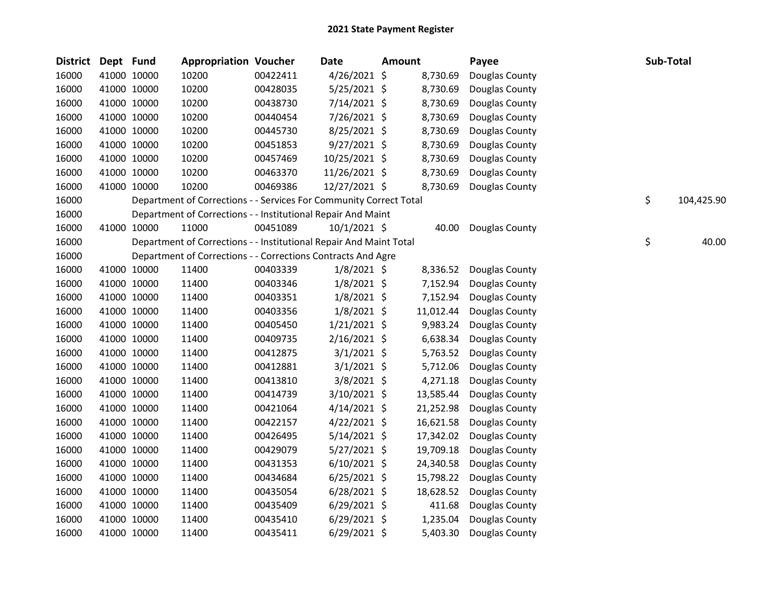| <b>District</b> | Dept Fund |             | <b>Appropriation Voucher</b>                                       |          | <b>Date</b>    | <b>Amount</b> |           | Payee          | Sub-Total |            |
|-----------------|-----------|-------------|--------------------------------------------------------------------|----------|----------------|---------------|-----------|----------------|-----------|------------|
| 16000           |           | 41000 10000 | 10200                                                              | 00422411 | 4/26/2021 \$   |               | 8,730.69  | Douglas County |           |            |
| 16000           |           | 41000 10000 | 10200                                                              | 00428035 | $5/25/2021$ \$ |               | 8,730.69  | Douglas County |           |            |
| 16000           |           | 41000 10000 | 10200                                                              | 00438730 | 7/14/2021 \$   |               | 8,730.69  | Douglas County |           |            |
| 16000           |           | 41000 10000 | 10200                                                              | 00440454 | 7/26/2021 \$   |               | 8,730.69  | Douglas County |           |            |
| 16000           |           | 41000 10000 | 10200                                                              | 00445730 | 8/25/2021 \$   |               | 8,730.69  | Douglas County |           |            |
| 16000           |           | 41000 10000 | 10200                                                              | 00451853 | $9/27/2021$ \$ |               | 8,730.69  | Douglas County |           |            |
| 16000           |           | 41000 10000 | 10200                                                              | 00457469 | 10/25/2021 \$  |               | 8,730.69  | Douglas County |           |            |
| 16000           |           | 41000 10000 | 10200                                                              | 00463370 | 11/26/2021 \$  |               | 8,730.69  | Douglas County |           |            |
| 16000           |           | 41000 10000 | 10200                                                              | 00469386 | 12/27/2021 \$  |               | 8,730.69  | Douglas County |           |            |
| 16000           |           |             | Department of Corrections - - Services For Community Correct Total |          |                |               |           |                | \$        | 104,425.90 |
| 16000           |           |             | Department of Corrections - - Institutional Repair And Maint       |          |                |               |           |                |           |            |
| 16000           |           | 41000 10000 | 11000                                                              | 00451089 | $10/1/2021$ \$ |               | 40.00     | Douglas County |           |            |
| 16000           |           |             | Department of Corrections - - Institutional Repair And Maint Total |          |                |               |           |                | \$        | 40.00      |
| 16000           |           |             | Department of Corrections - - Corrections Contracts And Agre       |          |                |               |           |                |           |            |
| 16000           |           | 41000 10000 | 11400                                                              | 00403339 | $1/8/2021$ \$  |               | 8,336.52  | Douglas County |           |            |
| 16000           |           | 41000 10000 | 11400                                                              | 00403346 | $1/8/2021$ \$  |               | 7,152.94  | Douglas County |           |            |
| 16000           |           | 41000 10000 | 11400                                                              | 00403351 | $1/8/2021$ \$  |               | 7,152.94  | Douglas County |           |            |
| 16000           |           | 41000 10000 | 11400                                                              | 00403356 | $1/8/2021$ \$  |               | 11,012.44 | Douglas County |           |            |
| 16000           |           | 41000 10000 | 11400                                                              | 00405450 | $1/21/2021$ \$ |               | 9,983.24  | Douglas County |           |            |
| 16000           |           | 41000 10000 | 11400                                                              | 00409735 | $2/16/2021$ \$ |               | 6,638.34  | Douglas County |           |            |
| 16000           |           | 41000 10000 | 11400                                                              | 00412875 | $3/1/2021$ \$  |               | 5,763.52  | Douglas County |           |            |
| 16000           |           | 41000 10000 | 11400                                                              | 00412881 | $3/1/2021$ \$  |               | 5,712.06  | Douglas County |           |            |
| 16000           |           | 41000 10000 | 11400                                                              | 00413810 | 3/8/2021 \$    |               | 4,271.18  | Douglas County |           |            |
| 16000           |           | 41000 10000 | 11400                                                              | 00414739 | 3/10/2021 \$   |               | 13,585.44 | Douglas County |           |            |
| 16000           |           | 41000 10000 | 11400                                                              | 00421064 | $4/14/2021$ \$ |               | 21,252.98 | Douglas County |           |            |
| 16000           |           | 41000 10000 | 11400                                                              | 00422157 | $4/22/2021$ \$ |               | 16,621.58 | Douglas County |           |            |
| 16000           |           | 41000 10000 | 11400                                                              | 00426495 | $5/14/2021$ \$ |               | 17,342.02 | Douglas County |           |            |
| 16000           |           | 41000 10000 | 11400                                                              | 00429079 | $5/27/2021$ \$ |               | 19,709.18 | Douglas County |           |            |
| 16000           |           | 41000 10000 | 11400                                                              | 00431353 | $6/10/2021$ \$ |               | 24,340.58 | Douglas County |           |            |
| 16000           |           | 41000 10000 | 11400                                                              | 00434684 | $6/25/2021$ \$ |               | 15,798.22 | Douglas County |           |            |
| 16000           |           | 41000 10000 | 11400                                                              | 00435054 | $6/28/2021$ \$ |               | 18,628.52 | Douglas County |           |            |
| 16000           |           | 41000 10000 | 11400                                                              | 00435409 | $6/29/2021$ \$ |               | 411.68    | Douglas County |           |            |
| 16000           |           | 41000 10000 | 11400                                                              | 00435410 | $6/29/2021$ \$ |               | 1,235.04  | Douglas County |           |            |
| 16000           |           | 41000 10000 | 11400                                                              | 00435411 | $6/29/2021$ \$ |               | 5,403.30  | Douglas County |           |            |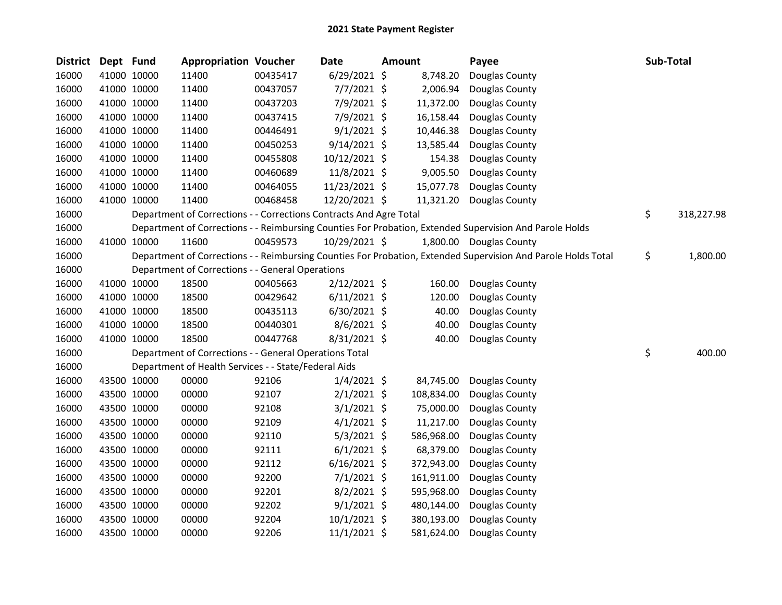| <b>District</b> | Dept Fund   |             | <b>Appropriation Voucher</b>                                       |          | <b>Date</b>     | <b>Amount</b> | Payee                                                                                                         | Sub-Total        |
|-----------------|-------------|-------------|--------------------------------------------------------------------|----------|-----------------|---------------|---------------------------------------------------------------------------------------------------------------|------------------|
| 16000           |             | 41000 10000 | 11400                                                              | 00435417 | $6/29/2021$ \$  | 8,748.20      | Douglas County                                                                                                |                  |
| 16000           |             | 41000 10000 | 11400                                                              | 00437057 | $7/7/2021$ \$   | 2,006.94      | Douglas County                                                                                                |                  |
| 16000           |             | 41000 10000 | 11400                                                              | 00437203 | 7/9/2021 \$     | 11,372.00     | Douglas County                                                                                                |                  |
| 16000           |             | 41000 10000 | 11400                                                              | 00437415 | 7/9/2021 \$     | 16,158.44     | Douglas County                                                                                                |                  |
| 16000           |             | 41000 10000 | 11400                                                              | 00446491 | $9/1/2021$ \$   | 10,446.38     | Douglas County                                                                                                |                  |
| 16000           |             | 41000 10000 | 11400                                                              | 00450253 | $9/14/2021$ \$  | 13,585.44     | Douglas County                                                                                                |                  |
| 16000           |             | 41000 10000 | 11400                                                              | 00455808 | $10/12/2021$ \$ | 154.38        | Douglas County                                                                                                |                  |
| 16000           |             | 41000 10000 | 11400                                                              | 00460689 | 11/8/2021 \$    | 9,005.50      | Douglas County                                                                                                |                  |
| 16000           |             | 41000 10000 | 11400                                                              | 00464055 | 11/23/2021 \$   | 15,077.78     | Douglas County                                                                                                |                  |
| 16000           |             | 41000 10000 | 11400                                                              | 00468458 | 12/20/2021 \$   | 11,321.20     | Douglas County                                                                                                |                  |
| 16000           |             |             | Department of Corrections - - Corrections Contracts And Agre Total |          |                 |               |                                                                                                               | \$<br>318,227.98 |
| 16000           |             |             |                                                                    |          |                 |               | Department of Corrections - - Reimbursing Counties For Probation, Extended Supervision And Parole Holds       |                  |
| 16000           |             | 41000 10000 | 11600                                                              | 00459573 | 10/29/2021 \$   |               | 1,800.00 Douglas County                                                                                       |                  |
| 16000           |             |             |                                                                    |          |                 |               | Department of Corrections - - Reimbursing Counties For Probation, Extended Supervision And Parole Holds Total | \$<br>1,800.00   |
| 16000           |             |             | Department of Corrections - - General Operations                   |          |                 |               |                                                                                                               |                  |
| 16000           |             | 41000 10000 | 18500                                                              | 00405663 | $2/12/2021$ \$  | 160.00        | Douglas County                                                                                                |                  |
| 16000           |             | 41000 10000 | 18500                                                              | 00429642 | $6/11/2021$ \$  | 120.00        | Douglas County                                                                                                |                  |
| 16000           |             | 41000 10000 | 18500                                                              | 00435113 | $6/30/2021$ \$  | 40.00         | Douglas County                                                                                                |                  |
| 16000           |             | 41000 10000 | 18500                                                              | 00440301 | $8/6/2021$ \$   | 40.00         | Douglas County                                                                                                |                  |
| 16000           |             | 41000 10000 | 18500                                                              | 00447768 | $8/31/2021$ \$  | 40.00         | Douglas County                                                                                                |                  |
| 16000           |             |             | Department of Corrections - - General Operations Total             |          |                 |               |                                                                                                               | \$<br>400.00     |
| 16000           |             |             | Department of Health Services - - State/Federal Aids               |          |                 |               |                                                                                                               |                  |
| 16000           |             | 43500 10000 | 00000                                                              | 92106    | $1/4/2021$ \$   | 84,745.00     | Douglas County                                                                                                |                  |
| 16000           |             | 43500 10000 | 00000                                                              | 92107    | $2/1/2021$ \$   | 108,834.00    | Douglas County                                                                                                |                  |
| 16000           |             | 43500 10000 | 00000                                                              | 92108    | $3/1/2021$ \$   | 75,000.00     | Douglas County                                                                                                |                  |
| 16000           |             | 43500 10000 | 00000                                                              | 92109    | $4/1/2021$ \$   | 11,217.00     | Douglas County                                                                                                |                  |
| 16000           |             | 43500 10000 | 00000                                                              | 92110    | $5/3/2021$ \$   | 586,968.00    | Douglas County                                                                                                |                  |
| 16000           |             | 43500 10000 | 00000                                                              | 92111    | $6/1/2021$ \$   | 68,379.00     | Douglas County                                                                                                |                  |
| 16000           |             | 43500 10000 | 00000                                                              | 92112    | $6/16/2021$ \$  | 372,943.00    | Douglas County                                                                                                |                  |
| 16000           |             | 43500 10000 | 00000                                                              | 92200    | $7/1/2021$ \$   | 161,911.00    | Douglas County                                                                                                |                  |
| 16000           |             | 43500 10000 | 00000                                                              | 92201    | 8/2/2021 \$     | 595,968.00    | Douglas County                                                                                                |                  |
| 16000           |             | 43500 10000 | 00000                                                              | 92202    | $9/1/2021$ \$   | 480,144.00    | Douglas County                                                                                                |                  |
| 16000           |             | 43500 10000 | 00000                                                              | 92204    | $10/1/2021$ \$  | 380,193.00    | Douglas County                                                                                                |                  |
| 16000           | 43500 10000 |             | 00000                                                              | 92206    | 11/1/2021 \$    | 581,624.00    | Douglas County                                                                                                |                  |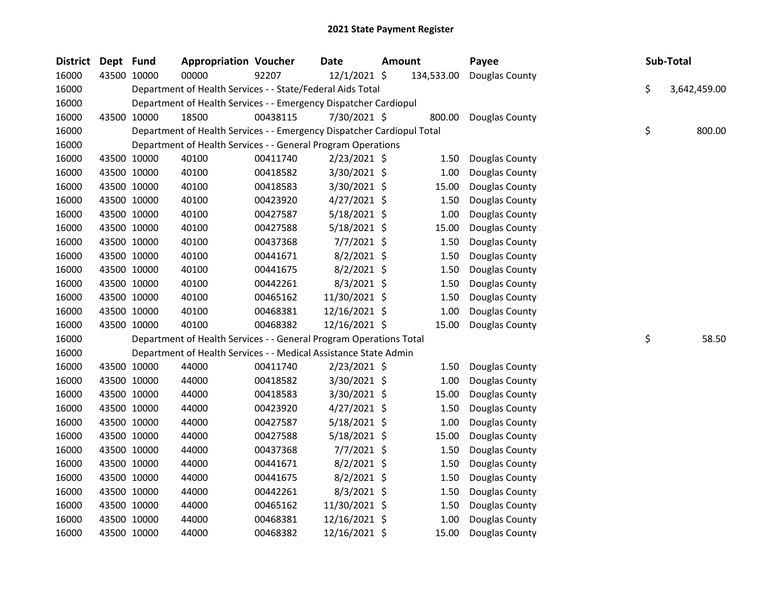| <b>District</b> | Dept Fund |             | <b>Appropriation Voucher</b>                                           |          | <b>Date</b>    | <b>Amount</b> |            | Payee          | Sub-Total          |
|-----------------|-----------|-------------|------------------------------------------------------------------------|----------|----------------|---------------|------------|----------------|--------------------|
| 16000           |           | 43500 10000 | 00000                                                                  | 92207    | 12/1/2021 \$   |               | 134,533.00 | Douglas County |                    |
| 16000           |           |             | Department of Health Services - - State/Federal Aids Total             |          |                |               |            |                | \$<br>3,642,459.00 |
| 16000           |           |             | Department of Health Services - - Emergency Dispatcher Cardiopul       |          |                |               |            |                |                    |
| 16000           |           | 43500 10000 | 18500                                                                  | 00438115 | 7/30/2021 \$   |               | 800.00     | Douglas County |                    |
| 16000           |           |             | Department of Health Services - - Emergency Dispatcher Cardiopul Total |          |                |               |            |                | \$<br>800.00       |
| 16000           |           |             | Department of Health Services - - General Program Operations           |          |                |               |            |                |                    |
| 16000           |           | 43500 10000 | 40100                                                                  | 00411740 | $2/23/2021$ \$ |               | 1.50       | Douglas County |                    |
| 16000           |           | 43500 10000 | 40100                                                                  | 00418582 | 3/30/2021 \$   |               | 1.00       | Douglas County |                    |
| 16000           |           | 43500 10000 | 40100                                                                  | 00418583 | 3/30/2021 \$   |               | 15.00      | Douglas County |                    |
| 16000           |           | 43500 10000 | 40100                                                                  | 00423920 | $4/27/2021$ \$ |               | 1.50       | Douglas County |                    |
| 16000           |           | 43500 10000 | 40100                                                                  | 00427587 | 5/18/2021 \$   |               | 1.00       | Douglas County |                    |
| 16000           |           | 43500 10000 | 40100                                                                  | 00427588 | $5/18/2021$ \$ |               | 15.00      | Douglas County |                    |
| 16000           |           | 43500 10000 | 40100                                                                  | 00437368 | 7/7/2021 \$    |               | 1.50       | Douglas County |                    |
| 16000           |           | 43500 10000 | 40100                                                                  | 00441671 | $8/2/2021$ \$  |               | 1.50       | Douglas County |                    |
| 16000           |           | 43500 10000 | 40100                                                                  | 00441675 | 8/2/2021 \$    |               | 1.50       | Douglas County |                    |
| 16000           |           | 43500 10000 | 40100                                                                  | 00442261 | 8/3/2021 \$    |               | 1.50       | Douglas County |                    |
| 16000           |           | 43500 10000 | 40100                                                                  | 00465162 | 11/30/2021 \$  |               | 1.50       | Douglas County |                    |
| 16000           |           | 43500 10000 | 40100                                                                  | 00468381 | 12/16/2021 \$  |               | 1.00       | Douglas County |                    |
| 16000           |           | 43500 10000 | 40100                                                                  | 00468382 | 12/16/2021 \$  |               | 15.00      | Douglas County |                    |
| 16000           |           |             | Department of Health Services - - General Program Operations Total     |          |                |               |            |                | \$<br>58.50        |
| 16000           |           |             | Department of Health Services - - Medical Assistance State Admin       |          |                |               |            |                |                    |
| 16000           |           | 43500 10000 | 44000                                                                  | 00411740 | $2/23/2021$ \$ |               | 1.50       | Douglas County |                    |
| 16000           |           | 43500 10000 | 44000                                                                  | 00418582 | 3/30/2021 \$   |               | 1.00       | Douglas County |                    |
| 16000           |           | 43500 10000 | 44000                                                                  | 00418583 | 3/30/2021 \$   |               | 15.00      | Douglas County |                    |
| 16000           |           | 43500 10000 | 44000                                                                  | 00423920 | $4/27/2021$ \$ |               | 1.50       | Douglas County |                    |
| 16000           |           | 43500 10000 | 44000                                                                  | 00427587 | 5/18/2021 \$   |               | 1.00       | Douglas County |                    |
| 16000           |           | 43500 10000 | 44000                                                                  | 00427588 | 5/18/2021 \$   |               | 15.00      | Douglas County |                    |
| 16000           |           | 43500 10000 | 44000                                                                  | 00437368 | $7/7/2021$ \$  |               | 1.50       | Douglas County |                    |
| 16000           |           | 43500 10000 | 44000                                                                  | 00441671 | $8/2/2021$ \$  |               | 1.50       | Douglas County |                    |
| 16000           |           | 43500 10000 | 44000                                                                  | 00441675 | 8/2/2021 \$    |               | 1.50       | Douglas County |                    |
| 16000           |           | 43500 10000 | 44000                                                                  | 00442261 | $8/3/2021$ \$  |               | 1.50       | Douglas County |                    |
| 16000           |           | 43500 10000 | 44000                                                                  | 00465162 | 11/30/2021 \$  |               | 1.50       | Douglas County |                    |
| 16000           |           | 43500 10000 | 44000                                                                  | 00468381 | 12/16/2021 \$  |               | 1.00       | Douglas County |                    |
| 16000           |           | 43500 10000 | 44000                                                                  | 00468382 | 12/16/2021 \$  |               | 15.00      | Douglas County |                    |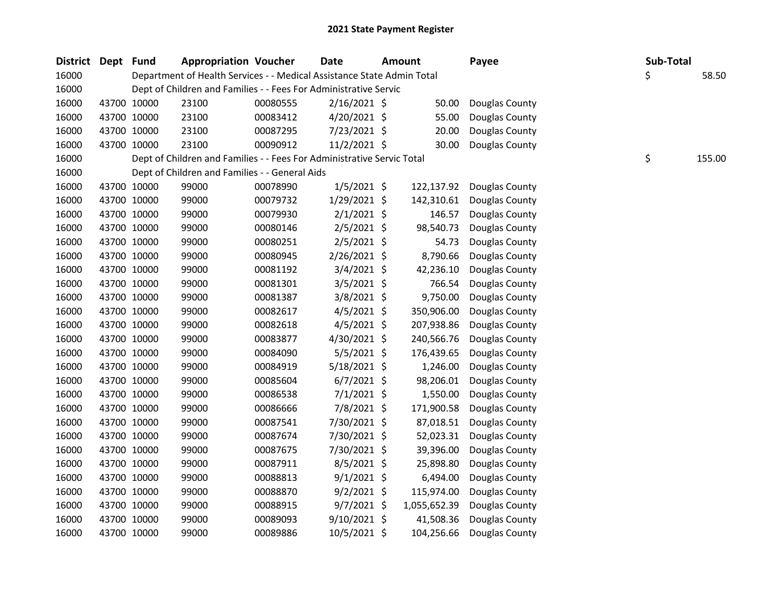| District Dept Fund |             |             | <b>Appropriation Voucher</b>                                           |          | <b>Date</b>    | Amount       | Payee          | Sub-Total |        |
|--------------------|-------------|-------------|------------------------------------------------------------------------|----------|----------------|--------------|----------------|-----------|--------|
| 16000              |             |             | Department of Health Services - - Medical Assistance State Admin Total |          |                |              |                | \$        | 58.50  |
| 16000              |             |             | Dept of Children and Families - - Fees For Administrative Servic       |          |                |              |                |           |        |
| 16000              |             | 43700 10000 | 23100                                                                  | 00080555 | $2/16/2021$ \$ | 50.00        | Douglas County |           |        |
| 16000              | 43700 10000 |             | 23100                                                                  | 00083412 | $4/20/2021$ \$ | 55.00        | Douglas County |           |        |
| 16000              | 43700 10000 |             | 23100                                                                  | 00087295 | 7/23/2021 \$   | 20.00        | Douglas County |           |        |
| 16000              | 43700 10000 |             | 23100                                                                  | 00090912 | 11/2/2021 \$   | 30.00        | Douglas County |           |        |
| 16000              |             |             | Dept of Children and Families - - Fees For Administrative Servic Total |          |                |              |                | \$        | 155.00 |
| 16000              |             |             | Dept of Children and Families - - General Aids                         |          |                |              |                |           |        |
| 16000              | 43700 10000 |             | 99000                                                                  | 00078990 | $1/5/2021$ \$  | 122,137.92   | Douglas County |           |        |
| 16000              | 43700 10000 |             | 99000                                                                  | 00079732 | 1/29/2021 \$   | 142,310.61   | Douglas County |           |        |
| 16000              | 43700 10000 |             | 99000                                                                  | 00079930 | $2/1/2021$ \$  | 146.57       | Douglas County |           |        |
| 16000              | 43700 10000 |             | 99000                                                                  | 00080146 | $2/5/2021$ \$  | 98,540.73    | Douglas County |           |        |
| 16000              | 43700 10000 |             | 99000                                                                  | 00080251 | $2/5/2021$ \$  | 54.73        | Douglas County |           |        |
| 16000              | 43700 10000 |             | 99000                                                                  | 00080945 | 2/26/2021 \$   | 8,790.66     | Douglas County |           |        |
| 16000              | 43700 10000 |             | 99000                                                                  | 00081192 | $3/4/2021$ \$  | 42,236.10    | Douglas County |           |        |
| 16000              | 43700 10000 |             | 99000                                                                  | 00081301 | $3/5/2021$ \$  | 766.54       | Douglas County |           |        |
| 16000              | 43700 10000 |             | 99000                                                                  | 00081387 | 3/8/2021 \$    | 9,750.00     | Douglas County |           |        |
| 16000              | 43700 10000 |             | 99000                                                                  | 00082617 | $4/5/2021$ \$  | 350,906.00   | Douglas County |           |        |
| 16000              | 43700 10000 |             | 99000                                                                  | 00082618 | $4/5/2021$ \$  | 207,938.86   | Douglas County |           |        |
| 16000              | 43700 10000 |             | 99000                                                                  | 00083877 | 4/30/2021 \$   | 240,566.76   | Douglas County |           |        |
| 16000              | 43700 10000 |             | 99000                                                                  | 00084090 | $5/5/2021$ \$  | 176,439.65   | Douglas County |           |        |
| 16000              | 43700 10000 |             | 99000                                                                  | 00084919 | 5/18/2021 \$   | 1,246.00     | Douglas County |           |        |
| 16000              | 43700 10000 |             | 99000                                                                  | 00085604 | $6/7/2021$ \$  | 98,206.01    | Douglas County |           |        |
| 16000              | 43700 10000 |             | 99000                                                                  | 00086538 | $7/1/2021$ \$  | 1,550.00     | Douglas County |           |        |
| 16000              | 43700 10000 |             | 99000                                                                  | 00086666 | 7/8/2021 \$    | 171,900.58   | Douglas County |           |        |
| 16000              | 43700 10000 |             | 99000                                                                  | 00087541 | 7/30/2021 \$   | 87,018.51    | Douglas County |           |        |
| 16000              | 43700 10000 |             | 99000                                                                  | 00087674 | 7/30/2021 \$   | 52,023.31    | Douglas County |           |        |
| 16000              | 43700 10000 |             | 99000                                                                  | 00087675 | 7/30/2021 \$   | 39,396.00    | Douglas County |           |        |
| 16000              | 43700 10000 |             | 99000                                                                  | 00087911 | 8/5/2021 \$    | 25,898.80    | Douglas County |           |        |
| 16000              | 43700 10000 |             | 99000                                                                  | 00088813 | $9/1/2021$ \$  | 6,494.00     | Douglas County |           |        |
| 16000              | 43700 10000 |             | 99000                                                                  | 00088870 | $9/2/2021$ \$  | 115,974.00   | Douglas County |           |        |
| 16000              | 43700 10000 |             | 99000                                                                  | 00088915 | $9/7/2021$ \$  | 1,055,652.39 | Douglas County |           |        |
| 16000              | 43700 10000 |             | 99000                                                                  | 00089093 | 9/10/2021 \$   | 41,508.36    | Douglas County |           |        |
| 16000              | 43700 10000 |             | 99000                                                                  | 00089886 | 10/5/2021 \$   | 104,256.66   | Douglas County |           |        |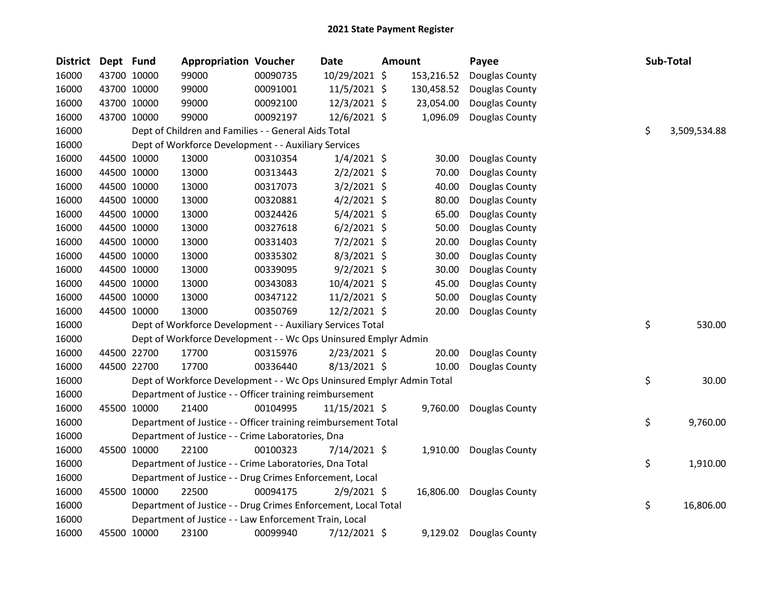| <b>District</b> | Dept Fund |             | <b>Appropriation Voucher</b>                                          |          | <b>Date</b>    | Amount |            | Payee          |    | Sub-Total    |
|-----------------|-----------|-------------|-----------------------------------------------------------------------|----------|----------------|--------|------------|----------------|----|--------------|
| 16000           |           | 43700 10000 | 99000                                                                 | 00090735 | 10/29/2021 \$  |        | 153,216.52 | Douglas County |    |              |
| 16000           |           | 43700 10000 | 99000                                                                 | 00091001 | 11/5/2021 \$   |        | 130,458.52 | Douglas County |    |              |
| 16000           |           | 43700 10000 | 99000                                                                 | 00092100 | 12/3/2021 \$   |        | 23,054.00  | Douglas County |    |              |
| 16000           |           | 43700 10000 | 99000                                                                 | 00092197 | 12/6/2021 \$   |        | 1,096.09   | Douglas County |    |              |
| 16000           |           |             | Dept of Children and Families - - General Aids Total                  |          |                |        |            |                | \$ | 3,509,534.88 |
| 16000           |           |             | Dept of Workforce Development - - Auxiliary Services                  |          |                |        |            |                |    |              |
| 16000           |           | 44500 10000 | 13000                                                                 | 00310354 | $1/4/2021$ \$  |        | 30.00      | Douglas County |    |              |
| 16000           |           | 44500 10000 | 13000                                                                 | 00313443 | $2/2/2021$ \$  |        | 70.00      | Douglas County |    |              |
| 16000           |           | 44500 10000 | 13000                                                                 | 00317073 | $3/2/2021$ \$  |        | 40.00      | Douglas County |    |              |
| 16000           |           | 44500 10000 | 13000                                                                 | 00320881 | $4/2/2021$ \$  |        | 80.00      | Douglas County |    |              |
| 16000           |           | 44500 10000 | 13000                                                                 | 00324426 | 5/4/2021 \$    |        | 65.00      | Douglas County |    |              |
| 16000           |           | 44500 10000 | 13000                                                                 | 00327618 | $6/2/2021$ \$  |        | 50.00      | Douglas County |    |              |
| 16000           |           | 44500 10000 | 13000                                                                 | 00331403 | 7/2/2021 \$    |        | 20.00      | Douglas County |    |              |
| 16000           |           | 44500 10000 | 13000                                                                 | 00335302 | $8/3/2021$ \$  |        | 30.00      | Douglas County |    |              |
| 16000           |           | 44500 10000 | 13000                                                                 | 00339095 | $9/2/2021$ \$  |        | 30.00      | Douglas County |    |              |
| 16000           |           | 44500 10000 | 13000                                                                 | 00343083 | 10/4/2021 \$   |        | 45.00      | Douglas County |    |              |
| 16000           |           | 44500 10000 | 13000                                                                 | 00347122 | $11/2/2021$ \$ |        | 50.00      | Douglas County |    |              |
| 16000           |           | 44500 10000 | 13000                                                                 | 00350769 | 12/2/2021 \$   |        | 20.00      | Douglas County |    |              |
| 16000           |           |             | Dept of Workforce Development - - Auxiliary Services Total            |          |                |        |            |                | \$ | 530.00       |
| 16000           |           |             | Dept of Workforce Development - - Wc Ops Uninsured Emplyr Admin       |          |                |        |            |                |    |              |
| 16000           |           | 44500 22700 | 17700                                                                 | 00315976 | 2/23/2021 \$   |        | 20.00      | Douglas County |    |              |
| 16000           |           | 44500 22700 | 17700                                                                 | 00336440 | 8/13/2021 \$   |        | 10.00      | Douglas County |    |              |
| 16000           |           |             | Dept of Workforce Development - - Wc Ops Uninsured Emplyr Admin Total |          |                |        |            |                | \$ | 30.00        |
| 16000           |           |             | Department of Justice - - Officer training reimbursement              |          |                |        |            |                |    |              |
| 16000           |           | 45500 10000 | 21400                                                                 | 00104995 | 11/15/2021 \$  |        | 9,760.00   | Douglas County |    |              |
| 16000           |           |             | Department of Justice - - Officer training reimbursement Total        |          |                |        |            |                | \$ | 9,760.00     |
| 16000           |           |             | Department of Justice - - Crime Laboratories, Dna                     |          |                |        |            |                |    |              |
| 16000           |           | 45500 10000 | 22100                                                                 | 00100323 | $7/14/2021$ \$ |        | 1,910.00   | Douglas County |    |              |
| 16000           |           |             | Department of Justice - - Crime Laboratories, Dna Total               |          |                |        |            |                | \$ | 1,910.00     |
| 16000           |           |             | Department of Justice - - Drug Crimes Enforcement, Local              |          |                |        |            |                |    |              |
| 16000           |           | 45500 10000 | 22500                                                                 | 00094175 | $2/9/2021$ \$  |        | 16,806.00  | Douglas County |    |              |
| 16000           |           |             | Department of Justice - - Drug Crimes Enforcement, Local Total        |          |                |        |            |                | \$ | 16,806.00    |
| 16000           |           |             | Department of Justice - - Law Enforcement Train, Local                |          |                |        |            |                |    |              |
| 16000           |           | 45500 10000 | 23100                                                                 | 00099940 | 7/12/2021 \$   |        | 9,129.02   | Douglas County |    |              |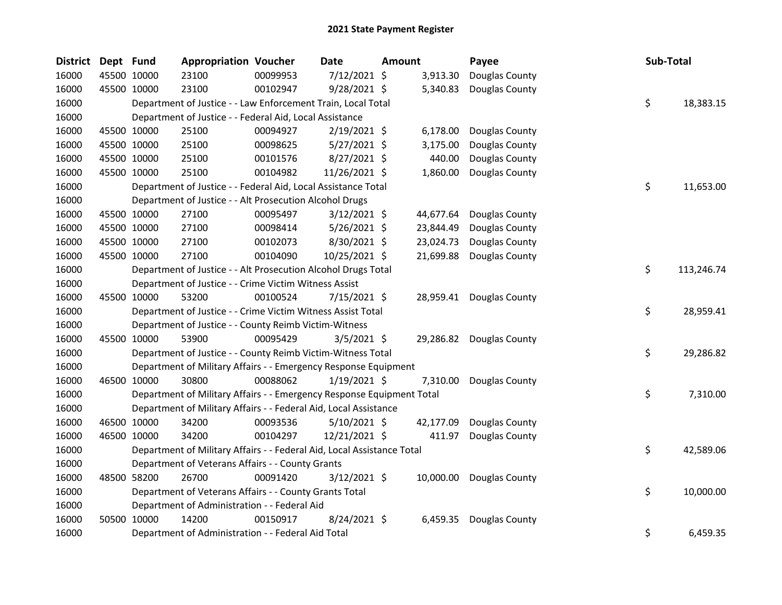| <b>District</b> | Dept Fund |             | <b>Appropriation Voucher</b>                                           |          | <b>Date</b>    | Amount |           | Payee                    | Sub-Total |            |
|-----------------|-----------|-------------|------------------------------------------------------------------------|----------|----------------|--------|-----------|--------------------------|-----------|------------|
| 16000           |           | 45500 10000 | 23100                                                                  | 00099953 | 7/12/2021 \$   |        | 3,913.30  | Douglas County           |           |            |
| 16000           |           | 45500 10000 | 23100                                                                  | 00102947 | 9/28/2021 \$   |        | 5,340.83  | Douglas County           |           |            |
| 16000           |           |             | Department of Justice - - Law Enforcement Train, Local Total           |          |                |        |           |                          | \$        | 18,383.15  |
| 16000           |           |             | Department of Justice - - Federal Aid, Local Assistance                |          |                |        |           |                          |           |            |
| 16000           |           | 45500 10000 | 25100                                                                  | 00094927 | $2/19/2021$ \$ |        | 6,178.00  | Douglas County           |           |            |
| 16000           |           | 45500 10000 | 25100                                                                  | 00098625 | $5/27/2021$ \$ |        | 3,175.00  | Douglas County           |           |            |
| 16000           |           | 45500 10000 | 25100                                                                  | 00101576 | 8/27/2021 \$   |        | 440.00    | Douglas County           |           |            |
| 16000           |           | 45500 10000 | 25100                                                                  | 00104982 | 11/26/2021 \$  |        | 1,860.00  | Douglas County           |           |            |
| 16000           |           |             | Department of Justice - - Federal Aid, Local Assistance Total          |          |                |        |           |                          | \$        | 11,653.00  |
| 16000           |           |             | Department of Justice - - Alt Prosecution Alcohol Drugs                |          |                |        |           |                          |           |            |
| 16000           |           | 45500 10000 | 27100                                                                  | 00095497 | 3/12/2021 \$   |        | 44,677.64 | Douglas County           |           |            |
| 16000           |           | 45500 10000 | 27100                                                                  | 00098414 | $5/26/2021$ \$ |        | 23,844.49 | Douglas County           |           |            |
| 16000           |           | 45500 10000 | 27100                                                                  | 00102073 | 8/30/2021 \$   |        | 23,024.73 | Douglas County           |           |            |
| 16000           |           | 45500 10000 | 27100                                                                  | 00104090 | 10/25/2021 \$  |        | 21,699.88 | Douglas County           |           |            |
| 16000           |           |             | Department of Justice - - Alt Prosecution Alcohol Drugs Total          |          |                |        |           |                          | \$        | 113,246.74 |
| 16000           |           |             | Department of Justice - - Crime Victim Witness Assist                  |          |                |        |           |                          |           |            |
| 16000           |           | 45500 10000 | 53200                                                                  | 00100524 | 7/15/2021 \$   |        |           | 28,959.41 Douglas County |           |            |
| 16000           |           |             | Department of Justice - - Crime Victim Witness Assist Total            |          |                |        |           |                          | \$        | 28,959.41  |
| 16000           |           |             | Department of Justice - - County Reimb Victim-Witness                  |          |                |        |           |                          |           |            |
| 16000           |           | 45500 10000 | 53900                                                                  | 00095429 | $3/5/2021$ \$  |        | 29,286.82 | Douglas County           |           |            |
| 16000           |           |             | Department of Justice - - County Reimb Victim-Witness Total            |          |                |        |           |                          | \$        | 29,286.82  |
| 16000           |           |             | Department of Military Affairs - - Emergency Response Equipment        |          |                |        |           |                          |           |            |
| 16000           |           | 46500 10000 | 30800                                                                  | 00088062 | $1/19/2021$ \$ |        | 7,310.00  | Douglas County           |           |            |
| 16000           |           |             | Department of Military Affairs - - Emergency Response Equipment Total  |          |                |        |           |                          | \$        | 7,310.00   |
| 16000           |           |             | Department of Military Affairs - - Federal Aid, Local Assistance       |          |                |        |           |                          |           |            |
| 16000           |           | 46500 10000 | 34200                                                                  | 00093536 | $5/10/2021$ \$ |        | 42,177.09 | Douglas County           |           |            |
| 16000           |           | 46500 10000 | 34200                                                                  | 00104297 | 12/21/2021 \$  |        | 411.97    | Douglas County           |           |            |
| 16000           |           |             | Department of Military Affairs - - Federal Aid, Local Assistance Total |          |                |        |           |                          | \$        | 42,589.06  |
| 16000           |           |             | Department of Veterans Affairs - - County Grants                       |          |                |        |           |                          |           |            |
| 16000           |           | 48500 58200 | 26700                                                                  | 00091420 | $3/12/2021$ \$ |        | 10,000.00 | Douglas County           |           |            |
| 16000           |           |             | Department of Veterans Affairs - - County Grants Total                 |          |                |        |           |                          | \$        | 10,000.00  |
| 16000           |           |             | Department of Administration - - Federal Aid                           |          |                |        |           |                          |           |            |
| 16000           |           | 50500 10000 | 14200                                                                  | 00150917 | 8/24/2021 \$   |        | 6,459.35  | Douglas County           |           |            |
| 16000           |           |             | Department of Administration - - Federal Aid Total                     |          |                |        |           |                          | \$        | 6,459.35   |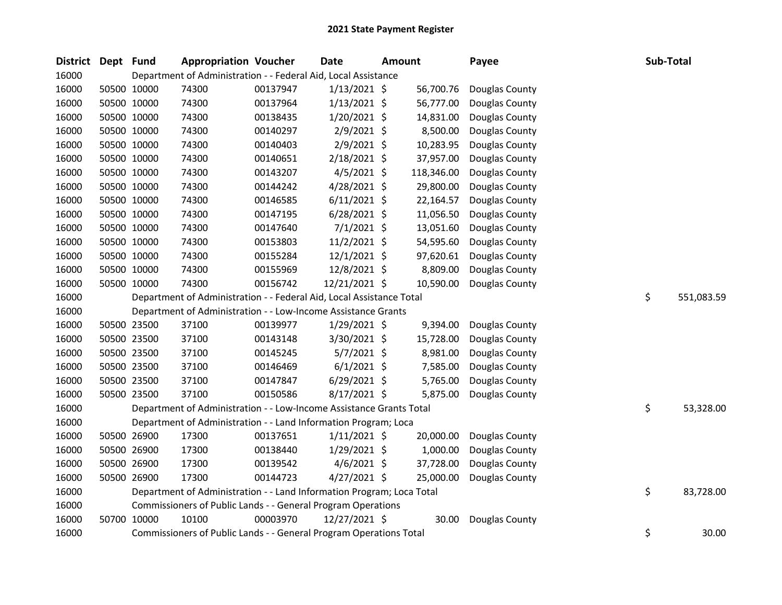| District Dept Fund |             | <b>Appropriation Voucher</b>                                          |          | <b>Date</b>    | <b>Amount</b> |            | Payee          | Sub-Total |            |
|--------------------|-------------|-----------------------------------------------------------------------|----------|----------------|---------------|------------|----------------|-----------|------------|
| 16000              |             | Department of Administration - - Federal Aid, Local Assistance        |          |                |               |            |                |           |            |
| 16000              | 50500 10000 | 74300                                                                 | 00137947 | $1/13/2021$ \$ |               | 56,700.76  | Douglas County |           |            |
| 16000              | 50500 10000 | 74300                                                                 | 00137964 | $1/13/2021$ \$ |               | 56,777.00  | Douglas County |           |            |
| 16000              | 50500 10000 | 74300                                                                 | 00138435 | 1/20/2021 \$   |               | 14,831.00  | Douglas County |           |            |
| 16000              | 50500 10000 | 74300                                                                 | 00140297 | $2/9/2021$ \$  |               | 8,500.00   | Douglas County |           |            |
| 16000              | 50500 10000 | 74300                                                                 | 00140403 | $2/9/2021$ \$  |               | 10,283.95  | Douglas County |           |            |
| 16000              | 50500 10000 | 74300                                                                 | 00140651 | 2/18/2021 \$   |               | 37,957.00  | Douglas County |           |            |
| 16000              | 50500 10000 | 74300                                                                 | 00143207 | $4/5/2021$ \$  |               | 118,346.00 | Douglas County |           |            |
| 16000              | 50500 10000 | 74300                                                                 | 00144242 | 4/28/2021 \$   |               | 29,800.00  | Douglas County |           |            |
| 16000              | 50500 10000 | 74300                                                                 | 00146585 | $6/11/2021$ \$ |               | 22,164.57  | Douglas County |           |            |
| 16000              | 50500 10000 | 74300                                                                 | 00147195 | $6/28/2021$ \$ |               | 11,056.50  | Douglas County |           |            |
| 16000              | 50500 10000 | 74300                                                                 | 00147640 | $7/1/2021$ \$  |               | 13,051.60  | Douglas County |           |            |
| 16000              | 50500 10000 | 74300                                                                 | 00153803 | 11/2/2021 \$   |               | 54,595.60  | Douglas County |           |            |
| 16000              | 50500 10000 | 74300                                                                 | 00155284 | 12/1/2021 \$   |               | 97,620.61  | Douglas County |           |            |
| 16000              | 50500 10000 | 74300                                                                 | 00155969 | 12/8/2021 \$   |               | 8,809.00   | Douglas County |           |            |
| 16000              | 50500 10000 | 74300                                                                 | 00156742 | 12/21/2021 \$  |               | 10,590.00  | Douglas County |           |            |
| 16000              |             | Department of Administration - - Federal Aid, Local Assistance Total  |          |                |               |            |                | \$        | 551,083.59 |
| 16000              |             | Department of Administration - - Low-Income Assistance Grants         |          |                |               |            |                |           |            |
| 16000              | 50500 23500 | 37100                                                                 | 00139977 | $1/29/2021$ \$ |               | 9,394.00   | Douglas County |           |            |
| 16000              | 50500 23500 | 37100                                                                 | 00143148 | 3/30/2021 \$   |               | 15,728.00  | Douglas County |           |            |
| 16000              | 50500 23500 | 37100                                                                 | 00145245 | 5/7/2021 \$    |               | 8,981.00   | Douglas County |           |            |
| 16000              | 50500 23500 | 37100                                                                 | 00146469 | $6/1/2021$ \$  |               | 7,585.00   | Douglas County |           |            |
| 16000              | 50500 23500 | 37100                                                                 | 00147847 | 6/29/2021 \$   |               | 5,765.00   | Douglas County |           |            |
| 16000              | 50500 23500 | 37100                                                                 | 00150586 | 8/17/2021 \$   |               | 5,875.00   | Douglas County |           |            |
| 16000              |             | Department of Administration - - Low-Income Assistance Grants Total   |          |                |               |            |                | \$        | 53,328.00  |
| 16000              |             | Department of Administration - - Land Information Program; Loca       |          |                |               |            |                |           |            |
| 16000              | 50500 26900 | 17300                                                                 | 00137651 | $1/11/2021$ \$ |               | 20,000.00  | Douglas County |           |            |
| 16000              | 50500 26900 | 17300                                                                 | 00138440 | 1/29/2021 \$   |               | 1,000.00   | Douglas County |           |            |
| 16000              | 50500 26900 | 17300                                                                 | 00139542 | $4/6/2021$ \$  |               | 37,728.00  | Douglas County |           |            |
| 16000              | 50500 26900 | 17300                                                                 | 00144723 | 4/27/2021 \$   |               | 25,000.00  | Douglas County |           |            |
| 16000              |             | Department of Administration - - Land Information Program; Loca Total |          |                |               |            |                | \$        | 83,728.00  |
| 16000              |             | Commissioners of Public Lands - - General Program Operations          |          |                |               |            |                |           |            |
| 16000              | 50700 10000 | 10100                                                                 | 00003970 | 12/27/2021 \$  |               | 30.00      | Douglas County |           |            |
| 16000              |             | Commissioners of Public Lands - - General Program Operations Total    |          |                |               |            |                | \$        | 30.00      |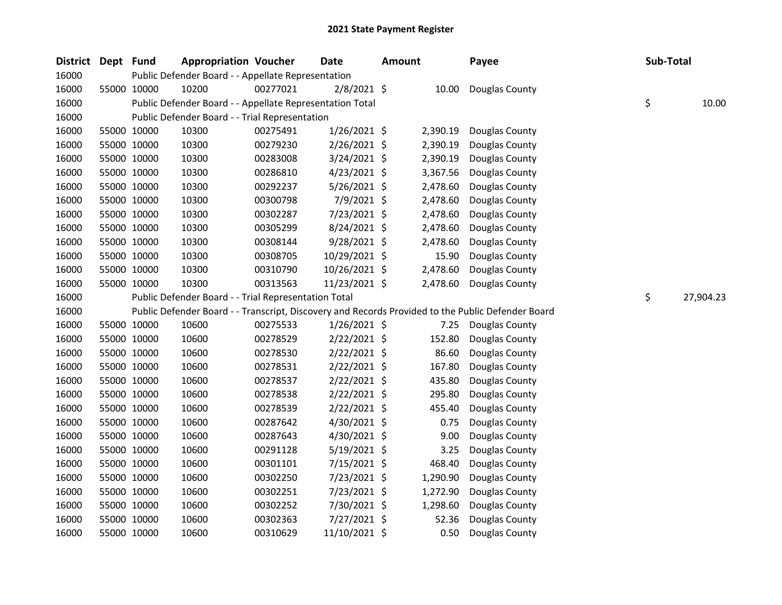| <b>District</b> | Dept Fund |             | <b>Appropriation Voucher</b>                             |          | <b>Date</b>    | <b>Amount</b> |          | Payee                                                                                             | Sub-Total |           |
|-----------------|-----------|-------------|----------------------------------------------------------|----------|----------------|---------------|----------|---------------------------------------------------------------------------------------------------|-----------|-----------|
| 16000           |           |             | Public Defender Board - - Appellate Representation       |          |                |               |          |                                                                                                   |           |           |
| 16000           |           | 55000 10000 | 10200                                                    | 00277021 | 2/8/2021 \$    |               | 10.00    | Douglas County                                                                                    |           |           |
| 16000           |           |             | Public Defender Board - - Appellate Representation Total |          |                |               |          |                                                                                                   | \$        | 10.00     |
| 16000           |           |             | Public Defender Board - - Trial Representation           |          |                |               |          |                                                                                                   |           |           |
| 16000           |           | 55000 10000 | 10300                                                    | 00275491 | $1/26/2021$ \$ |               | 2,390.19 | Douglas County                                                                                    |           |           |
| 16000           |           | 55000 10000 | 10300                                                    | 00279230 | 2/26/2021 \$   |               | 2,390.19 | Douglas County                                                                                    |           |           |
| 16000           |           | 55000 10000 | 10300                                                    | 00283008 | 3/24/2021 \$   |               | 2,390.19 | Douglas County                                                                                    |           |           |
| 16000           |           | 55000 10000 | 10300                                                    | 00286810 | $4/23/2021$ \$ |               | 3,367.56 | Douglas County                                                                                    |           |           |
| 16000           |           | 55000 10000 | 10300                                                    | 00292237 | 5/26/2021 \$   |               | 2,478.60 | Douglas County                                                                                    |           |           |
| 16000           |           | 55000 10000 | 10300                                                    | 00300798 | 7/9/2021 \$    |               | 2,478.60 | Douglas County                                                                                    |           |           |
| 16000           |           | 55000 10000 | 10300                                                    | 00302287 | 7/23/2021 \$   |               | 2,478.60 | Douglas County                                                                                    |           |           |
| 16000           |           | 55000 10000 | 10300                                                    | 00305299 | 8/24/2021 \$   |               | 2,478.60 | Douglas County                                                                                    |           |           |
| 16000           |           | 55000 10000 | 10300                                                    | 00308144 | $9/28/2021$ \$ |               | 2,478.60 | Douglas County                                                                                    |           |           |
| 16000           |           | 55000 10000 | 10300                                                    | 00308705 | 10/29/2021 \$  |               | 15.90    | Douglas County                                                                                    |           |           |
| 16000           |           | 55000 10000 | 10300                                                    | 00310790 | 10/26/2021 \$  |               | 2,478.60 | Douglas County                                                                                    |           |           |
| 16000           |           | 55000 10000 | 10300                                                    | 00313563 | 11/23/2021 \$  |               | 2,478.60 | Douglas County                                                                                    |           |           |
| 16000           |           |             | Public Defender Board - - Trial Representation Total     |          |                |               |          |                                                                                                   | \$        | 27,904.23 |
| 16000           |           |             |                                                          |          |                |               |          | Public Defender Board - - Transcript, Discovery and Records Provided to the Public Defender Board |           |           |
| 16000           |           | 55000 10000 | 10600                                                    | 00275533 | $1/26/2021$ \$ |               | 7.25     | Douglas County                                                                                    |           |           |
| 16000           |           | 55000 10000 | 10600                                                    | 00278529 | $2/22/2021$ \$ |               | 152.80   | Douglas County                                                                                    |           |           |
| 16000           |           | 55000 10000 | 10600                                                    | 00278530 | $2/22/2021$ \$ |               | 86.60    | Douglas County                                                                                    |           |           |
| 16000           |           | 55000 10000 | 10600                                                    | 00278531 | $2/22/2021$ \$ |               | 167.80   | Douglas County                                                                                    |           |           |
| 16000           |           | 55000 10000 | 10600                                                    | 00278537 | $2/22/2021$ \$ |               | 435.80   | Douglas County                                                                                    |           |           |
| 16000           |           | 55000 10000 | 10600                                                    | 00278538 | $2/22/2021$ \$ |               | 295.80   | Douglas County                                                                                    |           |           |
| 16000           |           | 55000 10000 | 10600                                                    | 00278539 | $2/22/2021$ \$ |               | 455.40   | Douglas County                                                                                    |           |           |
| 16000           |           | 55000 10000 | 10600                                                    | 00287642 | 4/30/2021 \$   |               | 0.75     | Douglas County                                                                                    |           |           |
| 16000           |           | 55000 10000 | 10600                                                    | 00287643 | 4/30/2021 \$   |               | 9.00     | Douglas County                                                                                    |           |           |
| 16000           |           | 55000 10000 | 10600                                                    | 00291128 | $5/19/2021$ \$ |               | 3.25     | Douglas County                                                                                    |           |           |
| 16000           |           | 55000 10000 | 10600                                                    | 00301101 | 7/15/2021 \$   |               | 468.40   | Douglas County                                                                                    |           |           |
| 16000           |           | 55000 10000 | 10600                                                    | 00302250 | 7/23/2021 \$   |               | 1,290.90 | Douglas County                                                                                    |           |           |
| 16000           |           | 55000 10000 | 10600                                                    | 00302251 | 7/23/2021 \$   |               | 1,272.90 | Douglas County                                                                                    |           |           |
| 16000           |           | 55000 10000 | 10600                                                    | 00302252 | 7/30/2021 \$   |               | 1,298.60 | Douglas County                                                                                    |           |           |
| 16000           |           | 55000 10000 | 10600                                                    | 00302363 | 7/27/2021 \$   |               | 52.36    | Douglas County                                                                                    |           |           |
| 16000           |           | 55000 10000 | 10600                                                    | 00310629 | 11/10/2021 \$  |               | 0.50     | Douglas County                                                                                    |           |           |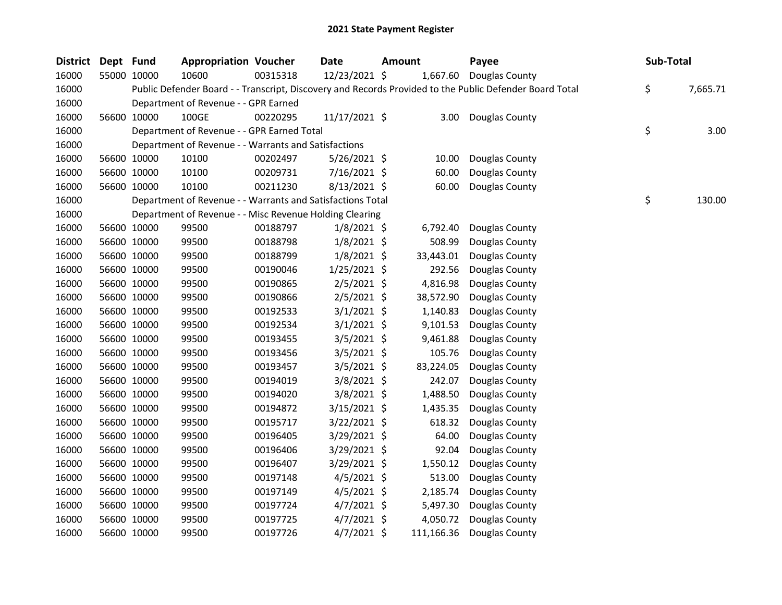| <b>District</b> | Dept Fund |             | <b>Appropriation Voucher</b>                               |          | <b>Date</b>    | <b>Amount</b> |            | Payee                                                                                                   | Sub-Total      |
|-----------------|-----------|-------------|------------------------------------------------------------|----------|----------------|---------------|------------|---------------------------------------------------------------------------------------------------------|----------------|
| 16000           |           | 55000 10000 | 10600                                                      | 00315318 | 12/23/2021 \$  |               | 1,667.60   | Douglas County                                                                                          |                |
| 16000           |           |             |                                                            |          |                |               |            | Public Defender Board - - Transcript, Discovery and Records Provided to the Public Defender Board Total | \$<br>7,665.71 |
| 16000           |           |             | Department of Revenue - - GPR Earned                       |          |                |               |            |                                                                                                         |                |
| 16000           |           | 56600 10000 | 100GE                                                      | 00220295 | 11/17/2021 \$  |               | 3.00       | Douglas County                                                                                          |                |
| 16000           |           |             | Department of Revenue - - GPR Earned Total                 |          |                |               |            |                                                                                                         | \$<br>3.00     |
| 16000           |           |             | Department of Revenue - - Warrants and Satisfactions       |          |                |               |            |                                                                                                         |                |
| 16000           |           | 56600 10000 | 10100                                                      | 00202497 | $5/26/2021$ \$ |               | 10.00      | Douglas County                                                                                          |                |
| 16000           |           | 56600 10000 | 10100                                                      | 00209731 | 7/16/2021 \$   |               | 60.00      | Douglas County                                                                                          |                |
| 16000           |           | 56600 10000 | 10100                                                      | 00211230 | 8/13/2021 \$   |               | 60.00      | Douglas County                                                                                          |                |
| 16000           |           |             | Department of Revenue - - Warrants and Satisfactions Total |          |                |               |            |                                                                                                         | \$<br>130.00   |
| 16000           |           |             | Department of Revenue - - Misc Revenue Holding Clearing    |          |                |               |            |                                                                                                         |                |
| 16000           |           | 56600 10000 | 99500                                                      | 00188797 | $1/8/2021$ \$  |               | 6,792.40   | Douglas County                                                                                          |                |
| 16000           |           | 56600 10000 | 99500                                                      | 00188798 | $1/8/2021$ \$  |               | 508.99     | Douglas County                                                                                          |                |
| 16000           |           | 56600 10000 | 99500                                                      | 00188799 | $1/8/2021$ \$  |               | 33,443.01  | Douglas County                                                                                          |                |
| 16000           |           | 56600 10000 | 99500                                                      | 00190046 | $1/25/2021$ \$ |               | 292.56     | Douglas County                                                                                          |                |
| 16000           |           | 56600 10000 | 99500                                                      | 00190865 | $2/5/2021$ \$  |               | 4,816.98   | Douglas County                                                                                          |                |
| 16000           |           | 56600 10000 | 99500                                                      | 00190866 | $2/5/2021$ \$  |               | 38,572.90  | Douglas County                                                                                          |                |
| 16000           |           | 56600 10000 | 99500                                                      | 00192533 | $3/1/2021$ \$  |               | 1,140.83   | Douglas County                                                                                          |                |
| 16000           |           | 56600 10000 | 99500                                                      | 00192534 | $3/1/2021$ \$  |               | 9,101.53   | Douglas County                                                                                          |                |
| 16000           |           | 56600 10000 | 99500                                                      | 00193455 | $3/5/2021$ \$  |               | 9,461.88   | Douglas County                                                                                          |                |
| 16000           |           | 56600 10000 | 99500                                                      | 00193456 | 3/5/2021 \$    |               | 105.76     | Douglas County                                                                                          |                |
| 16000           |           | 56600 10000 | 99500                                                      | 00193457 | $3/5/2021$ \$  |               | 83,224.05  | Douglas County                                                                                          |                |
| 16000           |           | 56600 10000 | 99500                                                      | 00194019 | 3/8/2021 \$    |               | 242.07     | Douglas County                                                                                          |                |
| 16000           |           | 56600 10000 | 99500                                                      | 00194020 | $3/8/2021$ \$  |               | 1,488.50   | Douglas County                                                                                          |                |
| 16000           |           | 56600 10000 | 99500                                                      | 00194872 | $3/15/2021$ \$ |               | 1,435.35   | Douglas County                                                                                          |                |
| 16000           |           | 56600 10000 | 99500                                                      | 00195717 | 3/22/2021 \$   |               | 618.32     | Douglas County                                                                                          |                |
| 16000           |           | 56600 10000 | 99500                                                      | 00196405 | 3/29/2021 \$   |               | 64.00      | Douglas County                                                                                          |                |
| 16000           |           | 56600 10000 | 99500                                                      | 00196406 | 3/29/2021 \$   |               | 92.04      | Douglas County                                                                                          |                |
| 16000           |           | 56600 10000 | 99500                                                      | 00196407 | 3/29/2021 \$   |               | 1,550.12   | Douglas County                                                                                          |                |
| 16000           |           | 56600 10000 | 99500                                                      | 00197148 | $4/5/2021$ \$  |               | 513.00     | Douglas County                                                                                          |                |
| 16000           |           | 56600 10000 | 99500                                                      | 00197149 | $4/5/2021$ \$  |               | 2,185.74   | Douglas County                                                                                          |                |
| 16000           |           | 56600 10000 | 99500                                                      | 00197724 | $4/7/2021$ \$  |               | 5,497.30   | Douglas County                                                                                          |                |
| 16000           |           | 56600 10000 | 99500                                                      | 00197725 | $4/7/2021$ \$  |               | 4,050.72   | Douglas County                                                                                          |                |
| 16000           |           | 56600 10000 | 99500                                                      | 00197726 | 4/7/2021 \$    |               | 111,166.36 | Douglas County                                                                                          |                |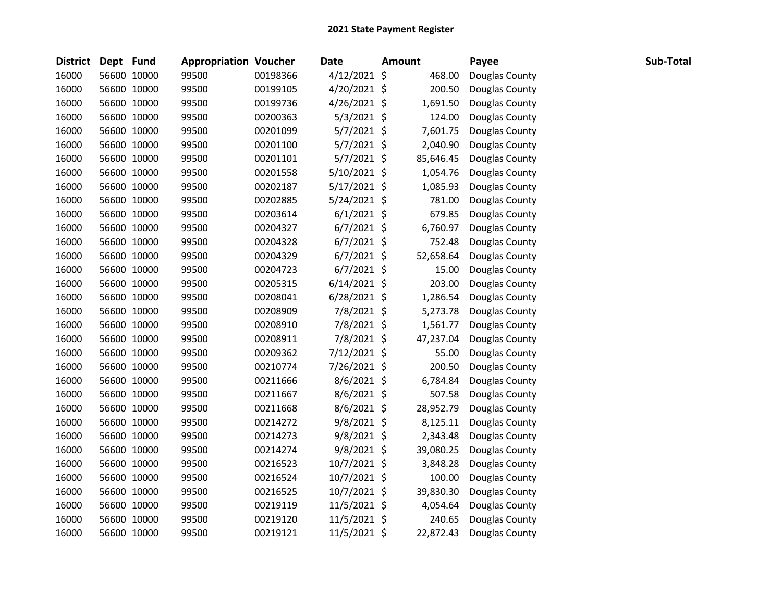| <b>District</b> | Dept Fund |             | <b>Appropriation Voucher</b> |          | <b>Date</b>    | <b>Amount</b> | Payee          | Sub-Total |
|-----------------|-----------|-------------|------------------------------|----------|----------------|---------------|----------------|-----------|
| 16000           |           | 56600 10000 | 99500                        | 00198366 | $4/12/2021$ \$ | 468.00        | Douglas County |           |
| 16000           |           | 56600 10000 | 99500                        | 00199105 | 4/20/2021 \$   | 200.50        | Douglas County |           |
| 16000           |           | 56600 10000 | 99500                        | 00199736 | 4/26/2021 \$   | 1,691.50      | Douglas County |           |
| 16000           |           | 56600 10000 | 99500                        | 00200363 | $5/3/2021$ \$  | 124.00        | Douglas County |           |
| 16000           |           | 56600 10000 | 99500                        | 00201099 | 5/7/2021 \$    | 7,601.75      | Douglas County |           |
| 16000           |           | 56600 10000 | 99500                        | 00201100 | $5/7/2021$ \$  | 2,040.90      | Douglas County |           |
| 16000           |           | 56600 10000 | 99500                        | 00201101 | 5/7/2021 \$    | 85,646.45     | Douglas County |           |
| 16000           |           | 56600 10000 | 99500                        | 00201558 | 5/10/2021 \$   | 1,054.76      | Douglas County |           |
| 16000           |           | 56600 10000 | 99500                        | 00202187 | $5/17/2021$ \$ | 1,085.93      | Douglas County |           |
| 16000           |           | 56600 10000 | 99500                        | 00202885 | 5/24/2021 \$   | 781.00        | Douglas County |           |
| 16000           |           | 56600 10000 | 99500                        | 00203614 | $6/1/2021$ \$  | 679.85        | Douglas County |           |
| 16000           |           | 56600 10000 | 99500                        | 00204327 | $6/7/2021$ \$  | 6,760.97      | Douglas County |           |
| 16000           |           | 56600 10000 | 99500                        | 00204328 | $6/7/2021$ \$  | 752.48        | Douglas County |           |
| 16000           |           | 56600 10000 | 99500                        | 00204329 | $6/7/2021$ \$  | 52,658.64     | Douglas County |           |
| 16000           |           | 56600 10000 | 99500                        | 00204723 | $6/7/2021$ \$  | 15.00         | Douglas County |           |
| 16000           |           | 56600 10000 | 99500                        | 00205315 | $6/14/2021$ \$ | 203.00        | Douglas County |           |
| 16000           |           | 56600 10000 | 99500                        | 00208041 | $6/28/2021$ \$ | 1,286.54      | Douglas County |           |
| 16000           |           | 56600 10000 | 99500                        | 00208909 | 7/8/2021 \$    | 5,273.78      | Douglas County |           |
| 16000           |           | 56600 10000 | 99500                        | 00208910 | 7/8/2021 \$    | 1,561.77      | Douglas County |           |
| 16000           |           | 56600 10000 | 99500                        | 00208911 | 7/8/2021 \$    | 47,237.04     | Douglas County |           |
| 16000           |           | 56600 10000 | 99500                        | 00209362 | 7/12/2021 \$   | 55.00         | Douglas County |           |
| 16000           |           | 56600 10000 | 99500                        | 00210774 | 7/26/2021 \$   | 200.50        | Douglas County |           |
| 16000           |           | 56600 10000 | 99500                        | 00211666 | 8/6/2021 \$    | 6,784.84      | Douglas County |           |
| 16000           |           | 56600 10000 | 99500                        | 00211667 | 8/6/2021 \$    | 507.58        | Douglas County |           |
| 16000           |           | 56600 10000 | 99500                        | 00211668 | 8/6/2021 \$    | 28,952.79     | Douglas County |           |
| 16000           |           | 56600 10000 | 99500                        | 00214272 | 9/8/2021 \$    | 8,125.11      | Douglas County |           |
| 16000           |           | 56600 10000 | 99500                        | 00214273 | $9/8/2021$ \$  | 2,343.48      | Douglas County |           |
| 16000           |           | 56600 10000 | 99500                        | 00214274 | 9/8/2021 \$    | 39,080.25     | Douglas County |           |
| 16000           |           | 56600 10000 | 99500                        | 00216523 | 10/7/2021 \$   | 3,848.28      | Douglas County |           |
| 16000           |           | 56600 10000 | 99500                        | 00216524 | 10/7/2021 \$   | 100.00        | Douglas County |           |
| 16000           |           | 56600 10000 | 99500                        | 00216525 | 10/7/2021 \$   | 39,830.30     | Douglas County |           |
| 16000           |           | 56600 10000 | 99500                        | 00219119 | 11/5/2021 \$   | 4,054.64      | Douglas County |           |
| 16000           |           | 56600 10000 | 99500                        | 00219120 | 11/5/2021 \$   | 240.65        | Douglas County |           |
| 16000           |           | 56600 10000 | 99500                        | 00219121 | 11/5/2021 \$   | 22,872.43     | Douglas County |           |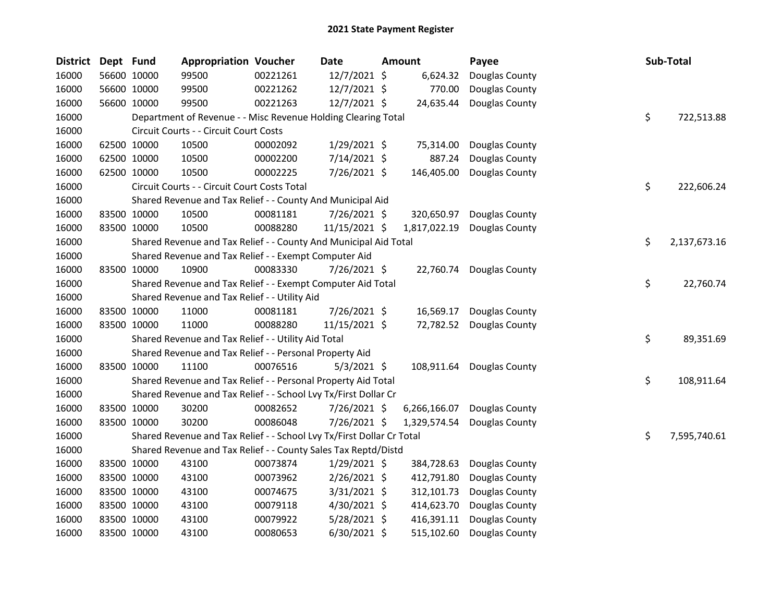| <b>District</b> | Dept Fund |             | <b>Appropriation Voucher</b>                                          |          | <b>Date</b>    | Amount       | Payee          |    | Sub-Total    |
|-----------------|-----------|-------------|-----------------------------------------------------------------------|----------|----------------|--------------|----------------|----|--------------|
| 16000           |           | 56600 10000 | 99500                                                                 | 00221261 | 12/7/2021 \$   | 6,624.32     | Douglas County |    |              |
| 16000           |           | 56600 10000 | 99500                                                                 | 00221262 | 12/7/2021 \$   | 770.00       | Douglas County |    |              |
| 16000           |           | 56600 10000 | 99500                                                                 | 00221263 | 12/7/2021 \$   | 24,635.44    | Douglas County |    |              |
| 16000           |           |             | Department of Revenue - - Misc Revenue Holding Clearing Total         |          |                |              |                | \$ | 722,513.88   |
| 16000           |           |             | Circuit Courts - - Circuit Court Costs                                |          |                |              |                |    |              |
| 16000           |           | 62500 10000 | 10500                                                                 | 00002092 | 1/29/2021 \$   | 75,314.00    | Douglas County |    |              |
| 16000           |           | 62500 10000 | 10500                                                                 | 00002200 | 7/14/2021 \$   | 887.24       | Douglas County |    |              |
| 16000           |           | 62500 10000 | 10500                                                                 | 00002225 | 7/26/2021 \$   | 146,405.00   | Douglas County |    |              |
| 16000           |           |             | Circuit Courts - - Circuit Court Costs Total                          |          |                |              |                | \$ | 222,606.24   |
| 16000           |           |             | Shared Revenue and Tax Relief - - County And Municipal Aid            |          |                |              |                |    |              |
| 16000           |           | 83500 10000 | 10500                                                                 | 00081181 | 7/26/2021 \$   | 320,650.97   | Douglas County |    |              |
| 16000           |           | 83500 10000 | 10500                                                                 | 00088280 | 11/15/2021 \$  | 1,817,022.19 | Douglas County |    |              |
| 16000           |           |             | Shared Revenue and Tax Relief - - County And Municipal Aid Total      |          |                |              |                | \$ | 2,137,673.16 |
| 16000           |           |             | Shared Revenue and Tax Relief - - Exempt Computer Aid                 |          |                |              |                |    |              |
| 16000           |           | 83500 10000 | 10900                                                                 | 00083330 | 7/26/2021 \$   | 22,760.74    | Douglas County |    |              |
| 16000           |           |             | Shared Revenue and Tax Relief - - Exempt Computer Aid Total           |          |                |              |                | \$ | 22,760.74    |
| 16000           |           |             | Shared Revenue and Tax Relief - - Utility Aid                         |          |                |              |                |    |              |
| 16000           |           | 83500 10000 | 11000                                                                 | 00081181 | 7/26/2021 \$   | 16,569.17    | Douglas County |    |              |
| 16000           |           | 83500 10000 | 11000                                                                 | 00088280 | 11/15/2021 \$  | 72,782.52    | Douglas County |    |              |
| 16000           |           |             | Shared Revenue and Tax Relief - - Utility Aid Total                   |          |                |              |                | \$ | 89,351.69    |
| 16000           |           |             | Shared Revenue and Tax Relief - - Personal Property Aid               |          |                |              |                |    |              |
| 16000           |           | 83500 10000 | 11100                                                                 | 00076516 | $5/3/2021$ \$  | 108,911.64   | Douglas County |    |              |
| 16000           |           |             | Shared Revenue and Tax Relief - - Personal Property Aid Total         |          |                |              |                | \$ | 108,911.64   |
| 16000           |           |             | Shared Revenue and Tax Relief - - School Lvy Tx/First Dollar Cr       |          |                |              |                |    |              |
| 16000           |           | 83500 10000 | 30200                                                                 | 00082652 | 7/26/2021 \$   | 6,266,166.07 | Douglas County |    |              |
| 16000           |           | 83500 10000 | 30200                                                                 | 00086048 | 7/26/2021 \$   | 1,329,574.54 | Douglas County |    |              |
| 16000           |           |             | Shared Revenue and Tax Relief - - School Lvy Tx/First Dollar Cr Total |          |                |              |                | \$ | 7,595,740.61 |
| 16000           |           |             | Shared Revenue and Tax Relief - - County Sales Tax Reptd/Distd        |          |                |              |                |    |              |
| 16000           |           | 83500 10000 | 43100                                                                 | 00073874 | $1/29/2021$ \$ | 384,728.63   | Douglas County |    |              |
| 16000           |           | 83500 10000 | 43100                                                                 | 00073962 | 2/26/2021 \$   | 412,791.80   | Douglas County |    |              |
| 16000           |           | 83500 10000 | 43100                                                                 | 00074675 | 3/31/2021 \$   | 312,101.73   | Douglas County |    |              |
| 16000           |           | 83500 10000 | 43100                                                                 | 00079118 | 4/30/2021 \$   | 414,623.70   | Douglas County |    |              |
| 16000           |           | 83500 10000 | 43100                                                                 | 00079922 | 5/28/2021 \$   | 416,391.11   | Douglas County |    |              |
| 16000           |           | 83500 10000 | 43100                                                                 | 00080653 | 6/30/2021 \$   | 515,102.60   | Douglas County |    |              |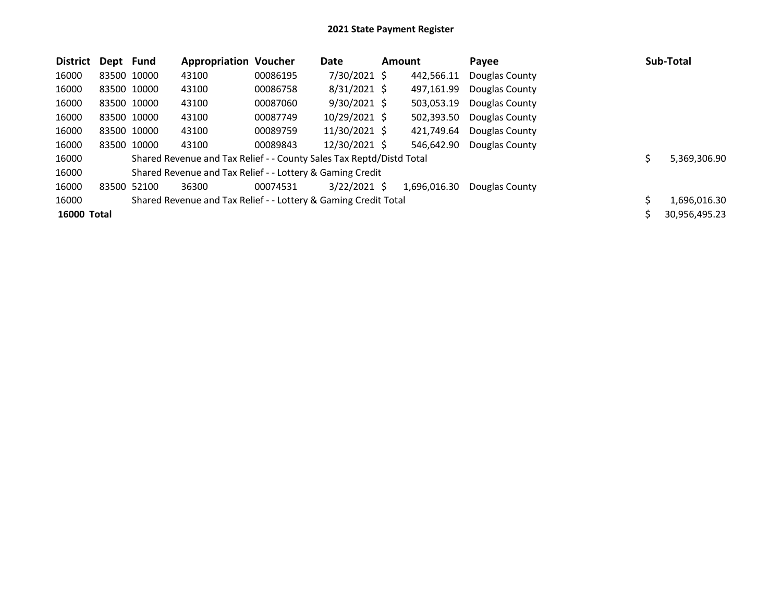| <b>District</b>    | Dept Fund   |             | <b>Appropriation Voucher</b>                                         |          | Date           | <b>Amount</b> |              | Payee          | Sub-Total     |
|--------------------|-------------|-------------|----------------------------------------------------------------------|----------|----------------|---------------|--------------|----------------|---------------|
| 16000              |             | 83500 10000 | 43100                                                                | 00086195 | 7/30/2021 \$   |               | 442,566.11   | Douglas County |               |
| 16000              | 83500 10000 |             | 43100                                                                | 00086758 | $8/31/2021$ \$ |               | 497,161.99   | Douglas County |               |
| 16000              | 83500 10000 |             | 43100                                                                | 00087060 | $9/30/2021$ \$ |               | 503,053.19   | Douglas County |               |
| 16000              | 83500 10000 |             | 43100                                                                | 00087749 | 10/29/2021 \$  |               | 502,393.50   | Douglas County |               |
| 16000              | 83500 10000 |             | 43100                                                                | 00089759 | 11/30/2021 \$  |               | 421,749.64   | Douglas County |               |
| 16000              |             | 83500 10000 | 43100                                                                | 00089843 | 12/30/2021 \$  |               | 546.642.90   | Douglas County |               |
| 16000              |             |             | Shared Revenue and Tax Relief - - County Sales Tax Reptd/Distd Total |          |                |               |              |                | 5,369,306.90  |
| 16000              |             |             | Shared Revenue and Tax Relief - - Lottery & Gaming Credit            |          |                |               |              |                |               |
| 16000              |             | 83500 52100 | 36300                                                                | 00074531 | $3/22/2021$ \$ |               | 1,696,016.30 | Douglas County |               |
| 16000              |             |             | Shared Revenue and Tax Relief - - Lottery & Gaming Credit Total      |          |                |               |              |                | 1,696,016.30  |
| <b>16000 Total</b> |             |             |                                                                      |          |                |               |              |                | 30,956,495.23 |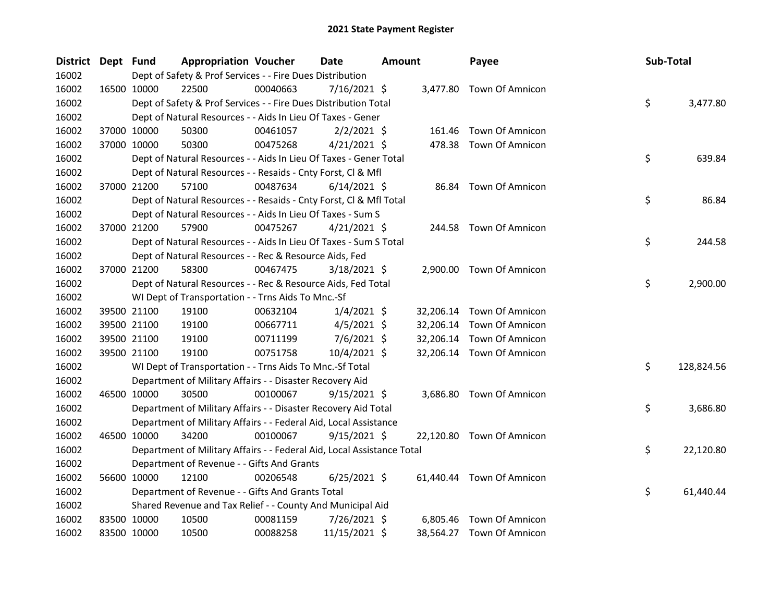| District Dept Fund |             |             | <b>Appropriation Voucher</b>                                           |          | <b>Date</b>    | <b>Amount</b> |           | Payee                     | Sub-Total |            |
|--------------------|-------------|-------------|------------------------------------------------------------------------|----------|----------------|---------------|-----------|---------------------------|-----------|------------|
| 16002              |             |             | Dept of Safety & Prof Services - - Fire Dues Distribution              |          |                |               |           |                           |           |            |
| 16002              |             | 16500 10000 | 22500                                                                  | 00040663 | $7/16/2021$ \$ |               |           | 3,477.80 Town Of Amnicon  |           |            |
| 16002              |             |             | Dept of Safety & Prof Services - - Fire Dues Distribution Total        |          |                |               |           |                           | \$        | 3,477.80   |
| 16002              |             |             | Dept of Natural Resources - - Aids In Lieu Of Taxes - Gener            |          |                |               |           |                           |           |            |
| 16002              |             | 37000 10000 | 50300                                                                  | 00461057 | $2/2/2021$ \$  |               | 161.46    | Town Of Amnicon           |           |            |
| 16002              |             | 37000 10000 | 50300                                                                  | 00475268 | $4/21/2021$ \$ |               |           | 478.38 Town Of Amnicon    |           |            |
| 16002              |             |             | Dept of Natural Resources - - Aids In Lieu Of Taxes - Gener Total      |          |                |               |           |                           | \$        | 639.84     |
| 16002              |             |             | Dept of Natural Resources - - Resaids - Cnty Forst, Cl & Mfl           |          |                |               |           |                           |           |            |
| 16002              |             | 37000 21200 | 57100                                                                  | 00487634 | $6/14/2021$ \$ |               | 86.84     | <b>Town Of Amnicon</b>    |           |            |
| 16002              |             |             | Dept of Natural Resources - - Resaids - Cnty Forst, Cl & Mfl Total     |          |                |               |           |                           | \$        | 86.84      |
| 16002              |             |             | Dept of Natural Resources - - Aids In Lieu Of Taxes - Sum S            |          |                |               |           |                           |           |            |
| 16002              |             | 37000 21200 | 57900                                                                  | 00475267 | $4/21/2021$ \$ |               |           | 244.58 Town Of Amnicon    |           |            |
| 16002              |             |             | Dept of Natural Resources - - Aids In Lieu Of Taxes - Sum S Total      |          |                |               |           |                           | \$        | 244.58     |
| 16002              |             |             | Dept of Natural Resources - - Rec & Resource Aids, Fed                 |          |                |               |           |                           |           |            |
| 16002              |             | 37000 21200 | 58300                                                                  | 00467475 | 3/18/2021 \$   |               |           | 2,900.00 Town Of Amnicon  |           |            |
| 16002              |             |             | Dept of Natural Resources - - Rec & Resource Aids, Fed Total           |          |                |               |           |                           | \$        | 2,900.00   |
| 16002              |             |             | WI Dept of Transportation - - Trns Aids To Mnc.-Sf                     |          |                |               |           |                           |           |            |
| 16002              |             | 39500 21100 | 19100                                                                  | 00632104 | $1/4/2021$ \$  |               | 32,206.14 | Town Of Amnicon           |           |            |
| 16002              |             | 39500 21100 | 19100                                                                  | 00667711 | $4/5/2021$ \$  |               | 32,206.14 | <b>Town Of Amnicon</b>    |           |            |
| 16002              |             | 39500 21100 | 19100                                                                  | 00711199 | $7/6/2021$ \$  |               |           | 32,206.14 Town Of Amnicon |           |            |
| 16002              |             | 39500 21100 | 19100                                                                  | 00751758 | $10/4/2021$ \$ |               |           | 32,206.14 Town Of Amnicon |           |            |
| 16002              |             |             | WI Dept of Transportation - - Trns Aids To Mnc.-Sf Total               |          |                |               |           |                           | \$        | 128,824.56 |
| 16002              |             |             | Department of Military Affairs - - Disaster Recovery Aid               |          |                |               |           |                           |           |            |
| 16002              |             | 46500 10000 | 30500                                                                  | 00100067 | $9/15/2021$ \$ |               |           | 3,686.80 Town Of Amnicon  |           |            |
| 16002              |             |             | Department of Military Affairs - - Disaster Recovery Aid Total         |          |                |               |           |                           | \$        | 3,686.80   |
| 16002              |             |             | Department of Military Affairs - - Federal Aid, Local Assistance       |          |                |               |           |                           |           |            |
| 16002              |             | 46500 10000 | 34200                                                                  | 00100067 | $9/15/2021$ \$ |               |           | 22,120.80 Town Of Amnicon |           |            |
| 16002              |             |             | Department of Military Affairs - - Federal Aid, Local Assistance Total |          |                |               |           |                           | \$        | 22,120.80  |
| 16002              |             |             | Department of Revenue - - Gifts And Grants                             |          |                |               |           |                           |           |            |
| 16002              |             | 56600 10000 | 12100                                                                  | 00206548 | $6/25/2021$ \$ |               |           | 61,440.44 Town Of Amnicon |           |            |
| 16002              |             |             | Department of Revenue - - Gifts And Grants Total                       |          |                |               |           |                           | \$        | 61,440.44  |
| 16002              |             |             | Shared Revenue and Tax Relief - - County And Municipal Aid             |          |                |               |           |                           |           |            |
| 16002              |             | 83500 10000 | 10500                                                                  | 00081159 | 7/26/2021 \$   |               | 6,805.46  | <b>Town Of Amnicon</b>    |           |            |
| 16002              | 83500 10000 |             | 10500                                                                  | 00088258 | 11/15/2021 \$  |               |           | 38,564.27 Town Of Amnicon |           |            |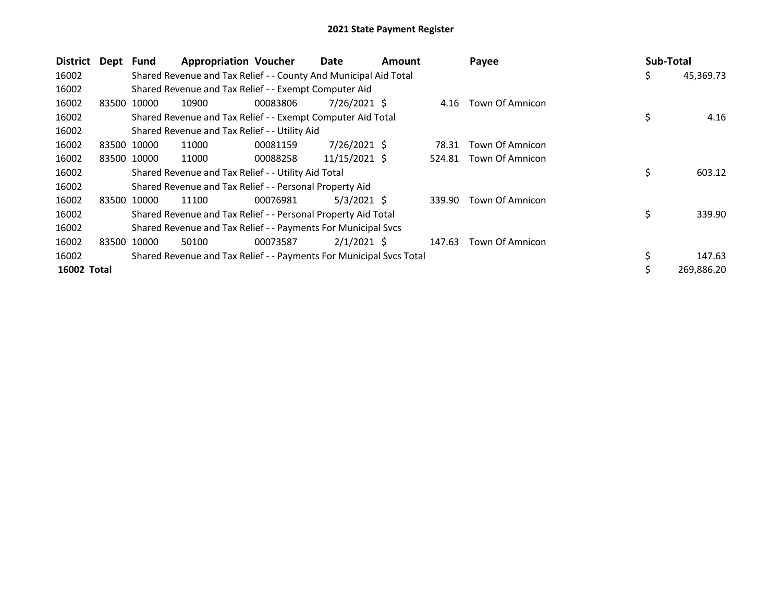| <b>District</b> | Dept Fund |             | <b>Appropriation Voucher</b>                                        |          | Date           | Amount |        | Payee                  | Sub-Total |            |
|-----------------|-----------|-------------|---------------------------------------------------------------------|----------|----------------|--------|--------|------------------------|-----------|------------|
| 16002           |           |             | Shared Revenue and Tax Relief - - County And Municipal Aid Total    |          |                |        |        |                        | \$        | 45,369.73  |
| 16002           |           |             | Shared Revenue and Tax Relief - - Exempt Computer Aid               |          |                |        |        |                        |           |            |
| 16002           | 83500     | 10000       | 10900                                                               | 00083806 | 7/26/2021 S    |        |        | 4.16 Town Of Amnicon   |           |            |
| 16002           |           |             | Shared Revenue and Tax Relief - - Exempt Computer Aid Total         |          |                |        |        |                        | \$        | 4.16       |
| 16002           |           |             | Shared Revenue and Tax Relief - - Utility Aid                       |          |                |        |        |                        |           |            |
| 16002           |           | 83500 10000 | 11000                                                               | 00081159 | $7/26/2021$ \$ |        | 78.31  | Town Of Amnicon        |           |            |
| 16002           |           | 83500 10000 | 11000                                                               | 00088258 | 11/15/2021 \$  |        | 524.81 | Town Of Amnicon        |           |            |
| 16002           |           |             | Shared Revenue and Tax Relief - - Utility Aid Total                 |          |                |        |        |                        | \$        | 603.12     |
| 16002           |           |             | Shared Revenue and Tax Relief - - Personal Property Aid             |          |                |        |        |                        |           |            |
| 16002           |           | 83500 10000 | 11100                                                               | 00076981 | $5/3/2021$ \$  |        | 339.90 | <b>Town Of Amnicon</b> |           |            |
| 16002           |           |             | Shared Revenue and Tax Relief - - Personal Property Aid Total       |          |                |        |        |                        | \$        | 339.90     |
| 16002           |           |             | Shared Revenue and Tax Relief - - Payments For Municipal Svcs       |          |                |        |        |                        |           |            |
| 16002           | 83500     | 10000       | 50100                                                               | 00073587 | $2/1/2021$ \$  |        | 147.63 | Town Of Amnicon        |           |            |
| 16002           |           |             | Shared Revenue and Tax Relief - - Payments For Municipal Svcs Total |          |                |        |        |                        |           | 147.63     |
| 16002 Total     |           |             |                                                                     |          |                |        |        |                        | Ś.        | 269,886.20 |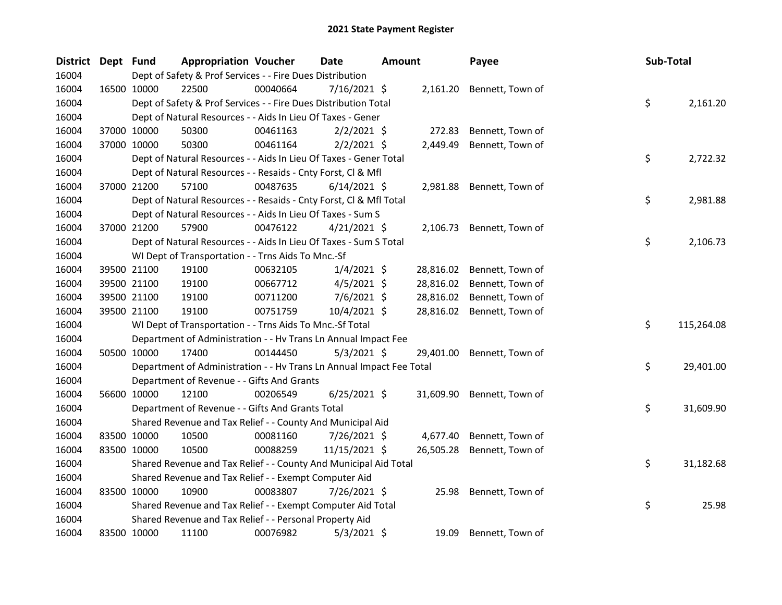| District Dept Fund |             | <b>Appropriation Voucher</b>                                         |          | <b>Date</b>    | <b>Amount</b> |           | Payee            | Sub-Total |            |
|--------------------|-------------|----------------------------------------------------------------------|----------|----------------|---------------|-----------|------------------|-----------|------------|
| 16004              |             | Dept of Safety & Prof Services - - Fire Dues Distribution            |          |                |               |           |                  |           |            |
| 16004              | 16500 10000 | 22500                                                                | 00040664 | $7/16/2021$ \$ |               | 2,161.20  | Bennett, Town of |           |            |
| 16004              |             | Dept of Safety & Prof Services - - Fire Dues Distribution Total      |          |                |               |           |                  | \$        | 2,161.20   |
| 16004              |             | Dept of Natural Resources - - Aids In Lieu Of Taxes - Gener          |          |                |               |           |                  |           |            |
| 16004              | 37000 10000 | 50300                                                                | 00461163 | $2/2/2021$ \$  |               | 272.83    | Bennett, Town of |           |            |
| 16004              | 37000 10000 | 50300                                                                | 00461164 | $2/2/2021$ \$  |               | 2,449.49  | Bennett, Town of |           |            |
| 16004              |             | Dept of Natural Resources - - Aids In Lieu Of Taxes - Gener Total    |          |                |               |           |                  | \$        | 2,722.32   |
| 16004              |             | Dept of Natural Resources - - Resaids - Cnty Forst, Cl & Mfl         |          |                |               |           |                  |           |            |
| 16004              | 37000 21200 | 57100                                                                | 00487635 | $6/14/2021$ \$ |               | 2,981.88  | Bennett, Town of |           |            |
| 16004              |             | Dept of Natural Resources - - Resaids - Cnty Forst, Cl & Mfl Total   |          |                |               |           |                  | \$.       | 2,981.88   |
| 16004              |             | Dept of Natural Resources - - Aids In Lieu Of Taxes - Sum S          |          |                |               |           |                  |           |            |
| 16004              | 37000 21200 | 57900                                                                | 00476122 | $4/21/2021$ \$ |               | 2,106.73  | Bennett, Town of |           |            |
| 16004              |             | Dept of Natural Resources - - Aids In Lieu Of Taxes - Sum S Total    |          |                |               |           |                  | \$        | 2,106.73   |
| 16004              |             | WI Dept of Transportation - - Trns Aids To Mnc.-Sf                   |          |                |               |           |                  |           |            |
| 16004              | 39500 21100 | 19100                                                                | 00632105 | $1/4/2021$ \$  |               | 28,816.02 | Bennett, Town of |           |            |
| 16004              | 39500 21100 | 19100                                                                | 00667712 | $4/5/2021$ \$  |               | 28,816.02 | Bennett, Town of |           |            |
| 16004              | 39500 21100 | 19100                                                                | 00711200 | $7/6/2021$ \$  |               | 28,816.02 | Bennett, Town of |           |            |
| 16004              | 39500 21100 | 19100                                                                | 00751759 | 10/4/2021 \$   |               | 28,816.02 | Bennett, Town of |           |            |
| 16004              |             | WI Dept of Transportation - - Trns Aids To Mnc.-Sf Total             |          |                |               |           |                  | \$        | 115,264.08 |
| 16004              |             | Department of Administration - - Hv Trans Ln Annual Impact Fee       |          |                |               |           |                  |           |            |
| 16004              | 50500 10000 | 17400                                                                | 00144450 | $5/3/2021$ \$  |               | 29,401.00 | Bennett, Town of |           |            |
| 16004              |             | Department of Administration - - Hv Trans Ln Annual Impact Fee Total |          |                |               |           |                  | \$        | 29,401.00  |
| 16004              |             | Department of Revenue - - Gifts And Grants                           |          |                |               |           |                  |           |            |
| 16004              | 56600 10000 | 12100                                                                | 00206549 | $6/25/2021$ \$ |               | 31,609.90 | Bennett, Town of |           |            |
| 16004              |             | Department of Revenue - - Gifts And Grants Total                     |          |                |               |           |                  | \$        | 31,609.90  |
| 16004              |             | Shared Revenue and Tax Relief - - County And Municipal Aid           |          |                |               |           |                  |           |            |
| 16004              | 83500 10000 | 10500                                                                | 00081160 | 7/26/2021 \$   |               | 4,677.40  | Bennett, Town of |           |            |
| 16004              | 83500 10000 | 10500                                                                | 00088259 | 11/15/2021 \$  |               | 26,505.28 | Bennett, Town of |           |            |
| 16004              |             | Shared Revenue and Tax Relief - - County And Municipal Aid Total     |          |                |               |           |                  | \$        | 31,182.68  |
| 16004              |             | Shared Revenue and Tax Relief - - Exempt Computer Aid                |          |                |               |           |                  |           |            |
| 16004              | 83500 10000 | 10900                                                                | 00083807 | 7/26/2021 \$   |               | 25.98     | Bennett, Town of |           |            |
| 16004              |             | Shared Revenue and Tax Relief - - Exempt Computer Aid Total          |          |                |               |           |                  | \$        | 25.98      |
| 16004              |             | Shared Revenue and Tax Relief - - Personal Property Aid              |          |                |               |           |                  |           |            |
| 16004              | 83500 10000 | 11100                                                                | 00076982 | $5/3/2021$ \$  |               | 19.09     | Bennett, Town of |           |            |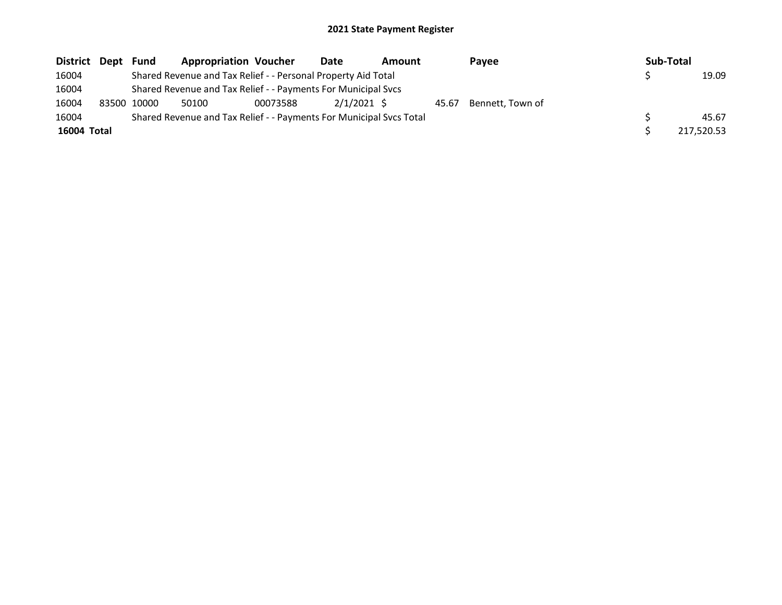| District Dept | Fund        | <b>Appropriation Voucher</b>                                        |          | Date        | <b>Amount</b> | Payee                  | Sub-Total |            |
|---------------|-------------|---------------------------------------------------------------------|----------|-------------|---------------|------------------------|-----------|------------|
| 16004         |             | Shared Revenue and Tax Relief - - Personal Property Aid Total       |          |             |               |                        |           | 19.09      |
| 16004         |             | Shared Revenue and Tax Relief - - Payments For Municipal Svcs       |          |             |               |                        |           |            |
| 16004         | 83500 10000 | 50100                                                               | 00073588 | 2/1/2021 \$ |               | 45.67 Bennett, Town of |           |            |
| 16004         |             | Shared Revenue and Tax Relief - - Payments For Municipal Svcs Total |          |             |               |                        |           | 45.67      |
| 16004 Total   |             |                                                                     |          |             |               |                        |           | 217,520.53 |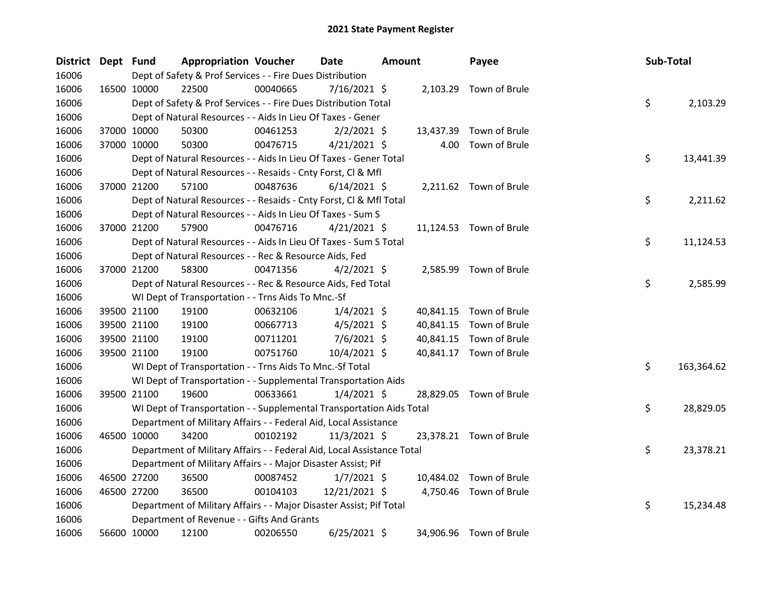| <b>District</b> | Dept Fund |             | <b>Appropriation Voucher</b>                                           |          | <b>Date</b>    | <b>Amount</b> |           | Payee                   | Sub-Total |            |
|-----------------|-----------|-------------|------------------------------------------------------------------------|----------|----------------|---------------|-----------|-------------------------|-----------|------------|
| 16006           |           |             | Dept of Safety & Prof Services - - Fire Dues Distribution              |          |                |               |           |                         |           |            |
| 16006           |           | 16500 10000 | 22500                                                                  | 00040665 | $7/16/2021$ \$ |               |           | 2,103.29 Town of Brule  |           |            |
| 16006           |           |             | Dept of Safety & Prof Services - - Fire Dues Distribution Total        |          |                |               |           |                         | \$        | 2,103.29   |
| 16006           |           |             | Dept of Natural Resources - - Aids In Lieu Of Taxes - Gener            |          |                |               |           |                         |           |            |
| 16006           |           | 37000 10000 | 50300                                                                  | 00461253 | $2/2/2021$ \$  |               | 13,437.39 | Town of Brule           |           |            |
| 16006           |           | 37000 10000 | 50300                                                                  | 00476715 | $4/21/2021$ \$ |               | 4.00      | Town of Brule           |           |            |
| 16006           |           |             | Dept of Natural Resources - - Aids In Lieu Of Taxes - Gener Total      |          |                |               |           |                         | \$        | 13,441.39  |
| 16006           |           |             | Dept of Natural Resources - - Resaids - Cnty Forst, Cl & Mfl           |          |                |               |           |                         |           |            |
| 16006           |           | 37000 21200 | 57100                                                                  | 00487636 | $6/14/2021$ \$ |               |           | 2,211.62 Town of Brule  |           |            |
| 16006           |           |             | Dept of Natural Resources - - Resaids - Cnty Forst, Cl & Mfl Total     |          |                |               |           |                         | \$        | 2,211.62   |
| 16006           |           |             | Dept of Natural Resources - - Aids In Lieu Of Taxes - Sum S            |          |                |               |           |                         |           |            |
| 16006           |           | 37000 21200 | 57900                                                                  | 00476716 | $4/21/2021$ \$ |               |           | 11,124.53 Town of Brule |           |            |
| 16006           |           |             | Dept of Natural Resources - - Aids In Lieu Of Taxes - Sum S Total      |          |                |               |           |                         | \$        | 11,124.53  |
| 16006           |           |             | Dept of Natural Resources - - Rec & Resource Aids, Fed                 |          |                |               |           |                         |           |            |
| 16006           |           | 37000 21200 | 58300                                                                  | 00471356 | $4/2/2021$ \$  |               |           | 2,585.99 Town of Brule  |           |            |
| 16006           |           |             | Dept of Natural Resources - - Rec & Resource Aids, Fed Total           |          |                |               |           |                         | \$        | 2,585.99   |
| 16006           |           |             | WI Dept of Transportation - - Trns Aids To Mnc.-Sf                     |          |                |               |           |                         |           |            |
| 16006           |           | 39500 21100 | 19100                                                                  | 00632106 | $1/4/2021$ \$  |               |           | 40,841.15 Town of Brule |           |            |
| 16006           |           | 39500 21100 | 19100                                                                  | 00667713 | $4/5/2021$ \$  |               | 40,841.15 | Town of Brule           |           |            |
| 16006           |           | 39500 21100 | 19100                                                                  | 00711201 | $7/6/2021$ \$  |               |           | 40,841.15 Town of Brule |           |            |
| 16006           |           | 39500 21100 | 19100                                                                  | 00751760 | 10/4/2021 \$   |               |           | 40,841.17 Town of Brule |           |            |
| 16006           |           |             | WI Dept of Transportation - - Trns Aids To Mnc.-Sf Total               |          |                |               |           |                         | \$        | 163,364.62 |
| 16006           |           |             | WI Dept of Transportation - - Supplemental Transportation Aids         |          |                |               |           |                         |           |            |
| 16006           |           | 39500 21100 | 19600                                                                  | 00633661 | $1/4/2021$ \$  |               |           | 28,829.05 Town of Brule |           |            |
| 16006           |           |             | WI Dept of Transportation - - Supplemental Transportation Aids Total   |          |                |               |           |                         | \$        | 28,829.05  |
| 16006           |           |             | Department of Military Affairs - - Federal Aid, Local Assistance       |          |                |               |           |                         |           |            |
| 16006           |           | 46500 10000 | 34200                                                                  | 00102192 | $11/3/2021$ \$ |               |           | 23,378.21 Town of Brule |           |            |
| 16006           |           |             | Department of Military Affairs - - Federal Aid, Local Assistance Total |          |                |               |           |                         | \$        | 23,378.21  |
| 16006           |           |             | Department of Military Affairs - - Major Disaster Assist; Pif          |          |                |               |           |                         |           |            |
| 16006           |           | 46500 27200 | 36500                                                                  | 00087452 | $1/7/2021$ \$  |               |           | 10,484.02 Town of Brule |           |            |
| 16006           |           | 46500 27200 | 36500                                                                  | 00104103 | 12/21/2021 \$  |               |           | 4,750.46 Town of Brule  |           |            |
| 16006           |           |             | Department of Military Affairs - - Major Disaster Assist; Pif Total    |          |                |               |           |                         | \$        | 15,234.48  |
| 16006           |           |             | Department of Revenue - - Gifts And Grants                             |          |                |               |           |                         |           |            |
| 16006           |           | 56600 10000 | 12100                                                                  | 00206550 | $6/25/2021$ \$ |               |           | 34,906.96 Town of Brule |           |            |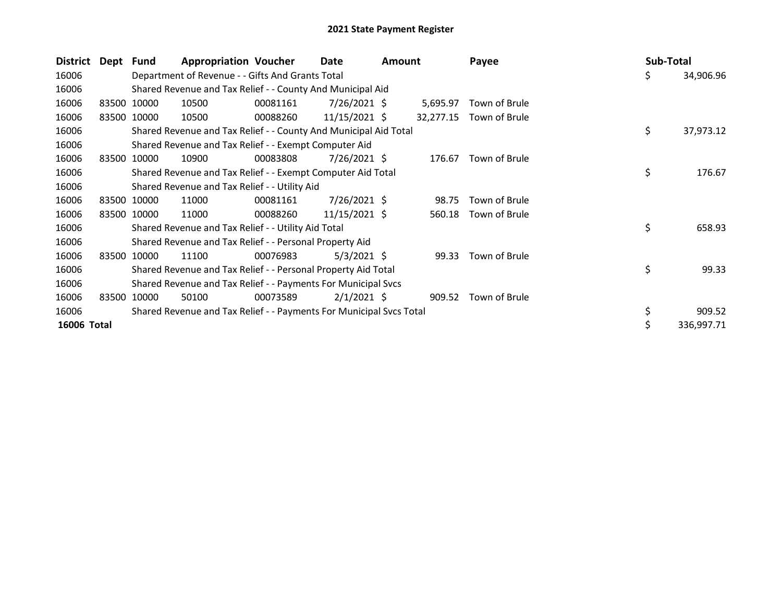| District    | Dept Fund |             | <b>Appropriation Voucher</b>                                        |          | Date            | Amount |           | Payee         | Sub-Total |            |
|-------------|-----------|-------------|---------------------------------------------------------------------|----------|-----------------|--------|-----------|---------------|-----------|------------|
| 16006       |           |             | Department of Revenue - - Gifts And Grants Total                    |          |                 |        |           |               | \$        | 34,906.96  |
| 16006       |           |             | Shared Revenue and Tax Relief - - County And Municipal Aid          |          |                 |        |           |               |           |            |
| 16006       |           | 83500 10000 | 10500                                                               | 00081161 | $7/26/2021$ \$  |        | 5,695.97  | Town of Brule |           |            |
| 16006       | 83500     | 10000       | 10500                                                               | 00088260 | 11/15/2021 \$   |        | 32,277.15 | Town of Brule |           |            |
| 16006       |           |             | Shared Revenue and Tax Relief - - County And Municipal Aid Total    |          |                 |        |           |               | \$        | 37,973.12  |
| 16006       |           |             | Shared Revenue and Tax Relief - - Exempt Computer Aid               |          |                 |        |           |               |           |            |
| 16006       | 83500     | 10000       | 10900                                                               | 00083808 | $7/26/2021$ \$  |        | 176.67    | Town of Brule |           |            |
| 16006       |           |             | Shared Revenue and Tax Relief - - Exempt Computer Aid Total         |          |                 |        |           |               | \$        | 176.67     |
| 16006       |           |             | Shared Revenue and Tax Relief - - Utility Aid                       |          |                 |        |           |               |           |            |
| 16006       | 83500     | 10000       | 11000                                                               | 00081161 | $7/26/2021$ \$  |        | 98.75     | Town of Brule |           |            |
| 16006       |           | 83500 10000 | 11000                                                               | 00088260 | $11/15/2021$ \$ |        | 560.18    | Town of Brule |           |            |
| 16006       |           |             | Shared Revenue and Tax Relief - - Utility Aid Total                 |          |                 |        |           |               | \$        | 658.93     |
| 16006       |           |             | Shared Revenue and Tax Relief - - Personal Property Aid             |          |                 |        |           |               |           |            |
| 16006       | 83500     | 10000       | 11100                                                               | 00076983 | $5/3/2021$ \$   |        | 99.33     | Town of Brule |           |            |
| 16006       |           |             | Shared Revenue and Tax Relief - - Personal Property Aid Total       |          |                 |        |           |               | \$        | 99.33      |
| 16006       |           |             | Shared Revenue and Tax Relief - - Payments For Municipal Svcs       |          |                 |        |           |               |           |            |
| 16006       | 83500     | 10000       | 50100                                                               | 00073589 | $2/1/2021$ \$   |        | 909.52    | Town of Brule |           |            |
| 16006       |           |             | Shared Revenue and Tax Relief - - Payments For Municipal Svcs Total |          |                 |        |           |               | \$        | 909.52     |
| 16006 Total |           |             |                                                                     |          |                 |        |           |               |           | 336,997.71 |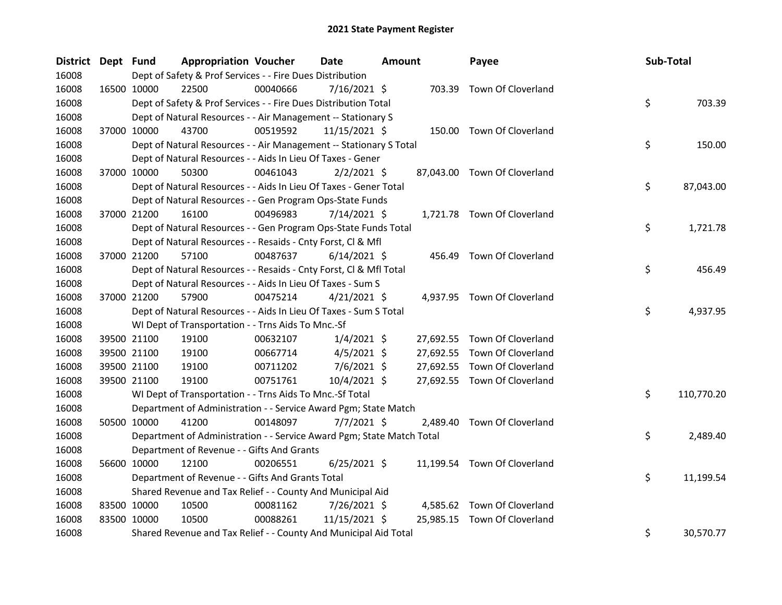| <b>District</b> | Dept Fund | <b>Appropriation Voucher</b>                                          |          | Date           | <b>Amount</b> |          | Payee                        | Sub-Total        |
|-----------------|-----------|-----------------------------------------------------------------------|----------|----------------|---------------|----------|------------------------------|------------------|
| 16008           |           | Dept of Safety & Prof Services - - Fire Dues Distribution             |          |                |               |          |                              |                  |
| 16008           |           | 16500 10000<br>22500                                                  | 00040666 | 7/16/2021 \$   |               |          | 703.39 Town Of Cloverland    |                  |
| 16008           |           | Dept of Safety & Prof Services - - Fire Dues Distribution Total       |          |                |               |          |                              | \$<br>703.39     |
| 16008           |           | Dept of Natural Resources - - Air Management -- Stationary S          |          |                |               |          |                              |                  |
| 16008           |           | 37000 10000<br>43700                                                  | 00519592 | 11/15/2021 \$  |               |          | 150.00 Town Of Cloverland    |                  |
| 16008           |           | Dept of Natural Resources - - Air Management -- Stationary S Total    |          |                |               |          |                              | \$<br>150.00     |
| 16008           |           | Dept of Natural Resources - - Aids In Lieu Of Taxes - Gener           |          |                |               |          |                              |                  |
| 16008           |           | 37000 10000<br>50300                                                  | 00461043 | $2/2/2021$ \$  |               |          | 87,043.00 Town Of Cloverland |                  |
| 16008           |           | Dept of Natural Resources - - Aids In Lieu Of Taxes - Gener Total     |          |                |               |          |                              | \$<br>87,043.00  |
| 16008           |           | Dept of Natural Resources - - Gen Program Ops-State Funds             |          |                |               |          |                              |                  |
| 16008           |           | 37000 21200<br>16100                                                  | 00496983 | 7/14/2021 \$   |               |          | 1,721.78 Town Of Cloverland  |                  |
| 16008           |           | Dept of Natural Resources - - Gen Program Ops-State Funds Total       |          |                |               |          |                              | \$<br>1,721.78   |
| 16008           |           | Dept of Natural Resources - - Resaids - Cnty Forst, Cl & Mfl          |          |                |               |          |                              |                  |
| 16008           |           | 37000 21200<br>57100                                                  | 00487637 | $6/14/2021$ \$ |               |          | 456.49 Town Of Cloverland    |                  |
| 16008           |           | Dept of Natural Resources - - Resaids - Cnty Forst, Cl & Mfl Total    |          |                |               |          |                              | \$<br>456.49     |
| 16008           |           | Dept of Natural Resources - - Aids In Lieu Of Taxes - Sum S           |          |                |               |          |                              |                  |
| 16008           |           | 37000 21200<br>57900                                                  | 00475214 | $4/21/2021$ \$ |               |          | 4,937.95 Town Of Cloverland  |                  |
| 16008           |           | Dept of Natural Resources - - Aids In Lieu Of Taxes - Sum S Total     |          |                |               |          |                              | \$<br>4,937.95   |
| 16008           |           | WI Dept of Transportation - - Trns Aids To Mnc.-Sf                    |          |                |               |          |                              |                  |
| 16008           |           | 19100<br>39500 21100                                                  | 00632107 | $1/4/2021$ \$  |               |          | 27,692.55 Town Of Cloverland |                  |
| 16008           |           | 39500 21100<br>19100                                                  | 00667714 | $4/5/2021$ \$  |               |          | 27,692.55 Town Of Cloverland |                  |
| 16008           |           | 39500 21100<br>19100                                                  | 00711202 | $7/6/2021$ \$  |               |          | 27,692.55 Town Of Cloverland |                  |
| 16008           |           | 39500 21100<br>19100                                                  | 00751761 | $10/4/2021$ \$ |               |          | 27,692.55 Town Of Cloverland |                  |
| 16008           |           | WI Dept of Transportation - - Trns Aids To Mnc.-Sf Total              |          |                |               |          |                              | \$<br>110,770.20 |
| 16008           |           | Department of Administration - - Service Award Pgm; State Match       |          |                |               |          |                              |                  |
| 16008           |           | 50500 10000<br>41200                                                  | 00148097 | $7/7/2021$ \$  |               | 2,489.40 | Town Of Cloverland           |                  |
| 16008           |           | Department of Administration - - Service Award Pgm; State Match Total |          |                |               |          |                              | \$<br>2,489.40   |
| 16008           |           | Department of Revenue - - Gifts And Grants                            |          |                |               |          |                              |                  |
| 16008           |           | 56600 10000<br>12100                                                  | 00206551 | $6/25/2021$ \$ |               |          | 11,199.54 Town Of Cloverland |                  |
| 16008           |           | Department of Revenue - - Gifts And Grants Total                      |          |                |               |          |                              | \$<br>11,199.54  |
| 16008           |           | Shared Revenue and Tax Relief - - County And Municipal Aid            |          |                |               |          |                              |                  |
| 16008           |           | 83500 10000<br>10500                                                  | 00081162 | 7/26/2021 \$   |               |          | 4,585.62 Town Of Cloverland  |                  |
| 16008           |           | 83500 10000<br>10500                                                  | 00088261 | 11/15/2021 \$  |               |          | 25,985.15 Town Of Cloverland |                  |
| 16008           |           | Shared Revenue and Tax Relief - - County And Municipal Aid Total      |          |                |               |          |                              | \$<br>30,570.77  |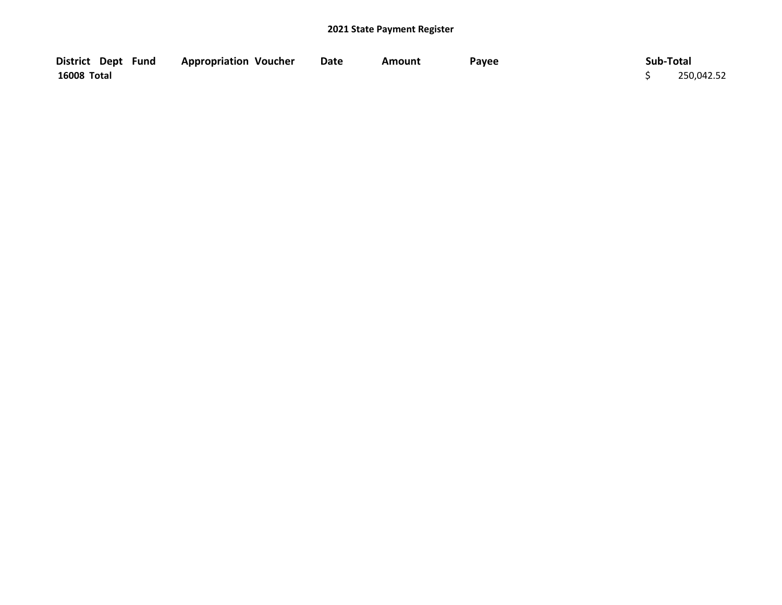| District Dept Fund | <b>Appropriation Voucher</b> | <b>Date</b> | Amount | Payee | Sub-Total  |
|--------------------|------------------------------|-------------|--------|-------|------------|
| <b>16008 Total</b> |                              |             |        |       | 250,042.52 |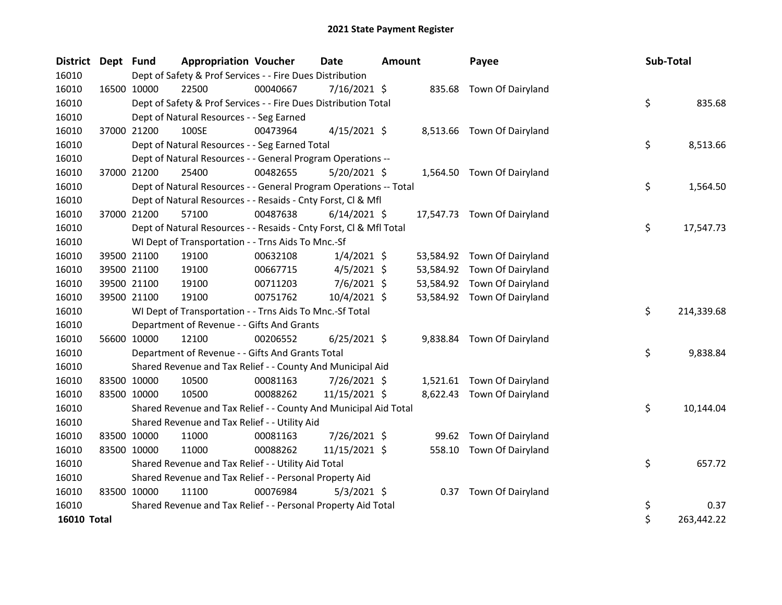| District Dept Fund |             |             | <b>Appropriation Voucher</b>                                       |          | <b>Date</b>    | <b>Amount</b> |           | Payee                       | Sub-Total |            |
|--------------------|-------------|-------------|--------------------------------------------------------------------|----------|----------------|---------------|-----------|-----------------------------|-----------|------------|
| 16010              |             |             | Dept of Safety & Prof Services - - Fire Dues Distribution          |          |                |               |           |                             |           |            |
| 16010              |             | 16500 10000 | 22500                                                              | 00040667 | 7/16/2021 \$   |               |           | 835.68 Town Of Dairyland    |           |            |
| 16010              |             |             | Dept of Safety & Prof Services - - Fire Dues Distribution Total    |          |                |               |           |                             | \$        | 835.68     |
| 16010              |             |             | Dept of Natural Resources - - Seg Earned                           |          |                |               |           |                             |           |            |
| 16010              | 37000 21200 |             | 100SE                                                              | 00473964 | $4/15/2021$ \$ |               |           | 8,513.66 Town Of Dairyland  |           |            |
| 16010              |             |             | Dept of Natural Resources - - Seg Earned Total                     |          |                |               |           |                             | \$        | 8,513.66   |
| 16010              |             |             | Dept of Natural Resources - - General Program Operations --        |          |                |               |           |                             |           |            |
| 16010              |             | 37000 21200 | 25400                                                              | 00482655 | $5/20/2021$ \$ |               |           | 1,564.50 Town Of Dairyland  |           |            |
| 16010              |             |             | Dept of Natural Resources - - General Program Operations -- Total  |          |                |               |           |                             | \$        | 1,564.50   |
| 16010              |             |             | Dept of Natural Resources - - Resaids - Cnty Forst, Cl & Mfl       |          |                |               |           |                             |           |            |
| 16010              | 37000 21200 |             | 57100                                                              | 00487638 | $6/14/2021$ \$ |               |           | 17,547.73 Town Of Dairyland |           |            |
| 16010              |             |             | Dept of Natural Resources - - Resaids - Cnty Forst, Cl & Mfl Total |          |                |               |           |                             | \$        | 17,547.73  |
| 16010              |             |             | WI Dept of Transportation - - Trns Aids To Mnc.-Sf                 |          |                |               |           |                             |           |            |
| 16010              |             | 39500 21100 | 19100                                                              | 00632108 | $1/4/2021$ \$  |               |           | 53,584.92 Town Of Dairyland |           |            |
| 16010              |             | 39500 21100 | 19100                                                              | 00667715 | $4/5/2021$ \$  |               | 53,584.92 | Town Of Dairyland           |           |            |
| 16010              |             | 39500 21100 | 19100                                                              | 00711203 | 7/6/2021 \$    |               | 53,584.92 | Town Of Dairyland           |           |            |
| 16010              |             | 39500 21100 | 19100                                                              | 00751762 | 10/4/2021 \$   |               |           | 53,584.92 Town Of Dairyland |           |            |
| 16010              |             |             | WI Dept of Transportation - - Trns Aids To Mnc.-Sf Total           |          |                |               |           |                             | \$        | 214,339.68 |
| 16010              |             |             | Department of Revenue - - Gifts And Grants                         |          |                |               |           |                             |           |            |
| 16010              | 56600 10000 |             | 12100                                                              | 00206552 | $6/25/2021$ \$ |               |           | 9,838.84 Town Of Dairyland  |           |            |
| 16010              |             |             | Department of Revenue - - Gifts And Grants Total                   |          |                |               |           |                             | \$        | 9,838.84   |
| 16010              |             |             | Shared Revenue and Tax Relief - - County And Municipal Aid         |          |                |               |           |                             |           |            |
| 16010              |             | 83500 10000 | 10500                                                              | 00081163 | 7/26/2021 \$   |               |           | 1,521.61 Town Of Dairyland  |           |            |
| 16010              | 83500 10000 |             | 10500                                                              | 00088262 | 11/15/2021 \$  |               |           | 8,622.43 Town Of Dairyland  |           |            |
| 16010              |             |             | Shared Revenue and Tax Relief - - County And Municipal Aid Total   |          |                |               |           |                             | \$        | 10,144.04  |
| 16010              |             |             | Shared Revenue and Tax Relief - - Utility Aid                      |          |                |               |           |                             |           |            |
| 16010              |             | 83500 10000 | 11000                                                              | 00081163 | 7/26/2021 \$   |               | 99.62     | Town Of Dairyland           |           |            |
| 16010              | 83500 10000 |             | 11000                                                              | 00088262 | 11/15/2021 \$  |               | 558.10    | Town Of Dairyland           |           |            |
| 16010              |             |             | Shared Revenue and Tax Relief - - Utility Aid Total                |          |                |               |           |                             | \$        | 657.72     |
| 16010              |             |             | Shared Revenue and Tax Relief - - Personal Property Aid            |          |                |               |           |                             |           |            |
| 16010              | 83500 10000 |             | 11100                                                              | 00076984 | $5/3/2021$ \$  |               |           | 0.37 Town Of Dairyland      |           |            |
| 16010              |             |             | Shared Revenue and Tax Relief - - Personal Property Aid Total      |          |                |               |           |                             | \$        | 0.37       |
| <b>16010 Total</b> |             |             |                                                                    |          |                |               |           |                             | \$        | 263,442.22 |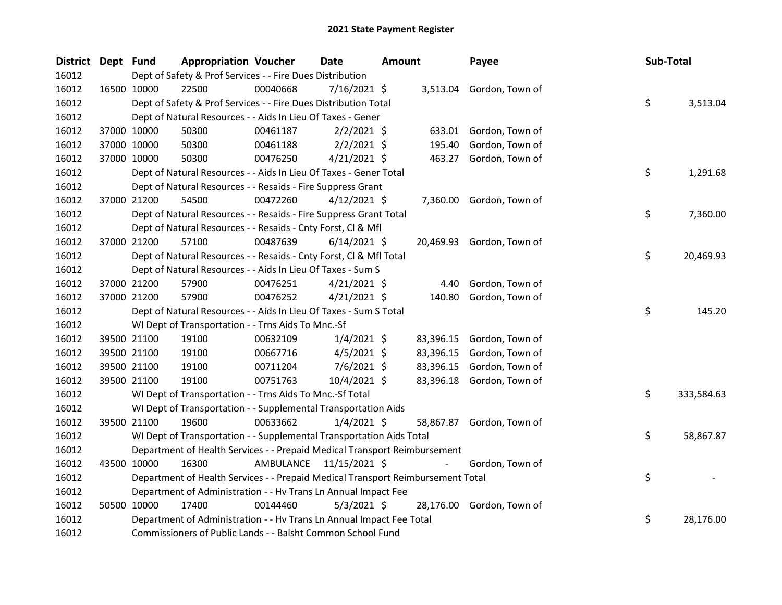| District Dept Fund |             |             | <b>Appropriation Voucher</b>                                                    |                         | <b>Date</b>    | Amount |           | Payee                     | Sub-Total |            |
|--------------------|-------------|-------------|---------------------------------------------------------------------------------|-------------------------|----------------|--------|-----------|---------------------------|-----------|------------|
| 16012              |             |             | Dept of Safety & Prof Services - - Fire Dues Distribution                       |                         |                |        |           |                           |           |            |
| 16012              | 16500 10000 |             | 22500                                                                           | 00040668                | $7/16/2021$ \$ |        |           | 3,513.04 Gordon, Town of  |           |            |
| 16012              |             |             | Dept of Safety & Prof Services - - Fire Dues Distribution Total                 |                         |                |        |           |                           | \$        | 3,513.04   |
| 16012              |             |             | Dept of Natural Resources - - Aids In Lieu Of Taxes - Gener                     |                         |                |        |           |                           |           |            |
| 16012              |             | 37000 10000 | 50300                                                                           | 00461187                | $2/2/2021$ \$  |        | 633.01    | Gordon, Town of           |           |            |
| 16012              |             | 37000 10000 | 50300                                                                           | 00461188                | $2/2/2021$ \$  |        | 195.40    | Gordon, Town of           |           |            |
| 16012              |             | 37000 10000 | 50300                                                                           | 00476250                | $4/21/2021$ \$ |        |           | 463.27 Gordon, Town of    |           |            |
| 16012              |             |             | Dept of Natural Resources - - Aids In Lieu Of Taxes - Gener Total               |                         |                |        |           |                           | \$        | 1,291.68   |
| 16012              |             |             | Dept of Natural Resources - - Resaids - Fire Suppress Grant                     |                         |                |        |           |                           |           |            |
| 16012              |             | 37000 21200 | 54500                                                                           | 00472260                | 4/12/2021 \$   |        |           | 7,360.00 Gordon, Town of  |           |            |
| 16012              |             |             | Dept of Natural Resources - - Resaids - Fire Suppress Grant Total               |                         |                |        |           |                           | \$        | 7,360.00   |
| 16012              |             |             | Dept of Natural Resources - - Resaids - Cnty Forst, Cl & Mfl                    |                         |                |        |           |                           |           |            |
| 16012              |             | 37000 21200 | 57100                                                                           | 00487639                | $6/14/2021$ \$ |        |           | 20,469.93 Gordon, Town of |           |            |
| 16012              |             |             | Dept of Natural Resources - - Resaids - Cnty Forst, Cl & Mfl Total              |                         |                |        |           |                           | \$        | 20,469.93  |
| 16012              |             |             | Dept of Natural Resources - - Aids In Lieu Of Taxes - Sum S                     |                         |                |        |           |                           |           |            |
| 16012              |             | 37000 21200 | 57900                                                                           | 00476251                | $4/21/2021$ \$ |        | 4.40      | Gordon, Town of           |           |            |
| 16012              |             | 37000 21200 | 57900                                                                           | 00476252                | $4/21/2021$ \$ |        | 140.80    | Gordon, Town of           |           |            |
| 16012              |             |             | Dept of Natural Resources - - Aids In Lieu Of Taxes - Sum S Total               |                         |                |        |           |                           | \$        | 145.20     |
| 16012              |             |             | WI Dept of Transportation - - Trns Aids To Mnc.-Sf                              |                         |                |        |           |                           |           |            |
| 16012              |             | 39500 21100 | 19100                                                                           | 00632109                | $1/4/2021$ \$  |        | 83,396.15 | Gordon, Town of           |           |            |
| 16012              |             | 39500 21100 | 19100                                                                           | 00667716                | $4/5/2021$ \$  |        | 83,396.15 | Gordon, Town of           |           |            |
| 16012              |             | 39500 21100 | 19100                                                                           | 00711204                | $7/6/2021$ \$  |        | 83,396.15 | Gordon, Town of           |           |            |
| 16012              |             | 39500 21100 | 19100                                                                           | 00751763                | 10/4/2021 \$   |        | 83,396.18 | Gordon, Town of           |           |            |
| 16012              |             |             | WI Dept of Transportation - - Trns Aids To Mnc.-Sf Total                        |                         |                |        |           |                           | \$        | 333,584.63 |
| 16012              |             |             | WI Dept of Transportation - - Supplemental Transportation Aids                  |                         |                |        |           |                           |           |            |
| 16012              |             | 39500 21100 | 19600                                                                           | 00633662                | $1/4/2021$ \$  |        |           | 58,867.87 Gordon, Town of |           |            |
| 16012              |             |             | WI Dept of Transportation - - Supplemental Transportation Aids Total            |                         |                |        |           |                           | \$        | 58,867.87  |
| 16012              |             |             | Department of Health Services - - Prepaid Medical Transport Reimbursement       |                         |                |        |           |                           |           |            |
| 16012              | 43500 10000 |             | 16300                                                                           | AMBULANCE 11/15/2021 \$ |                |        |           | Gordon, Town of           |           |            |
| 16012              |             |             | Department of Health Services - - Prepaid Medical Transport Reimbursement Total |                         |                |        |           |                           | \$        |            |
| 16012              |             |             | Department of Administration - - Hv Trans Ln Annual Impact Fee                  |                         |                |        |           |                           |           |            |
| 16012              |             | 50500 10000 | 17400                                                                           | 00144460                | $5/3/2021$ \$  |        |           | 28,176.00 Gordon, Town of |           |            |
| 16012              |             |             | Department of Administration - - Hv Trans Ln Annual Impact Fee Total            |                         |                |        |           |                           | \$        | 28,176.00  |
| 16012              |             |             | Commissioners of Public Lands - - Balsht Common School Fund                     |                         |                |        |           |                           |           |            |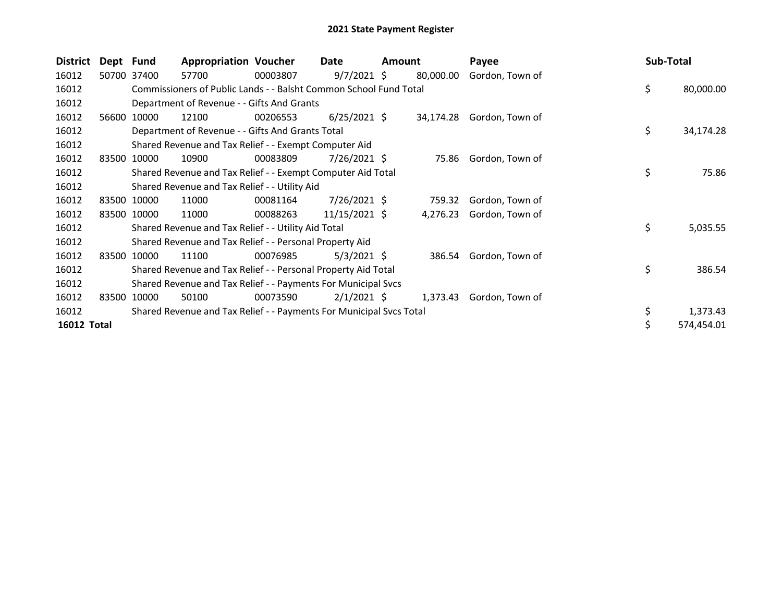| <b>District</b> | Dept Fund |             | <b>Appropriation Voucher</b>                                        |          | Date           | Amount |           | Payee           | Sub-Total |            |
|-----------------|-----------|-------------|---------------------------------------------------------------------|----------|----------------|--------|-----------|-----------------|-----------|------------|
| 16012           |           | 50700 37400 | 57700                                                               | 00003807 | $9/7/2021$ \$  |        | 80,000.00 | Gordon, Town of |           |            |
| 16012           |           |             | Commissioners of Public Lands - - Balsht Common School Fund Total   |          |                |        |           |                 | \$        | 80,000.00  |
| 16012           |           |             | Department of Revenue - - Gifts And Grants                          |          |                |        |           |                 |           |            |
| 16012           | 56600     | 10000       | 12100                                                               | 00206553 | $6/25/2021$ \$ |        | 34,174.28 | Gordon, Town of |           |            |
| 16012           |           |             | Department of Revenue - - Gifts And Grants Total                    |          |                |        |           |                 | \$        | 34,174.28  |
| 16012           |           |             | Shared Revenue and Tax Relief - - Exempt Computer Aid               |          |                |        |           |                 |           |            |
| 16012           | 83500     | 10000       | 10900                                                               | 00083809 | $7/26/2021$ \$ |        | 75.86     | Gordon, Town of |           |            |
| 16012           |           |             | Shared Revenue and Tax Relief - - Exempt Computer Aid Total         |          |                |        |           |                 | \$        | 75.86      |
| 16012           |           |             | Shared Revenue and Tax Relief - - Utility Aid                       |          |                |        |           |                 |           |            |
| 16012           | 83500     | 10000       | 11000                                                               | 00081164 | $7/26/2021$ \$ |        | 759.32    | Gordon, Town of |           |            |
| 16012           |           | 83500 10000 | 11000                                                               | 00088263 | 11/15/2021 \$  |        | 4,276.23  | Gordon, Town of |           |            |
| 16012           |           |             | Shared Revenue and Tax Relief - - Utility Aid Total                 |          |                |        |           |                 | \$        | 5,035.55   |
| 16012           |           |             | Shared Revenue and Tax Relief - - Personal Property Aid             |          |                |        |           |                 |           |            |
| 16012           | 83500     | 10000       | 11100                                                               | 00076985 | $5/3/2021$ \$  |        | 386.54    | Gordon, Town of |           |            |
| 16012           |           |             | Shared Revenue and Tax Relief - - Personal Property Aid Total       |          |                |        |           |                 | \$        | 386.54     |
| 16012           |           |             | Shared Revenue and Tax Relief - - Payments For Municipal Svcs       |          |                |        |           |                 |           |            |
| 16012           | 83500     | 10000       | 50100                                                               | 00073590 | $2/1/2021$ \$  |        | 1,373.43  | Gordon, Town of |           |            |
| 16012           |           |             | Shared Revenue and Tax Relief - - Payments For Municipal Svcs Total |          |                |        |           |                 |           | 1,373.43   |
| 16012 Total     |           |             |                                                                     |          |                |        |           |                 |           | 574,454.01 |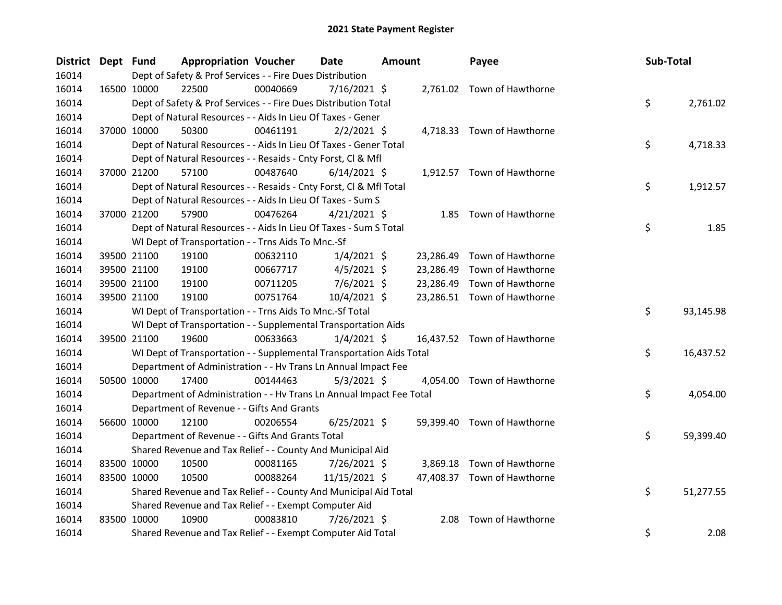| District Dept Fund |             | <b>Appropriation Voucher</b>                                         |          | <b>Date</b>    | <b>Amount</b> |           | Payee                       | Sub-Total |           |
|--------------------|-------------|----------------------------------------------------------------------|----------|----------------|---------------|-----------|-----------------------------|-----------|-----------|
| 16014              |             | Dept of Safety & Prof Services - - Fire Dues Distribution            |          |                |               |           |                             |           |           |
| 16014              | 16500 10000 | 22500                                                                | 00040669 | 7/16/2021 \$   |               |           | 2,761.02 Town of Hawthorne  |           |           |
| 16014              |             | Dept of Safety & Prof Services - - Fire Dues Distribution Total      |          |                |               |           |                             | \$        | 2,761.02  |
| 16014              |             | Dept of Natural Resources - - Aids In Lieu Of Taxes - Gener          |          |                |               |           |                             |           |           |
| 16014              | 37000 10000 | 50300                                                                | 00461191 | $2/2/2021$ \$  |               |           | 4,718.33 Town of Hawthorne  |           |           |
| 16014              |             | Dept of Natural Resources - - Aids In Lieu Of Taxes - Gener Total    |          |                |               |           |                             | \$        | 4,718.33  |
| 16014              |             | Dept of Natural Resources - - Resaids - Cnty Forst, Cl & Mfl         |          |                |               |           |                             |           |           |
| 16014              | 37000 21200 | 57100                                                                | 00487640 | $6/14/2021$ \$ |               |           | 1,912.57 Town of Hawthorne  |           |           |
| 16014              |             | Dept of Natural Resources - - Resaids - Cnty Forst, Cl & Mfl Total   |          |                |               |           |                             | \$        | 1,912.57  |
| 16014              |             | Dept of Natural Resources - - Aids In Lieu Of Taxes - Sum S          |          |                |               |           |                             |           |           |
| 16014              | 37000 21200 | 57900                                                                | 00476264 | $4/21/2021$ \$ |               | 1.85      | Town of Hawthorne           |           |           |
| 16014              |             | Dept of Natural Resources - - Aids In Lieu Of Taxes - Sum S Total    |          |                |               |           |                             | \$        | 1.85      |
| 16014              |             | WI Dept of Transportation - - Trns Aids To Mnc.-Sf                   |          |                |               |           |                             |           |           |
| 16014              | 39500 21100 | 19100                                                                | 00632110 | $1/4/2021$ \$  |               | 23,286.49 | Town of Hawthorne           |           |           |
| 16014              | 39500 21100 | 19100                                                                | 00667717 | $4/5/2021$ \$  |               | 23,286.49 | Town of Hawthorne           |           |           |
| 16014              | 39500 21100 | 19100                                                                | 00711205 | $7/6/2021$ \$  |               | 23,286.49 | Town of Hawthorne           |           |           |
| 16014              | 39500 21100 | 19100                                                                | 00751764 | 10/4/2021 \$   |               |           | 23,286.51 Town of Hawthorne |           |           |
| 16014              |             | WI Dept of Transportation - - Trns Aids To Mnc.-Sf Total             |          |                |               |           |                             | \$        | 93,145.98 |
| 16014              |             | WI Dept of Transportation - - Supplemental Transportation Aids       |          |                |               |           |                             |           |           |
| 16014              | 39500 21100 | 19600                                                                | 00633663 | $1/4/2021$ \$  |               |           | 16,437.52 Town of Hawthorne |           |           |
| 16014              |             | WI Dept of Transportation - - Supplemental Transportation Aids Total |          |                |               |           |                             | \$        | 16,437.52 |
| 16014              |             | Department of Administration - - Hv Trans Ln Annual Impact Fee       |          |                |               |           |                             |           |           |
| 16014              | 50500 10000 | 17400                                                                | 00144463 | $5/3/2021$ \$  |               |           | 4,054.00 Town of Hawthorne  |           |           |
| 16014              |             | Department of Administration - - Hv Trans Ln Annual Impact Fee Total |          |                |               |           |                             | \$        | 4,054.00  |
| 16014              |             | Department of Revenue - - Gifts And Grants                           |          |                |               |           |                             |           |           |
| 16014              | 56600 10000 | 12100                                                                | 00206554 | $6/25/2021$ \$ |               |           | 59,399.40 Town of Hawthorne |           |           |
| 16014              |             | Department of Revenue - - Gifts And Grants Total                     |          |                |               |           |                             | \$        | 59,399.40 |
| 16014              |             | Shared Revenue and Tax Relief - - County And Municipal Aid           |          |                |               |           |                             |           |           |
| 16014              | 83500 10000 | 10500                                                                | 00081165 | 7/26/2021 \$   |               | 3,869.18  | Town of Hawthorne           |           |           |
| 16014              | 83500 10000 | 10500                                                                | 00088264 | 11/15/2021 \$  |               |           | 47,408.37 Town of Hawthorne |           |           |
| 16014              |             | Shared Revenue and Tax Relief - - County And Municipal Aid Total     |          |                |               |           |                             | \$        | 51,277.55 |
| 16014              |             | Shared Revenue and Tax Relief - - Exempt Computer Aid                |          |                |               |           |                             |           |           |
| 16014              | 83500 10000 | 10900                                                                | 00083810 | 7/26/2021 \$   |               | 2.08      | Town of Hawthorne           |           |           |
| 16014              |             | Shared Revenue and Tax Relief - - Exempt Computer Aid Total          |          |                |               |           |                             | \$        | 2.08      |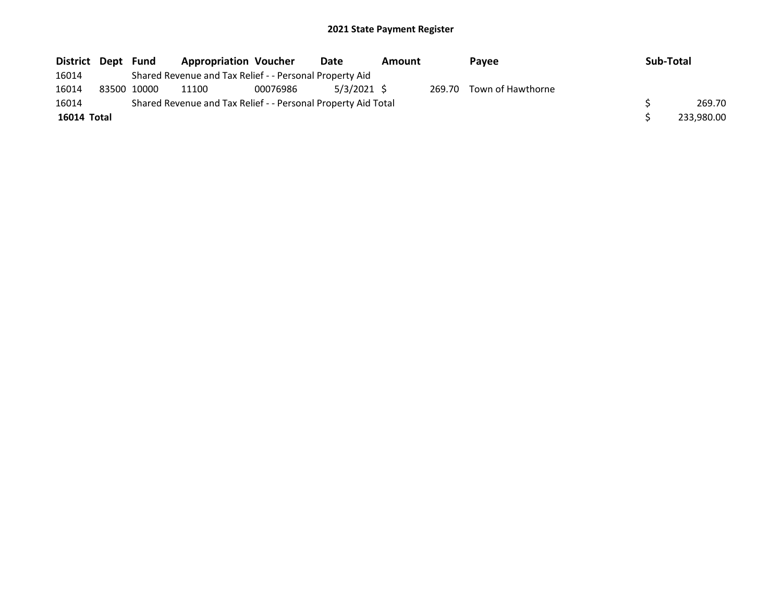| District Dept | Fund        | <b>Appropriation Voucher</b>                                  |          | Date          | Amount |        | Payee             | Sub-Total |            |
|---------------|-------------|---------------------------------------------------------------|----------|---------------|--------|--------|-------------------|-----------|------------|
| 16014         |             | Shared Revenue and Tax Relief - - Personal Property Aid       |          |               |        |        |                   |           |            |
| 16014         | 83500 10000 | 11100                                                         | 00076986 | $5/3/2021$ \$ |        | 269.70 | Town of Hawthorne |           |            |
| 16014         |             | Shared Revenue and Tax Relief - - Personal Property Aid Total |          |               |        |        |                   |           | 269.70     |
| 16014 Total   |             |                                                               |          |               |        |        |                   |           | 233,980.00 |
|               |             |                                                               |          |               |        |        |                   |           |            |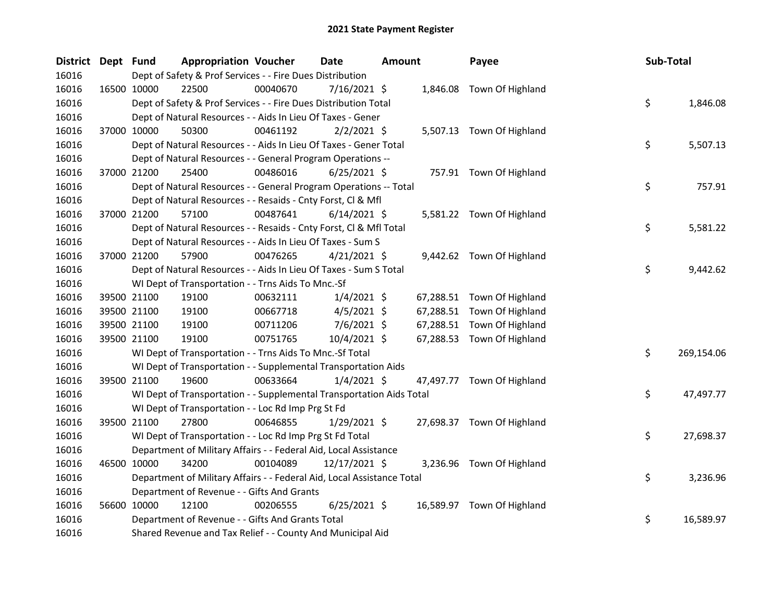| District Dept Fund | <b>Appropriation Voucher</b>                                           |          | <b>Date</b>    | <b>Amount</b> | Payee                      | Sub-Total |            |
|--------------------|------------------------------------------------------------------------|----------|----------------|---------------|----------------------------|-----------|------------|
| 16016              | Dept of Safety & Prof Services - - Fire Dues Distribution              |          |                |               |                            |           |            |
| 16016              | 22500<br>16500 10000                                                   | 00040670 | $7/16/2021$ \$ |               | 1,846.08 Town Of Highland  |           |            |
| 16016              | Dept of Safety & Prof Services - - Fire Dues Distribution Total        |          |                |               |                            | \$        | 1,846.08   |
| 16016              | Dept of Natural Resources - - Aids In Lieu Of Taxes - Gener            |          |                |               |                            |           |            |
| 16016              | 37000 10000<br>50300                                                   | 00461192 | $2/2/2021$ \$  |               | 5,507.13 Town Of Highland  |           |            |
| 16016              | Dept of Natural Resources - - Aids In Lieu Of Taxes - Gener Total      |          |                |               |                            | \$        | 5,507.13   |
| 16016              | Dept of Natural Resources - - General Program Operations --            |          |                |               |                            |           |            |
| 16016              | 37000 21200<br>25400                                                   | 00486016 | $6/25/2021$ \$ |               | 757.91 Town Of Highland    |           |            |
| 16016              | Dept of Natural Resources - - General Program Operations -- Total      |          |                |               |                            | \$        | 757.91     |
| 16016              | Dept of Natural Resources - - Resaids - Cnty Forst, Cl & Mfl           |          |                |               |                            |           |            |
| 16016              | 37000 21200<br>57100                                                   | 00487641 | $6/14/2021$ \$ |               | 5,581.22 Town Of Highland  |           |            |
| 16016              | Dept of Natural Resources - - Resaids - Cnty Forst, CI & Mfl Total     |          |                |               |                            | \$        | 5,581.22   |
| 16016              | Dept of Natural Resources - - Aids In Lieu Of Taxes - Sum S            |          |                |               |                            |           |            |
| 16016              | 37000 21200<br>57900                                                   | 00476265 | $4/21/2021$ \$ |               | 9,442.62 Town Of Highland  |           |            |
| 16016              | Dept of Natural Resources - - Aids In Lieu Of Taxes - Sum S Total      |          |                |               |                            | \$        | 9,442.62   |
| 16016              | WI Dept of Transportation - - Trns Aids To Mnc.-Sf                     |          |                |               |                            |           |            |
| 16016              | 39500 21100<br>19100                                                   | 00632111 | $1/4/2021$ \$  |               | 67,288.51 Town Of Highland |           |            |
| 16016              | 39500 21100<br>19100                                                   | 00667718 | $4/5/2021$ \$  |               | 67,288.51 Town Of Highland |           |            |
| 16016              | 39500 21100<br>19100                                                   | 00711206 | $7/6/2021$ \$  |               | 67,288.51 Town Of Highland |           |            |
| 16016              | 19100<br>39500 21100                                                   | 00751765 | $10/4/2021$ \$ |               | 67,288.53 Town Of Highland |           |            |
| 16016              | WI Dept of Transportation - - Trns Aids To Mnc.-Sf Total               |          |                |               |                            | \$        | 269,154.06 |
| 16016              | WI Dept of Transportation - - Supplemental Transportation Aids         |          |                |               |                            |           |            |
| 16016              | 39500 21100<br>19600                                                   | 00633664 | $1/4/2021$ \$  |               | 47,497.77 Town Of Highland |           |            |
| 16016              | WI Dept of Transportation - - Supplemental Transportation Aids Total   |          |                |               |                            | \$        | 47,497.77  |
| 16016              | WI Dept of Transportation - - Loc Rd Imp Prg St Fd                     |          |                |               |                            |           |            |
| 16016              | 39500 21100<br>27800                                                   | 00646855 | $1/29/2021$ \$ |               | 27,698.37 Town Of Highland |           |            |
| 16016              | WI Dept of Transportation - - Loc Rd Imp Prg St Fd Total               |          |                |               |                            | \$        | 27,698.37  |
| 16016              | Department of Military Affairs - - Federal Aid, Local Assistance       |          |                |               |                            |           |            |
| 16016              | 46500 10000<br>34200                                                   | 00104089 | 12/17/2021 \$  |               | 3,236.96 Town Of Highland  |           |            |
| 16016              | Department of Military Affairs - - Federal Aid, Local Assistance Total |          |                |               |                            | \$        | 3,236.96   |
| 16016              | Department of Revenue - - Gifts And Grants                             |          |                |               |                            |           |            |
| 16016              | 56600 10000<br>12100                                                   | 00206555 | $6/25/2021$ \$ |               | 16,589.97 Town Of Highland |           |            |
| 16016              | Department of Revenue - - Gifts And Grants Total                       |          |                |               |                            | \$        | 16,589.97  |
| 16016              | Shared Revenue and Tax Relief - - County And Municipal Aid             |          |                |               |                            |           |            |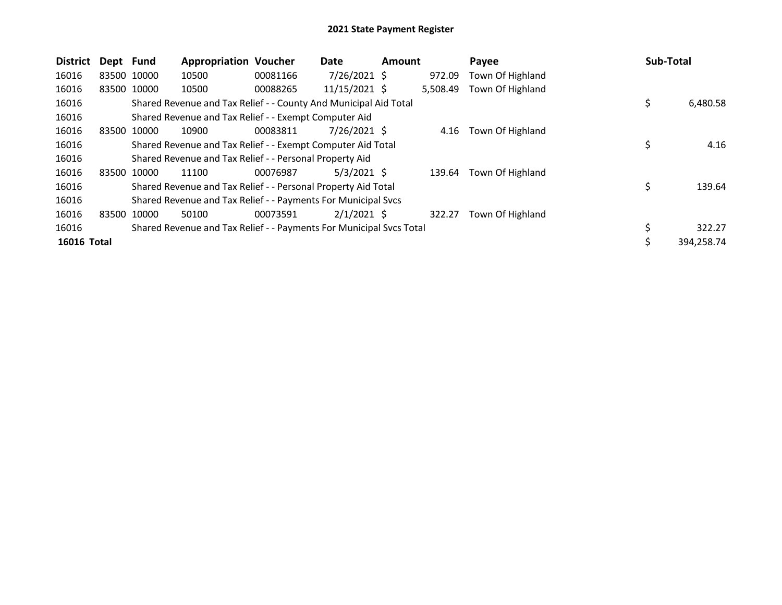| <b>District</b>    | Dept Fund |             | <b>Appropriation Voucher</b>                                        |          | Date           | <b>Amount</b> |          | Payee            | <b>Sub-Total</b> |            |
|--------------------|-----------|-------------|---------------------------------------------------------------------|----------|----------------|---------------|----------|------------------|------------------|------------|
| 16016              |           | 83500 10000 | 10500                                                               | 00081166 | $7/26/2021$ \$ |               | 972.09   | Town Of Highland |                  |            |
| 16016              |           | 83500 10000 | 10500                                                               | 00088265 | 11/15/2021 \$  |               | 5,508.49 | Town Of Highland |                  |            |
| 16016              |           |             | Shared Revenue and Tax Relief - - County And Municipal Aid Total    |          |                |               |          |                  | \$               | 6,480.58   |
| 16016              |           |             | Shared Revenue and Tax Relief - - Exempt Computer Aid               |          |                |               |          |                  |                  |            |
| 16016              | 83500     | 10000       | 10900                                                               | 00083811 | 7/26/2021 \$   |               | 4.16     | Town Of Highland |                  |            |
| 16016              |           |             | Shared Revenue and Tax Relief - - Exempt Computer Aid Total         |          |                |               |          |                  | \$               | 4.16       |
| 16016              |           |             | Shared Revenue and Tax Relief - - Personal Property Aid             |          |                |               |          |                  |                  |            |
| 16016              | 83500     | 10000       | 11100                                                               | 00076987 | $5/3/2021$ \$  |               | 139.64   | Town Of Highland |                  |            |
| 16016              |           |             | Shared Revenue and Tax Relief - - Personal Property Aid Total       |          |                |               |          |                  | \$               | 139.64     |
| 16016              |           |             | Shared Revenue and Tax Relief - - Payments For Municipal Svcs       |          |                |               |          |                  |                  |            |
| 16016              | 83500     | 10000       | 50100                                                               | 00073591 | $2/1/2021$ \$  |               | 322.27   | Town Of Highland |                  |            |
| 16016              |           |             | Shared Revenue and Tax Relief - - Payments For Municipal Svcs Total |          |                |               |          |                  | \$               | 322.27     |
| <b>16016 Total</b> |           |             |                                                                     |          |                |               |          |                  | \$               | 394,258.74 |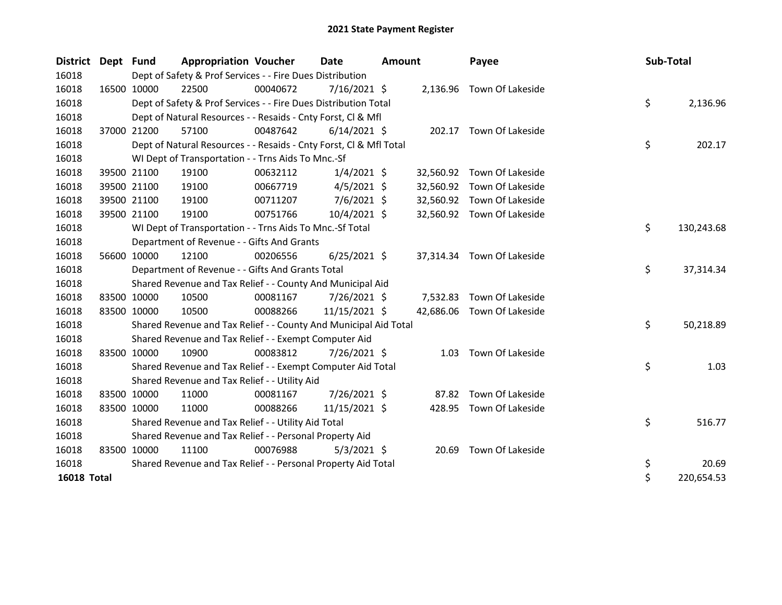| <b>District</b>    | Dept Fund |             | <b>Appropriation Voucher</b>                                       |          | Date           | <b>Amount</b> |           | Payee                      | Sub-Total |            |
|--------------------|-----------|-------------|--------------------------------------------------------------------|----------|----------------|---------------|-----------|----------------------------|-----------|------------|
| 16018              |           |             | Dept of Safety & Prof Services - - Fire Dues Distribution          |          |                |               |           |                            |           |            |
| 16018              |           | 16500 10000 | 22500                                                              | 00040672 | $7/16/2021$ \$ |               |           | 2,136.96 Town Of Lakeside  |           |            |
| 16018              |           |             | Dept of Safety & Prof Services - - Fire Dues Distribution Total    |          |                |               |           |                            | \$        | 2,136.96   |
| 16018              |           |             | Dept of Natural Resources - - Resaids - Cnty Forst, Cl & Mfl       |          |                |               |           |                            |           |            |
| 16018              |           | 37000 21200 | 57100                                                              | 00487642 | $6/14/2021$ \$ |               |           | 202.17 Town Of Lakeside    |           |            |
| 16018              |           |             | Dept of Natural Resources - - Resaids - Cnty Forst, Cl & Mfl Total |          |                |               |           |                            | \$        | 202.17     |
| 16018              |           |             | WI Dept of Transportation - - Trns Aids To Mnc.-Sf                 |          |                |               |           |                            |           |            |
| 16018              |           | 39500 21100 | 19100                                                              | 00632112 | $1/4/2021$ \$  |               | 32,560.92 | Town Of Lakeside           |           |            |
| 16018              |           | 39500 21100 | 19100                                                              | 00667719 | $4/5/2021$ \$  |               | 32,560.92 | Town Of Lakeside           |           |            |
| 16018              |           | 39500 21100 | 19100                                                              | 00711207 | $7/6/2021$ \$  |               | 32,560.92 | Town Of Lakeside           |           |            |
| 16018              |           | 39500 21100 | 19100                                                              | 00751766 | 10/4/2021 \$   |               |           | 32,560.92 Town Of Lakeside |           |            |
| 16018              |           |             | WI Dept of Transportation - - Trns Aids To Mnc.-Sf Total           |          |                |               |           |                            | \$        | 130,243.68 |
| 16018              |           |             | Department of Revenue - - Gifts And Grants                         |          |                |               |           |                            |           |            |
| 16018              |           | 56600 10000 | 12100                                                              | 00206556 | $6/25/2021$ \$ |               |           | 37,314.34 Town Of Lakeside |           |            |
| 16018              |           |             | Department of Revenue - - Gifts And Grants Total                   |          |                |               |           |                            | \$        | 37,314.34  |
| 16018              |           |             | Shared Revenue and Tax Relief - - County And Municipal Aid         |          |                |               |           |                            |           |            |
| 16018              |           | 83500 10000 | 10500                                                              | 00081167 | 7/26/2021 \$   |               | 7,532.83  | Town Of Lakeside           |           |            |
| 16018              |           | 83500 10000 | 10500                                                              | 00088266 | 11/15/2021 \$  |               |           | 42,686.06 Town Of Lakeside |           |            |
| 16018              |           |             | Shared Revenue and Tax Relief - - County And Municipal Aid Total   |          |                |               |           |                            | \$        | 50,218.89  |
| 16018              |           |             | Shared Revenue and Tax Relief - - Exempt Computer Aid              |          |                |               |           |                            |           |            |
| 16018              |           | 83500 10000 | 10900                                                              | 00083812 | 7/26/2021 \$   |               |           | 1.03 Town Of Lakeside      |           |            |
| 16018              |           |             | Shared Revenue and Tax Relief - - Exempt Computer Aid Total        |          |                |               |           |                            | \$        | 1.03       |
| 16018              |           |             | Shared Revenue and Tax Relief - - Utility Aid                      |          |                |               |           |                            |           |            |
| 16018              |           | 83500 10000 | 11000                                                              | 00081167 | 7/26/2021 \$   |               | 87.82     | Town Of Lakeside           |           |            |
| 16018              |           | 83500 10000 | 11000                                                              | 00088266 | 11/15/2021 \$  |               |           | 428.95 Town Of Lakeside    |           |            |
| 16018              |           |             | Shared Revenue and Tax Relief - - Utility Aid Total                |          |                |               |           |                            | \$        | 516.77     |
| 16018              |           |             | Shared Revenue and Tax Relief - - Personal Property Aid            |          |                |               |           |                            |           |            |
| 16018              |           | 83500 10000 | 11100                                                              | 00076988 | $5/3/2021$ \$  |               |           | 20.69 Town Of Lakeside     |           |            |
| 16018              |           |             | Shared Revenue and Tax Relief - - Personal Property Aid Total      |          |                |               |           |                            | \$        | 20.69      |
| <b>16018 Total</b> |           |             |                                                                    |          |                |               |           |                            | \$        | 220,654.53 |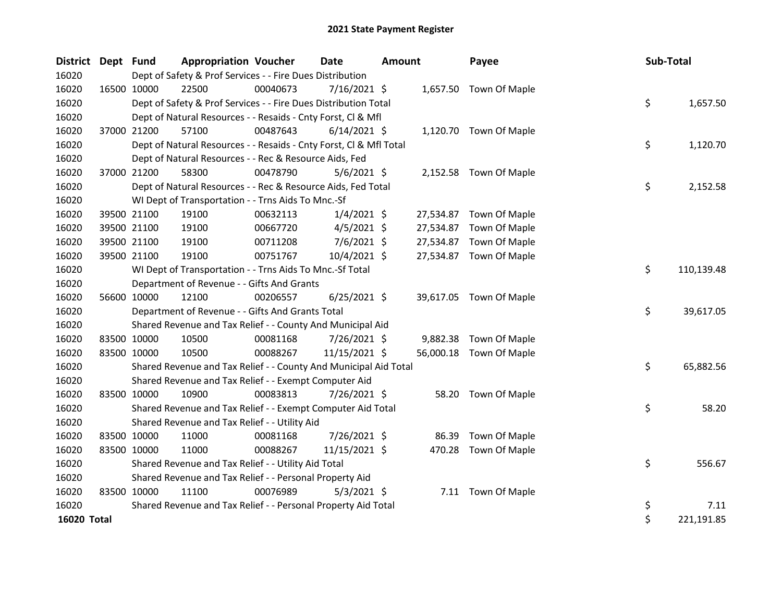| District Dept Fund |             |             | <b>Appropriation Voucher</b>                                       |          | <b>Date</b>    | <b>Amount</b> |           | Payee                   | Sub-Total |            |
|--------------------|-------------|-------------|--------------------------------------------------------------------|----------|----------------|---------------|-----------|-------------------------|-----------|------------|
| 16020              |             |             | Dept of Safety & Prof Services - - Fire Dues Distribution          |          |                |               |           |                         |           |            |
| 16020              | 16500 10000 |             | 22500                                                              | 00040673 | 7/16/2021 \$   |               |           | 1,657.50 Town Of Maple  |           |            |
| 16020              |             |             | Dept of Safety & Prof Services - - Fire Dues Distribution Total    |          |                |               |           |                         | \$        | 1,657.50   |
| 16020              |             |             | Dept of Natural Resources - - Resaids - Cnty Forst, Cl & Mfl       |          |                |               |           |                         |           |            |
| 16020              | 37000 21200 |             | 57100                                                              | 00487643 | $6/14/2021$ \$ |               |           | 1,120.70 Town Of Maple  |           |            |
| 16020              |             |             | Dept of Natural Resources - - Resaids - Cnty Forst, Cl & Mfl Total |          |                |               |           |                         | \$        | 1,120.70   |
| 16020              |             |             | Dept of Natural Resources - - Rec & Resource Aids, Fed             |          |                |               |           |                         |           |            |
| 16020              |             | 37000 21200 | 58300                                                              | 00478790 | $5/6/2021$ \$  |               |           | 2,152.58 Town Of Maple  |           |            |
| 16020              |             |             | Dept of Natural Resources - - Rec & Resource Aids, Fed Total       |          |                |               |           |                         | \$        | 2,152.58   |
| 16020              |             |             | WI Dept of Transportation - - Trns Aids To Mnc.-Sf                 |          |                |               |           |                         |           |            |
| 16020              |             | 39500 21100 | 19100                                                              | 00632113 | $1/4/2021$ \$  |               |           | 27,534.87 Town Of Maple |           |            |
| 16020              |             | 39500 21100 | 19100                                                              | 00667720 | $4/5/2021$ \$  |               | 27,534.87 | Town Of Maple           |           |            |
| 16020              |             | 39500 21100 | 19100                                                              | 00711208 | $7/6/2021$ \$  |               | 27,534.87 | Town Of Maple           |           |            |
| 16020              | 39500 21100 |             | 19100                                                              | 00751767 | 10/4/2021 \$   |               |           | 27,534.87 Town Of Maple |           |            |
| 16020              |             |             | WI Dept of Transportation - - Trns Aids To Mnc.-Sf Total           |          |                |               |           |                         | \$        | 110,139.48 |
| 16020              |             |             | Department of Revenue - - Gifts And Grants                         |          |                |               |           |                         |           |            |
| 16020              |             | 56600 10000 | 12100                                                              | 00206557 | $6/25/2021$ \$ |               |           | 39,617.05 Town Of Maple |           |            |
| 16020              |             |             | Department of Revenue - - Gifts And Grants Total                   |          |                |               |           |                         | \$        | 39,617.05  |
| 16020              |             |             | Shared Revenue and Tax Relief - - County And Municipal Aid         |          |                |               |           |                         |           |            |
| 16020              |             | 83500 10000 | 10500                                                              | 00081168 | $7/26/2021$ \$ |               | 9,882.38  | Town Of Maple           |           |            |
| 16020              | 83500 10000 |             | 10500                                                              | 00088267 | 11/15/2021 \$  |               |           | 56,000.18 Town Of Maple |           |            |
| 16020              |             |             | Shared Revenue and Tax Relief - - County And Municipal Aid Total   |          |                |               |           |                         | \$        | 65,882.56  |
| 16020              |             |             | Shared Revenue and Tax Relief - - Exempt Computer Aid              |          |                |               |           |                         |           |            |
| 16020              |             | 83500 10000 | 10900                                                              | 00083813 | 7/26/2021 \$   |               | 58.20     | Town Of Maple           |           |            |
| 16020              |             |             | Shared Revenue and Tax Relief - - Exempt Computer Aid Total        |          |                |               |           |                         | \$        | 58.20      |
| 16020              |             |             | Shared Revenue and Tax Relief - - Utility Aid                      |          |                |               |           |                         |           |            |
| 16020              | 83500 10000 |             | 11000                                                              | 00081168 | 7/26/2021 \$   |               | 86.39     | Town Of Maple           |           |            |
| 16020              | 83500 10000 |             | 11000                                                              | 00088267 | 11/15/2021 \$  |               | 470.28    | Town Of Maple           |           |            |
| 16020              |             |             | Shared Revenue and Tax Relief - - Utility Aid Total                |          |                |               |           |                         | \$        | 556.67     |
| 16020              |             |             | Shared Revenue and Tax Relief - - Personal Property Aid            |          |                |               |           |                         |           |            |
| 16020              | 83500 10000 |             | 11100                                                              | 00076989 | $5/3/2021$ \$  |               |           | 7.11 Town Of Maple      |           |            |
| 16020              |             |             | Shared Revenue and Tax Relief - - Personal Property Aid Total      |          |                |               |           |                         | \$        | 7.11       |
| 16020 Total        |             |             |                                                                    |          |                |               |           |                         | \$        | 221,191.85 |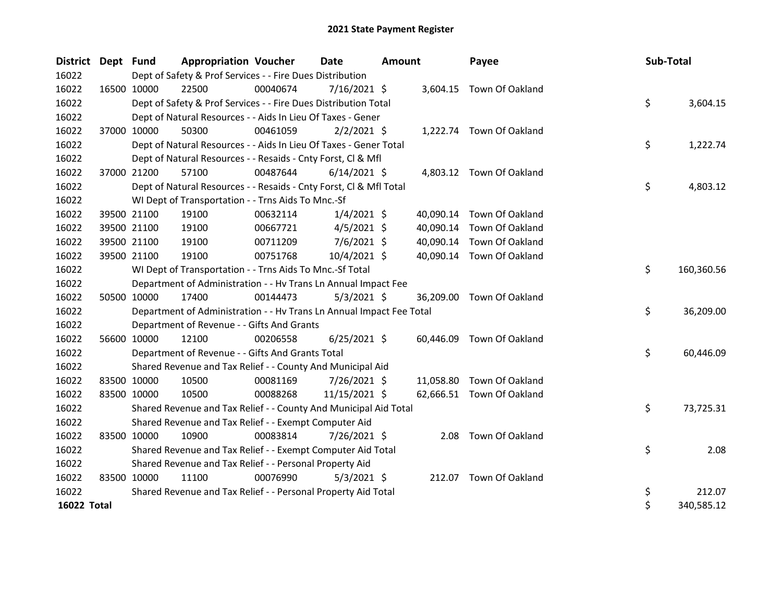| District Dept Fund |             |             | <b>Appropriation Voucher</b>                                         |          | <b>Date</b>    | <b>Amount</b> |           | Payee                     | Sub-Total |            |
|--------------------|-------------|-------------|----------------------------------------------------------------------|----------|----------------|---------------|-----------|---------------------------|-----------|------------|
| 16022              |             |             | Dept of Safety & Prof Services - - Fire Dues Distribution            |          |                |               |           |                           |           |            |
| 16022              |             | 16500 10000 | 22500                                                                | 00040674 | $7/16/2021$ \$ |               |           | 3,604.15 Town Of Oakland  |           |            |
| 16022              |             |             | Dept of Safety & Prof Services - - Fire Dues Distribution Total      |          |                |               |           |                           | \$        | 3,604.15   |
| 16022              |             |             | Dept of Natural Resources - - Aids In Lieu Of Taxes - Gener          |          |                |               |           |                           |           |            |
| 16022              |             | 37000 10000 | 50300                                                                | 00461059 | $2/2/2021$ \$  |               |           | 1,222.74 Town Of Oakland  |           |            |
| 16022              |             |             | Dept of Natural Resources - - Aids In Lieu Of Taxes - Gener Total    |          |                |               |           |                           | \$        | 1,222.74   |
| 16022              |             |             | Dept of Natural Resources - - Resaids - Cnty Forst, Cl & Mfl         |          |                |               |           |                           |           |            |
| 16022              | 37000 21200 |             | 57100                                                                | 00487644 | $6/14/2021$ \$ |               |           | 4,803.12 Town Of Oakland  |           |            |
| 16022              |             |             | Dept of Natural Resources - - Resaids - Cnty Forst, CI & Mfl Total   |          |                |               |           |                           | \$        | 4,803.12   |
| 16022              |             |             | WI Dept of Transportation - - Trns Aids To Mnc.-Sf                   |          |                |               |           |                           |           |            |
| 16022              |             | 39500 21100 | 19100                                                                | 00632114 | $1/4/2021$ \$  |               | 40,090.14 | Town Of Oakland           |           |            |
| 16022              |             | 39500 21100 | 19100                                                                | 00667721 | $4/5/2021$ \$  |               | 40,090.14 | Town Of Oakland           |           |            |
| 16022              |             | 39500 21100 | 19100                                                                | 00711209 | $7/6/2021$ \$  |               | 40,090.14 | Town Of Oakland           |           |            |
| 16022              |             | 39500 21100 | 19100                                                                | 00751768 | 10/4/2021 \$   |               |           | 40,090.14 Town Of Oakland |           |            |
| 16022              |             |             | WI Dept of Transportation - - Trns Aids To Mnc.-Sf Total             |          |                |               |           |                           | \$        | 160,360.56 |
| 16022              |             |             | Department of Administration - - Hv Trans Ln Annual Impact Fee       |          |                |               |           |                           |           |            |
| 16022              |             | 50500 10000 | 17400                                                                | 00144473 | $5/3/2021$ \$  |               | 36,209.00 | Town Of Oakland           |           |            |
| 16022              |             |             | Department of Administration - - Hv Trans Ln Annual Impact Fee Total |          |                |               |           |                           | \$        | 36,209.00  |
| 16022              |             |             | Department of Revenue - - Gifts And Grants                           |          |                |               |           |                           |           |            |
| 16022              |             | 56600 10000 | 12100                                                                | 00206558 | $6/25/2021$ \$ |               | 60,446.09 | Town Of Oakland           |           |            |
| 16022              |             |             | Department of Revenue - - Gifts And Grants Total                     |          |                |               |           |                           | \$        | 60,446.09  |
| 16022              |             |             | Shared Revenue and Tax Relief - - County And Municipal Aid           |          |                |               |           |                           |           |            |
| 16022              |             | 83500 10000 | 10500                                                                | 00081169 | 7/26/2021 \$   |               | 11,058.80 | Town Of Oakland           |           |            |
| 16022              |             | 83500 10000 | 10500                                                                | 00088268 | 11/15/2021 \$  |               |           | 62,666.51 Town Of Oakland |           |            |
| 16022              |             |             | Shared Revenue and Tax Relief - - County And Municipal Aid Total     |          |                |               |           |                           | \$        | 73,725.31  |
| 16022              |             |             | Shared Revenue and Tax Relief - - Exempt Computer Aid                |          |                |               |           |                           |           |            |
| 16022              |             | 83500 10000 | 10900                                                                | 00083814 | $7/26/2021$ \$ |               | 2.08      | Town Of Oakland           |           |            |
| 16022              |             |             | Shared Revenue and Tax Relief - - Exempt Computer Aid Total          |          |                |               |           |                           | \$        | 2.08       |
| 16022              |             |             | Shared Revenue and Tax Relief - - Personal Property Aid              |          |                |               |           |                           |           |            |
| 16022              |             | 83500 10000 | 11100                                                                | 00076990 | $5/3/2021$ \$  |               |           | 212.07 Town Of Oakland    |           |            |
| 16022              |             |             | Shared Revenue and Tax Relief - - Personal Property Aid Total        |          |                |               |           |                           | \$        | 212.07     |
| 16022 Total        |             |             |                                                                      |          |                |               |           |                           | \$        | 340,585.12 |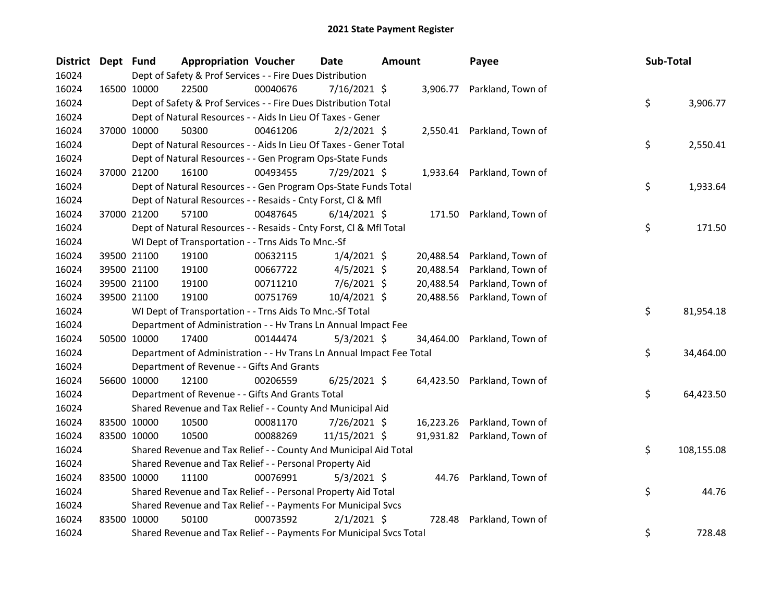| District Dept Fund |             | <b>Appropriation Voucher</b>                                         |          | Date           | <b>Amount</b> |           | Payee                       | Sub-Total |            |
|--------------------|-------------|----------------------------------------------------------------------|----------|----------------|---------------|-----------|-----------------------------|-----------|------------|
| 16024              |             | Dept of Safety & Prof Services - - Fire Dues Distribution            |          |                |               |           |                             |           |            |
| 16024              | 16500 10000 | 22500                                                                | 00040676 | 7/16/2021 \$   |               |           | 3,906.77 Parkland, Town of  |           |            |
| 16024              |             | Dept of Safety & Prof Services - - Fire Dues Distribution Total      |          |                |               |           |                             | \$        | 3,906.77   |
| 16024              |             | Dept of Natural Resources - - Aids In Lieu Of Taxes - Gener          |          |                |               |           |                             |           |            |
| 16024              | 37000 10000 | 50300                                                                | 00461206 | $2/2/2021$ \$  |               |           | 2,550.41 Parkland, Town of  |           |            |
| 16024              |             | Dept of Natural Resources - - Aids In Lieu Of Taxes - Gener Total    |          |                |               |           |                             | \$        | 2,550.41   |
| 16024              |             | Dept of Natural Resources - - Gen Program Ops-State Funds            |          |                |               |           |                             |           |            |
| 16024              | 37000 21200 | 16100                                                                | 00493455 | 7/29/2021 \$   |               |           | 1,933.64 Parkland, Town of  |           |            |
| 16024              |             | Dept of Natural Resources - - Gen Program Ops-State Funds Total      |          |                |               |           |                             | \$        | 1,933.64   |
| 16024              |             | Dept of Natural Resources - - Resaids - Cnty Forst, Cl & Mfl         |          |                |               |           |                             |           |            |
| 16024              | 37000 21200 | 57100                                                                | 00487645 | $6/14/2021$ \$ |               |           | 171.50 Parkland, Town of    |           |            |
| 16024              |             | Dept of Natural Resources - - Resaids - Cnty Forst, Cl & Mfl Total   |          |                |               |           |                             | \$        | 171.50     |
| 16024              |             | WI Dept of Transportation - - Trns Aids To Mnc.-Sf                   |          |                |               |           |                             |           |            |
| 16024              | 39500 21100 | 19100                                                                | 00632115 | $1/4/2021$ \$  |               | 20,488.54 | Parkland, Town of           |           |            |
| 16024              | 39500 21100 | 19100                                                                | 00667722 | $4/5/2021$ \$  |               | 20,488.54 | Parkland, Town of           |           |            |
| 16024              | 39500 21100 | 19100                                                                | 00711210 | $7/6/2021$ \$  |               | 20,488.54 | Parkland, Town of           |           |            |
| 16024              | 39500 21100 | 19100                                                                | 00751769 | 10/4/2021 \$   |               | 20,488.56 | Parkland, Town of           |           |            |
| 16024              |             | WI Dept of Transportation - - Trns Aids To Mnc.-Sf Total             |          |                |               |           |                             | \$        | 81,954.18  |
| 16024              |             | Department of Administration - - Hv Trans Ln Annual Impact Fee       |          |                |               |           |                             |           |            |
| 16024              | 50500 10000 | 17400                                                                | 00144474 | $5/3/2021$ \$  |               |           | 34,464.00 Parkland, Town of |           |            |
| 16024              |             | Department of Administration - - Hv Trans Ln Annual Impact Fee Total |          |                |               |           |                             | \$        | 34,464.00  |
| 16024              |             | Department of Revenue - - Gifts And Grants                           |          |                |               |           |                             |           |            |
| 16024              | 56600 10000 | 12100                                                                | 00206559 | $6/25/2021$ \$ |               |           | 64,423.50 Parkland, Town of |           |            |
| 16024              |             | Department of Revenue - - Gifts And Grants Total                     |          |                |               |           |                             | \$        | 64,423.50  |
| 16024              |             | Shared Revenue and Tax Relief - - County And Municipal Aid           |          |                |               |           |                             |           |            |
| 16024              | 83500 10000 | 10500                                                                | 00081170 | 7/26/2021 \$   |               |           | 16,223.26 Parkland, Town of |           |            |
| 16024              | 83500 10000 | 10500                                                                | 00088269 | 11/15/2021 \$  |               |           | 91,931.82 Parkland, Town of |           |            |
| 16024              |             | Shared Revenue and Tax Relief - - County And Municipal Aid Total     |          |                |               |           |                             | \$        | 108,155.08 |
| 16024              |             | Shared Revenue and Tax Relief - - Personal Property Aid              |          |                |               |           |                             |           |            |
| 16024              | 83500 10000 | 11100                                                                | 00076991 | $5/3/2021$ \$  |               |           | 44.76 Parkland, Town of     |           |            |
| 16024              |             | Shared Revenue and Tax Relief - - Personal Property Aid Total        |          |                |               |           |                             | \$        | 44.76      |
| 16024              |             | Shared Revenue and Tax Relief - - Payments For Municipal Svcs        |          |                |               |           |                             |           |            |
| 16024              | 83500 10000 | 50100                                                                | 00073592 | $2/1/2021$ \$  |               | 728.48    | Parkland, Town of           |           |            |
| 16024              |             | Shared Revenue and Tax Relief - - Payments For Municipal Svcs Total  |          |                |               |           |                             | \$        | 728.48     |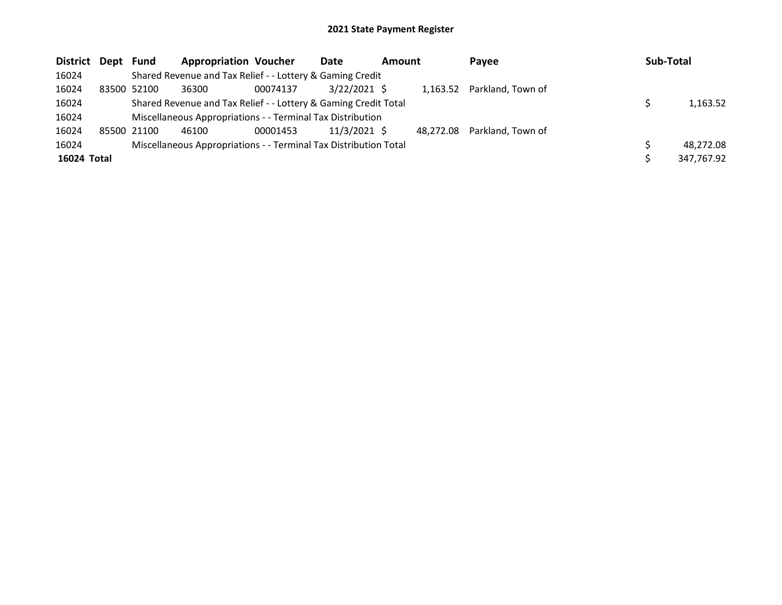| District Dept Fund |             | <b>Appropriation Voucher</b>                                     |          | Date           | <b>Amount</b> |           | Payee                      | Sub-Total |            |
|--------------------|-------------|------------------------------------------------------------------|----------|----------------|---------------|-----------|----------------------------|-----------|------------|
| 16024              |             | Shared Revenue and Tax Relief - - Lottery & Gaming Credit        |          |                |               |           |                            |           |            |
| 16024              | 83500 52100 | 36300                                                            | 00074137 | $3/22/2021$ \$ |               |           | 1,163.52 Parkland, Town of |           |            |
| 16024              |             | Shared Revenue and Tax Relief - - Lottery & Gaming Credit Total  |          |                |               |           |                            |           | 1,163.52   |
| 16024              |             | Miscellaneous Appropriations - - Terminal Tax Distribution       |          |                |               |           |                            |           |            |
| 16024              | 85500 21100 | 46100                                                            | 00001453 | 11/3/2021 \$   |               | 48,272.08 | Parkland, Town of          |           |            |
| 16024              |             | Miscellaneous Appropriations - - Terminal Tax Distribution Total |          |                |               |           |                            |           | 48,272.08  |
| 16024 Total        |             |                                                                  |          |                |               |           |                            |           | 347,767.92 |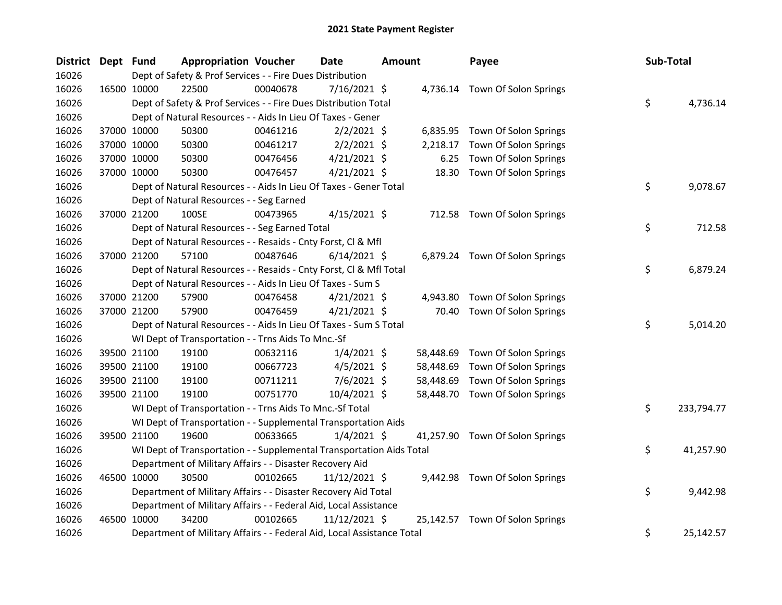| District Dept Fund |             | <b>Appropriation Voucher</b>                                           |          | Date           | <b>Amount</b> |           | Payee                           | Sub-Total |            |
|--------------------|-------------|------------------------------------------------------------------------|----------|----------------|---------------|-----------|---------------------------------|-----------|------------|
| 16026              |             | Dept of Safety & Prof Services - - Fire Dues Distribution              |          |                |               |           |                                 |           |            |
| 16026              | 16500 10000 | 22500                                                                  | 00040678 | $7/16/2021$ \$ |               |           | 4,736.14 Town Of Solon Springs  |           |            |
| 16026              |             | Dept of Safety & Prof Services - - Fire Dues Distribution Total        |          |                |               |           |                                 | \$        | 4,736.14   |
| 16026              |             | Dept of Natural Resources - - Aids In Lieu Of Taxes - Gener            |          |                |               |           |                                 |           |            |
| 16026              | 37000 10000 | 50300                                                                  | 00461216 | $2/2/2021$ \$  |               |           | 6,835.95 Town Of Solon Springs  |           |            |
| 16026              | 37000 10000 | 50300                                                                  | 00461217 | $2/2/2021$ \$  |               | 2,218.17  | Town Of Solon Springs           |           |            |
| 16026              | 37000 10000 | 50300                                                                  | 00476456 | $4/21/2021$ \$ |               | 6.25      | Town Of Solon Springs           |           |            |
| 16026              | 37000 10000 | 50300                                                                  | 00476457 | $4/21/2021$ \$ |               | 18.30     | Town Of Solon Springs           |           |            |
| 16026              |             | Dept of Natural Resources - - Aids In Lieu Of Taxes - Gener Total      |          |                |               |           |                                 | \$        | 9,078.67   |
| 16026              |             | Dept of Natural Resources - - Seg Earned                               |          |                |               |           |                                 |           |            |
| 16026              | 37000 21200 | 100SE                                                                  | 00473965 | $4/15/2021$ \$ |               |           | 712.58 Town Of Solon Springs    |           |            |
| 16026              |             | Dept of Natural Resources - - Seg Earned Total                         |          |                |               |           |                                 | \$        | 712.58     |
| 16026              |             | Dept of Natural Resources - - Resaids - Cnty Forst, Cl & Mfl           |          |                |               |           |                                 |           |            |
| 16026              | 37000 21200 | 57100                                                                  | 00487646 | $6/14/2021$ \$ |               |           | 6,879.24 Town Of Solon Springs  |           |            |
| 16026              |             | Dept of Natural Resources - - Resaids - Cnty Forst, Cl & Mfl Total     |          |                |               |           |                                 | \$        | 6,879.24   |
| 16026              |             | Dept of Natural Resources - - Aids In Lieu Of Taxes - Sum S            |          |                |               |           |                                 |           |            |
| 16026              | 37000 21200 | 57900                                                                  | 00476458 | $4/21/2021$ \$ |               | 4,943.80  | Town Of Solon Springs           |           |            |
| 16026              | 37000 21200 | 57900                                                                  | 00476459 | $4/21/2021$ \$ |               | 70.40     | Town Of Solon Springs           |           |            |
| 16026              |             | Dept of Natural Resources - - Aids In Lieu Of Taxes - Sum S Total      |          |                |               |           |                                 | \$        | 5,014.20   |
| 16026              |             | WI Dept of Transportation - - Trns Aids To Mnc.-Sf                     |          |                |               |           |                                 |           |            |
| 16026              | 39500 21100 | 19100                                                                  | 00632116 | $1/4/2021$ \$  |               | 58,448.69 | Town Of Solon Springs           |           |            |
| 16026              | 39500 21100 | 19100                                                                  | 00667723 | $4/5/2021$ \$  |               | 58,448.69 | Town Of Solon Springs           |           |            |
| 16026              | 39500 21100 | 19100                                                                  | 00711211 | $7/6/2021$ \$  |               | 58,448.69 | Town Of Solon Springs           |           |            |
| 16026              | 39500 21100 | 19100                                                                  | 00751770 | 10/4/2021 \$   |               |           | 58,448.70 Town Of Solon Springs |           |            |
| 16026              |             | WI Dept of Transportation - - Trns Aids To Mnc.-Sf Total               |          |                |               |           |                                 | \$        | 233,794.77 |
| 16026              |             | WI Dept of Transportation - - Supplemental Transportation Aids         |          |                |               |           |                                 |           |            |
| 16026              | 39500 21100 | 19600                                                                  | 00633665 | $1/4/2021$ \$  |               |           | 41,257.90 Town Of Solon Springs |           |            |
| 16026              |             | WI Dept of Transportation - - Supplemental Transportation Aids Total   |          |                |               |           |                                 | \$        | 41,257.90  |
| 16026              |             | Department of Military Affairs - - Disaster Recovery Aid               |          |                |               |           |                                 |           |            |
| 16026              | 46500 10000 | 30500                                                                  | 00102665 | 11/12/2021 \$  |               |           | 9,442.98 Town Of Solon Springs  |           |            |
| 16026              |             | Department of Military Affairs - - Disaster Recovery Aid Total         |          |                |               |           |                                 | \$        | 9,442.98   |
| 16026              |             | Department of Military Affairs - - Federal Aid, Local Assistance       |          |                |               |           |                                 |           |            |
| 16026              | 46500 10000 | 34200                                                                  | 00102665 | 11/12/2021 \$  |               |           | 25,142.57 Town Of Solon Springs |           |            |
| 16026              |             | Department of Military Affairs - - Federal Aid, Local Assistance Total |          |                |               |           |                                 | \$        | 25,142.57  |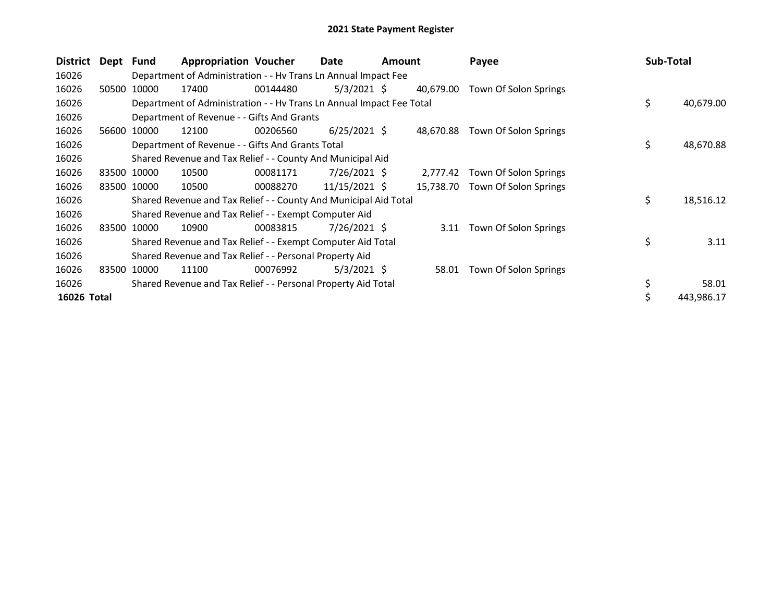| <b>District</b> | Dept  | <b>Fund</b> | <b>Appropriation Voucher</b>                                         |          | Date           | <b>Amount</b> |           | Payee                      |    | Sub-Total  |
|-----------------|-------|-------------|----------------------------------------------------------------------|----------|----------------|---------------|-----------|----------------------------|----|------------|
| 16026           |       |             | Department of Administration - - Hv Trans Ln Annual Impact Fee       |          |                |               |           |                            |    |            |
| 16026           | 50500 | 10000       | 17400                                                                | 00144480 | $5/3/2021$ \$  |               | 40,679.00 | Town Of Solon Springs      |    |            |
| 16026           |       |             | Department of Administration - - Hv Trans Ln Annual Impact Fee Total |          |                |               |           |                            | \$ | 40,679.00  |
| 16026           |       |             | Department of Revenue - - Gifts And Grants                           |          |                |               |           |                            |    |            |
| 16026           | 56600 | 10000       | 12100                                                                | 00206560 | $6/25/2021$ \$ |               | 48,670.88 | Town Of Solon Springs      |    |            |
| 16026           |       |             | Department of Revenue - - Gifts And Grants Total                     |          |                |               |           |                            | \$ | 48,670.88  |
| 16026           |       |             | Shared Revenue and Tax Relief - - County And Municipal Aid           |          |                |               |           |                            |    |            |
| 16026           |       | 83500 10000 | 10500                                                                | 00081171 | 7/26/2021 \$   |               | 2,777.42  | Town Of Solon Springs      |    |            |
| 16026           |       | 83500 10000 | 10500                                                                | 00088270 | 11/15/2021 \$  |               | 15.738.70 | Town Of Solon Springs      |    |            |
| 16026           |       |             | Shared Revenue and Tax Relief - - County And Municipal Aid Total     |          |                |               |           |                            | \$ | 18,516.12  |
| 16026           |       |             | Shared Revenue and Tax Relief - - Exempt Computer Aid                |          |                |               |           |                            |    |            |
| 16026           | 83500 | 10000       | 10900                                                                | 00083815 | 7/26/2021 S    |               |           | 3.11 Town Of Solon Springs |    |            |
| 16026           |       |             | Shared Revenue and Tax Relief - - Exempt Computer Aid Total          |          |                |               |           |                            | \$ | 3.11       |
| 16026           |       |             | Shared Revenue and Tax Relief - - Personal Property Aid              |          |                |               |           |                            |    |            |
| 16026           | 83500 | 10000       | 11100                                                                | 00076992 | $5/3/2021$ \$  |               | 58.01     | Town Of Solon Springs      |    |            |
| 16026           |       |             | Shared Revenue and Tax Relief - - Personal Property Aid Total        |          |                |               |           |                            | \$ | 58.01      |
| 16026 Total     |       |             |                                                                      |          |                |               |           |                            |    | 443,986.17 |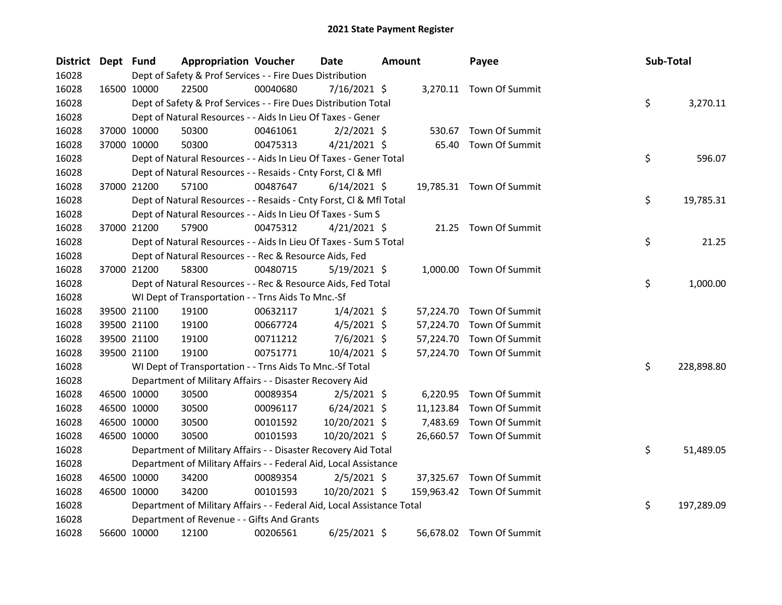| District Dept Fund |             | <b>Appropriation Voucher</b>                                           |          | <b>Date</b>    | <b>Amount</b> |           | Payee                     | Sub-Total |            |
|--------------------|-------------|------------------------------------------------------------------------|----------|----------------|---------------|-----------|---------------------------|-----------|------------|
| 16028              |             | Dept of Safety & Prof Services - - Fire Dues Distribution              |          |                |               |           |                           |           |            |
| 16028              | 16500 10000 | 22500                                                                  | 00040680 | $7/16/2021$ \$ |               |           | 3,270.11 Town Of Summit   |           |            |
| 16028              |             | Dept of Safety & Prof Services - - Fire Dues Distribution Total        |          |                |               |           |                           | \$        | 3,270.11   |
| 16028              |             | Dept of Natural Resources - - Aids In Lieu Of Taxes - Gener            |          |                |               |           |                           |           |            |
| 16028              | 37000 10000 | 50300                                                                  | 00461061 | $2/2/2021$ \$  |               | 530.67    | Town Of Summit            |           |            |
| 16028              | 37000 10000 | 50300                                                                  | 00475313 | $4/21/2021$ \$ |               | 65.40     | Town Of Summit            |           |            |
| 16028              |             | Dept of Natural Resources - - Aids In Lieu Of Taxes - Gener Total      |          |                |               |           |                           | \$        | 596.07     |
| 16028              |             | Dept of Natural Resources - - Resaids - Cnty Forst, Cl & Mfl           |          |                |               |           |                           |           |            |
| 16028              | 37000 21200 | 57100                                                                  | 00487647 | $6/14/2021$ \$ |               |           | 19,785.31 Town Of Summit  |           |            |
| 16028              |             | Dept of Natural Resources - - Resaids - Cnty Forst, Cl & Mfl Total     |          |                |               |           |                           | \$        | 19,785.31  |
| 16028              |             | Dept of Natural Resources - - Aids In Lieu Of Taxes - Sum S            |          |                |               |           |                           |           |            |
| 16028              | 37000 21200 | 57900                                                                  | 00475312 | $4/21/2021$ \$ |               |           | 21.25 Town Of Summit      |           |            |
| 16028              |             | Dept of Natural Resources - - Aids In Lieu Of Taxes - Sum S Total      |          |                |               |           |                           | \$        | 21.25      |
| 16028              |             | Dept of Natural Resources - - Rec & Resource Aids, Fed                 |          |                |               |           |                           |           |            |
| 16028              | 37000 21200 | 58300                                                                  | 00480715 | $5/19/2021$ \$ |               |           | 1,000.00 Town Of Summit   |           |            |
| 16028              |             | Dept of Natural Resources - - Rec & Resource Aids, Fed Total           |          |                |               |           |                           | \$        | 1,000.00   |
| 16028              |             | WI Dept of Transportation - - Trns Aids To Mnc.-Sf                     |          |                |               |           |                           |           |            |
| 16028              | 39500 21100 | 19100                                                                  | 00632117 | $1/4/2021$ \$  |               |           | 57,224.70 Town Of Summit  |           |            |
| 16028              | 39500 21100 | 19100                                                                  | 00667724 | $4/5/2021$ \$  |               | 57,224.70 | Town Of Summit            |           |            |
| 16028              | 39500 21100 | 19100                                                                  | 00711212 | $7/6/2021$ \$  |               | 57,224.70 | Town Of Summit            |           |            |
| 16028              | 39500 21100 | 19100                                                                  | 00751771 | 10/4/2021 \$   |               | 57,224.70 | Town Of Summit            |           |            |
| 16028              |             | WI Dept of Transportation - - Trns Aids To Mnc.-Sf Total               |          |                |               |           |                           | \$        | 228,898.80 |
| 16028              |             | Department of Military Affairs - - Disaster Recovery Aid               |          |                |               |           |                           |           |            |
| 16028              | 46500 10000 | 30500                                                                  | 00089354 | $2/5/2021$ \$  |               | 6,220.95  | Town Of Summit            |           |            |
| 16028              | 46500 10000 | 30500                                                                  | 00096117 | $6/24/2021$ \$ |               | 11,123.84 | Town Of Summit            |           |            |
| 16028              | 46500 10000 | 30500                                                                  | 00101592 | 10/20/2021 \$  |               | 7,483.69  | Town Of Summit            |           |            |
| 16028              | 46500 10000 | 30500                                                                  | 00101593 | 10/20/2021 \$  |               |           | 26,660.57 Town Of Summit  |           |            |
| 16028              |             | Department of Military Affairs - - Disaster Recovery Aid Total         |          |                |               |           |                           | \$        | 51,489.05  |
| 16028              |             | Department of Military Affairs - - Federal Aid, Local Assistance       |          |                |               |           |                           |           |            |
| 16028              | 46500 10000 | 34200                                                                  | 00089354 | $2/5/2021$ \$  |               | 37,325.67 | Town Of Summit            |           |            |
| 16028              | 46500 10000 | 34200                                                                  | 00101593 | 10/20/2021 \$  |               |           | 159,963.42 Town Of Summit |           |            |
| 16028              |             | Department of Military Affairs - - Federal Aid, Local Assistance Total |          |                |               |           |                           | \$        | 197,289.09 |
| 16028              |             | Department of Revenue - - Gifts And Grants                             |          |                |               |           |                           |           |            |
| 16028              | 56600 10000 | 12100                                                                  | 00206561 | $6/25/2021$ \$ |               |           | 56,678.02 Town Of Summit  |           |            |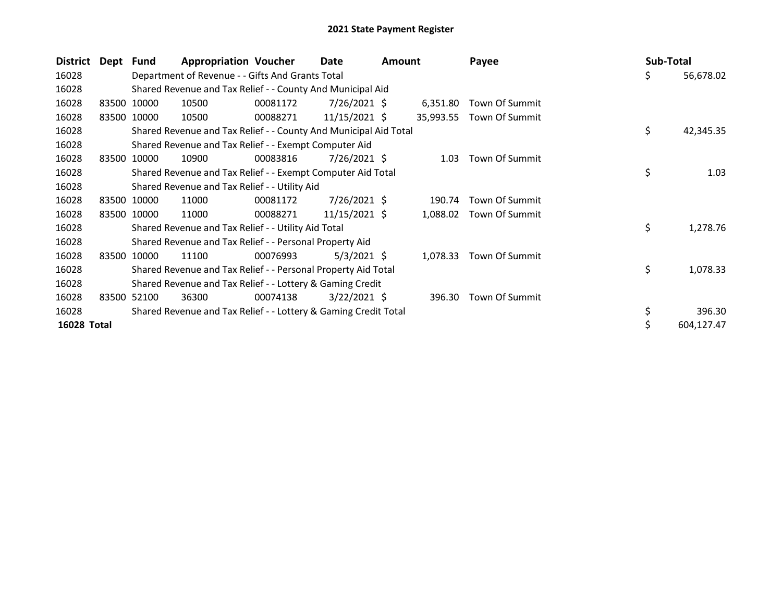| District    | Dept Fund |                                                           | <b>Appropriation Voucher</b>                                     |          | Date            | <b>Amount</b> |           | Payee          |  | Sub-Total |            |
|-------------|-----------|-----------------------------------------------------------|------------------------------------------------------------------|----------|-----------------|---------------|-----------|----------------|--|-----------|------------|
| 16028       |           |                                                           | Department of Revenue - - Gifts And Grants Total                 |          |                 |               |           |                |  | \$        | 56,678.02  |
| 16028       |           |                                                           | Shared Revenue and Tax Relief - - County And Municipal Aid       |          |                 |               |           |                |  |           |            |
| 16028       |           | 83500 10000                                               | 10500                                                            | 00081172 | $7/26/2021$ \$  |               | 6,351.80  | Town Of Summit |  |           |            |
| 16028       |           | 83500 10000                                               | 10500                                                            | 00088271 | $11/15/2021$ \$ |               | 35,993.55 | Town Of Summit |  |           |            |
| 16028       |           |                                                           | Shared Revenue and Tax Relief - - County And Municipal Aid Total |          |                 |               |           |                |  | \$        | 42,345.35  |
| 16028       |           |                                                           | Shared Revenue and Tax Relief - - Exempt Computer Aid            |          |                 |               |           |                |  |           |            |
| 16028       |           | 83500 10000                                               | 10900                                                            | 00083816 | 7/26/2021 \$    |               | 1.03      | Town Of Summit |  |           |            |
| 16028       |           |                                                           | Shared Revenue and Tax Relief - - Exempt Computer Aid Total      |          |                 |               |           |                |  | \$        | 1.03       |
| 16028       |           |                                                           | Shared Revenue and Tax Relief - - Utility Aid                    |          |                 |               |           |                |  |           |            |
| 16028       |           | 83500 10000                                               | 11000                                                            | 00081172 | $7/26/2021$ \$  |               | 190.74    | Town Of Summit |  |           |            |
| 16028       |           | 83500 10000                                               | 11000                                                            | 00088271 | $11/15/2021$ \$ |               | 1,088.02  | Town Of Summit |  |           |            |
| 16028       |           |                                                           | Shared Revenue and Tax Relief - - Utility Aid Total              |          |                 |               |           |                |  | \$        | 1,278.76   |
| 16028       |           |                                                           | Shared Revenue and Tax Relief - - Personal Property Aid          |          |                 |               |           |                |  |           |            |
| 16028       |           | 83500 10000                                               | 11100                                                            | 00076993 | $5/3/2021$ \$   |               | 1,078.33  | Town Of Summit |  |           |            |
| 16028       |           |                                                           | Shared Revenue and Tax Relief - - Personal Property Aid Total    |          |                 |               |           |                |  | \$        | 1,078.33   |
| 16028       |           | Shared Revenue and Tax Relief - - Lottery & Gaming Credit |                                                                  |          |                 |               |           |                |  |           |            |
| 16028       | 83500     | 52100                                                     | 36300                                                            | 00074138 | $3/22/2021$ \$  |               | 396.30    | Town Of Summit |  |           |            |
| 16028       |           |                                                           | Shared Revenue and Tax Relief - - Lottery & Gaming Credit Total  |          |                 |               |           |                |  |           | 396.30     |
| 16028 Total |           |                                                           |                                                                  |          |                 |               |           |                |  |           | 604,127.47 |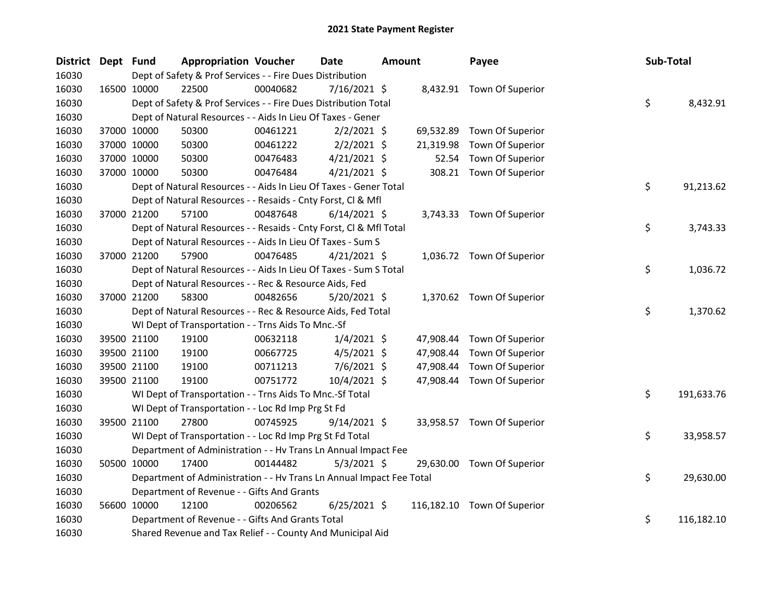| District Dept Fund |             |             | <b>Appropriation Voucher</b>                                         |          | <b>Date</b>    | <b>Amount</b> |           | Payee                       | Sub-Total |            |
|--------------------|-------------|-------------|----------------------------------------------------------------------|----------|----------------|---------------|-----------|-----------------------------|-----------|------------|
| 16030              |             |             | Dept of Safety & Prof Services - - Fire Dues Distribution            |          |                |               |           |                             |           |            |
| 16030              | 16500 10000 |             | 22500                                                                | 00040682 | $7/16/2021$ \$ |               |           | 8,432.91 Town Of Superior   |           |            |
| 16030              |             |             | Dept of Safety & Prof Services - - Fire Dues Distribution Total      |          |                |               |           |                             | \$        | 8,432.91   |
| 16030              |             |             | Dept of Natural Resources - - Aids In Lieu Of Taxes - Gener          |          |                |               |           |                             |           |            |
| 16030              |             | 37000 10000 | 50300                                                                | 00461221 | $2/2/2021$ \$  |               | 69,532.89 | Town Of Superior            |           |            |
| 16030              |             | 37000 10000 | 50300                                                                | 00461222 | $2/2/2021$ \$  |               | 21,319.98 | Town Of Superior            |           |            |
| 16030              |             | 37000 10000 | 50300                                                                | 00476483 | $4/21/2021$ \$ |               | 52.54     | Town Of Superior            |           |            |
| 16030              |             | 37000 10000 | 50300                                                                | 00476484 | $4/21/2021$ \$ |               | 308.21    | Town Of Superior            |           |            |
| 16030              |             |             | Dept of Natural Resources - - Aids In Lieu Of Taxes - Gener Total    |          |                |               |           |                             | \$        | 91,213.62  |
| 16030              |             |             | Dept of Natural Resources - - Resaids - Cnty Forst, Cl & Mfl         |          |                |               |           |                             |           |            |
| 16030              |             | 37000 21200 | 57100                                                                | 00487648 | $6/14/2021$ \$ |               |           | 3,743.33 Town Of Superior   |           |            |
| 16030              |             |             | Dept of Natural Resources - - Resaids - Cnty Forst, Cl & Mfl Total   |          |                |               |           |                             | \$        | 3,743.33   |
| 16030              |             |             | Dept of Natural Resources - - Aids In Lieu Of Taxes - Sum S          |          |                |               |           |                             |           |            |
| 16030              |             | 37000 21200 | 57900                                                                | 00476485 | $4/21/2021$ \$ |               |           | 1,036.72 Town Of Superior   |           |            |
| 16030              |             |             | Dept of Natural Resources - - Aids In Lieu Of Taxes - Sum S Total    |          |                |               |           |                             | \$        | 1,036.72   |
| 16030              |             |             | Dept of Natural Resources - - Rec & Resource Aids, Fed               |          |                |               |           |                             |           |            |
| 16030              |             | 37000 21200 | 58300                                                                | 00482656 | 5/20/2021 \$   |               |           | 1,370.62 Town Of Superior   |           |            |
| 16030              |             |             | Dept of Natural Resources - - Rec & Resource Aids, Fed Total         |          |                |               |           |                             | \$        | 1,370.62   |
| 16030              |             |             | WI Dept of Transportation - - Trns Aids To Mnc.-Sf                   |          |                |               |           |                             |           |            |
| 16030              |             | 39500 21100 | 19100                                                                | 00632118 | $1/4/2021$ \$  |               | 47,908.44 | Town Of Superior            |           |            |
| 16030              |             | 39500 21100 | 19100                                                                | 00667725 | $4/5/2021$ \$  |               | 47,908.44 | Town Of Superior            |           |            |
| 16030              |             | 39500 21100 | 19100                                                                | 00711213 | $7/6/2021$ \$  |               | 47,908.44 | Town Of Superior            |           |            |
| 16030              |             | 39500 21100 | 19100                                                                | 00751772 | 10/4/2021 \$   |               | 47,908.44 | Town Of Superior            |           |            |
| 16030              |             |             | WI Dept of Transportation - - Trns Aids To Mnc.-Sf Total             |          |                |               |           |                             | \$        | 191,633.76 |
| 16030              |             |             | WI Dept of Transportation - - Loc Rd Imp Prg St Fd                   |          |                |               |           |                             |           |            |
| 16030              |             | 39500 21100 | 27800                                                                | 00745925 | $9/14/2021$ \$ |               |           | 33,958.57 Town Of Superior  |           |            |
| 16030              |             |             | WI Dept of Transportation - - Loc Rd Imp Prg St Fd Total             |          |                |               |           |                             | \$        | 33,958.57  |
| 16030              |             |             | Department of Administration - - Hv Trans Ln Annual Impact Fee       |          |                |               |           |                             |           |            |
| 16030              |             | 50500 10000 | 17400                                                                | 00144482 | $5/3/2021$ \$  |               |           | 29,630.00 Town Of Superior  |           |            |
| 16030              |             |             | Department of Administration - - Hv Trans Ln Annual Impact Fee Total |          |                |               |           |                             | \$        | 29,630.00  |
| 16030              |             |             | Department of Revenue - - Gifts And Grants                           |          |                |               |           |                             |           |            |
| 16030              |             | 56600 10000 | 12100                                                                | 00206562 | $6/25/2021$ \$ |               |           | 116,182.10 Town Of Superior |           |            |
| 16030              |             |             | Department of Revenue - - Gifts And Grants Total                     |          |                |               |           |                             | \$        | 116,182.10 |
| 16030              |             |             | Shared Revenue and Tax Relief - - County And Municipal Aid           |          |                |               |           |                             |           |            |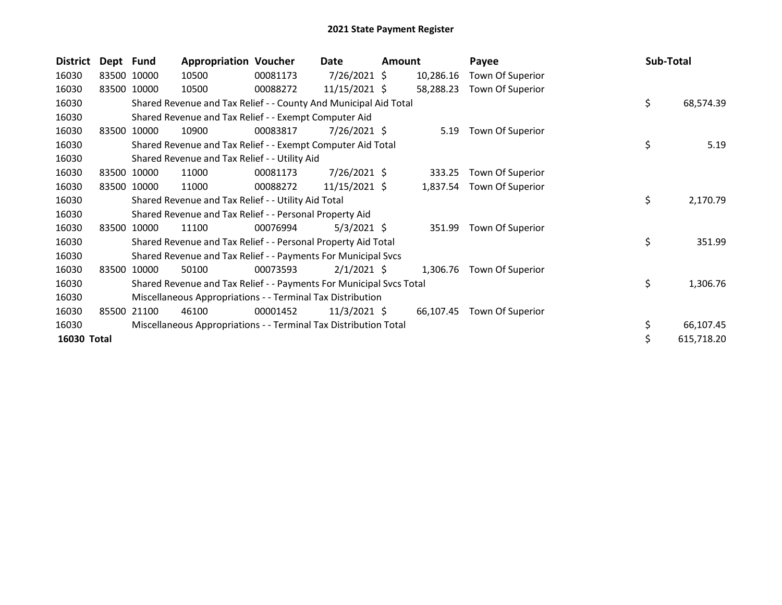| <b>District</b> | Dept Fund |             | <b>Appropriation Voucher</b>                                        |          | Date            | <b>Amount</b> |           | Payee            | Sub-Total |            |
|-----------------|-----------|-------------|---------------------------------------------------------------------|----------|-----------------|---------------|-----------|------------------|-----------|------------|
| 16030           |           | 83500 10000 | 10500                                                               | 00081173 | 7/26/2021 \$    |               | 10,286.16 | Town Of Superior |           |            |
| 16030           |           | 83500 10000 | 10500                                                               | 00088272 | $11/15/2021$ \$ |               | 58,288.23 | Town Of Superior |           |            |
| 16030           |           |             | Shared Revenue and Tax Relief - - County And Municipal Aid Total    |          |                 |               |           |                  | \$        | 68,574.39  |
| 16030           |           |             | Shared Revenue and Tax Relief - - Exempt Computer Aid               |          |                 |               |           |                  |           |            |
| 16030           | 83500     | 10000       | 10900                                                               | 00083817 | 7/26/2021 \$    |               | 5.19      | Town Of Superior |           |            |
| 16030           |           |             | Shared Revenue and Tax Relief - - Exempt Computer Aid Total         |          |                 |               |           |                  | \$        | 5.19       |
| 16030           |           |             | Shared Revenue and Tax Relief - - Utility Aid                       |          |                 |               |           |                  |           |            |
| 16030           | 83500     | 10000       | 11000                                                               | 00081173 | 7/26/2021 \$    |               | 333.25    | Town Of Superior |           |            |
| 16030           | 83500     | 10000       | 11000                                                               | 00088272 | $11/15/2021$ \$ |               | 1,837.54  | Town Of Superior |           |            |
| 16030           |           |             | Shared Revenue and Tax Relief - - Utility Aid Total                 |          |                 |               |           |                  | \$        | 2,170.79   |
| 16030           |           |             | Shared Revenue and Tax Relief - - Personal Property Aid             |          |                 |               |           |                  |           |            |
| 16030           | 83500     | 10000       | 11100                                                               | 00076994 | $5/3/2021$ \$   |               | 351.99    | Town Of Superior |           |            |
| 16030           |           |             | Shared Revenue and Tax Relief - - Personal Property Aid Total       |          |                 |               |           |                  | \$        | 351.99     |
| 16030           |           |             | Shared Revenue and Tax Relief - - Payments For Municipal Svcs       |          |                 |               |           |                  |           |            |
| 16030           |           | 83500 10000 | 50100                                                               | 00073593 | $2/1/2021$ \$   |               | 1,306.76  | Town Of Superior |           |            |
| 16030           |           |             | Shared Revenue and Tax Relief - - Payments For Municipal Svcs Total |          |                 |               |           |                  | \$        | 1,306.76   |
| 16030           |           |             | Miscellaneous Appropriations - - Terminal Tax Distribution          |          |                 |               |           |                  |           |            |
| 16030           | 85500     | 21100       | 46100                                                               | 00001452 | $11/3/2021$ \$  |               | 66,107.45 | Town Of Superior |           |            |
| 16030           |           |             | Miscellaneous Appropriations - - Terminal Tax Distribution Total    |          |                 |               |           |                  | \$        | 66,107.45  |
| 16030 Total     |           |             |                                                                     |          |                 |               |           |                  | \$        | 615,718.20 |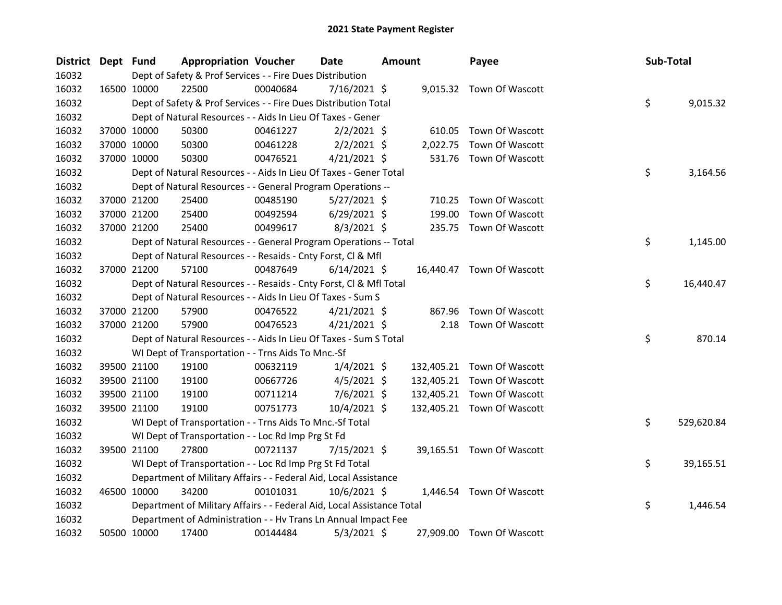| District Dept Fund |             | <b>Appropriation Voucher</b>                                           |          | <b>Date</b>    | <b>Amount</b> |            | Payee                      | Sub-Total |            |
|--------------------|-------------|------------------------------------------------------------------------|----------|----------------|---------------|------------|----------------------------|-----------|------------|
| 16032              |             | Dept of Safety & Prof Services - - Fire Dues Distribution              |          |                |               |            |                            |           |            |
| 16032              | 16500 10000 | 22500                                                                  | 00040684 | 7/16/2021 \$   |               |            | 9,015.32 Town Of Wascott   |           |            |
| 16032              |             | Dept of Safety & Prof Services - - Fire Dues Distribution Total        |          |                |               |            |                            | \$        | 9,015.32   |
| 16032              |             | Dept of Natural Resources - - Aids In Lieu Of Taxes - Gener            |          |                |               |            |                            |           |            |
| 16032              | 37000 10000 | 50300                                                                  | 00461227 | $2/2/2021$ \$  |               | 610.05     | Town Of Wascott            |           |            |
| 16032              | 37000 10000 | 50300                                                                  | 00461228 | $2/2/2021$ \$  |               | 2,022.75   | Town Of Wascott            |           |            |
| 16032              | 37000 10000 | 50300                                                                  | 00476521 | $4/21/2021$ \$ |               | 531.76     | Town Of Wascott            |           |            |
| 16032              |             | Dept of Natural Resources - - Aids In Lieu Of Taxes - Gener Total      |          |                |               |            |                            | \$        | 3,164.56   |
| 16032              |             | Dept of Natural Resources - - General Program Operations --            |          |                |               |            |                            |           |            |
| 16032              | 37000 21200 | 25400                                                                  | 00485190 | $5/27/2021$ \$ |               | 710.25     | Town Of Wascott            |           |            |
| 16032              | 37000 21200 | 25400                                                                  | 00492594 | $6/29/2021$ \$ |               | 199.00     | Town Of Wascott            |           |            |
| 16032              | 37000 21200 | 25400                                                                  | 00499617 | $8/3/2021$ \$  |               | 235.75     | Town Of Wascott            |           |            |
| 16032              |             | Dept of Natural Resources - - General Program Operations -- Total      |          |                |               |            |                            | \$        | 1,145.00   |
| 16032              |             | Dept of Natural Resources - - Resaids - Cnty Forst, Cl & Mfl           |          |                |               |            |                            |           |            |
| 16032              | 37000 21200 | 57100                                                                  | 00487649 | $6/14/2021$ \$ |               |            | 16,440.47 Town Of Wascott  |           |            |
| 16032              |             | Dept of Natural Resources - - Resaids - Cnty Forst, Cl & Mfl Total     |          |                |               |            |                            | \$        | 16,440.47  |
| 16032              |             | Dept of Natural Resources - - Aids In Lieu Of Taxes - Sum S            |          |                |               |            |                            |           |            |
| 16032              | 37000 21200 | 57900                                                                  | 00476522 | $4/21/2021$ \$ |               | 867.96     | Town Of Wascott            |           |            |
| 16032              | 37000 21200 | 57900                                                                  | 00476523 | $4/21/2021$ \$ |               | 2.18       | Town Of Wascott            |           |            |
| 16032              |             | Dept of Natural Resources - - Aids In Lieu Of Taxes - Sum S Total      |          |                |               |            |                            | \$        | 870.14     |
| 16032              |             | WI Dept of Transportation - - Trns Aids To Mnc.-Sf                     |          |                |               |            |                            |           |            |
| 16032              | 39500 21100 | 19100                                                                  | 00632119 | $1/4/2021$ \$  |               | 132,405.21 | Town Of Wascott            |           |            |
| 16032              | 39500 21100 | 19100                                                                  | 00667726 | $4/5/2021$ \$  |               | 132,405.21 | Town Of Wascott            |           |            |
| 16032              | 39500 21100 | 19100                                                                  | 00711214 | $7/6/2021$ \$  |               |            | 132,405.21 Town Of Wascott |           |            |
| 16032              | 39500 21100 | 19100                                                                  | 00751773 | 10/4/2021 \$   |               |            | 132,405.21 Town Of Wascott |           |            |
| 16032              |             | WI Dept of Transportation - - Trns Aids To Mnc.-Sf Total               |          |                |               |            |                            | \$        | 529,620.84 |
| 16032              |             | WI Dept of Transportation - - Loc Rd Imp Prg St Fd                     |          |                |               |            |                            |           |            |
| 16032              | 39500 21100 | 27800                                                                  | 00721137 | $7/15/2021$ \$ |               |            | 39,165.51 Town Of Wascott  |           |            |
| 16032              |             | WI Dept of Transportation - - Loc Rd Imp Prg St Fd Total               |          |                |               |            |                            | \$        | 39,165.51  |
| 16032              |             | Department of Military Affairs - - Federal Aid, Local Assistance       |          |                |               |            |                            |           |            |
| 16032              | 46500 10000 | 34200                                                                  | 00101031 | $10/6/2021$ \$ |               | 1,446.54   | <b>Town Of Wascott</b>     |           |            |
| 16032              |             | Department of Military Affairs - - Federal Aid, Local Assistance Total |          |                |               |            |                            | \$        | 1,446.54   |
| 16032              |             | Department of Administration - - Hv Trans Ln Annual Impact Fee         |          |                |               |            |                            |           |            |
| 16032              | 50500 10000 | 17400                                                                  | 00144484 | $5/3/2021$ \$  |               |            | 27,909.00 Town Of Wascott  |           |            |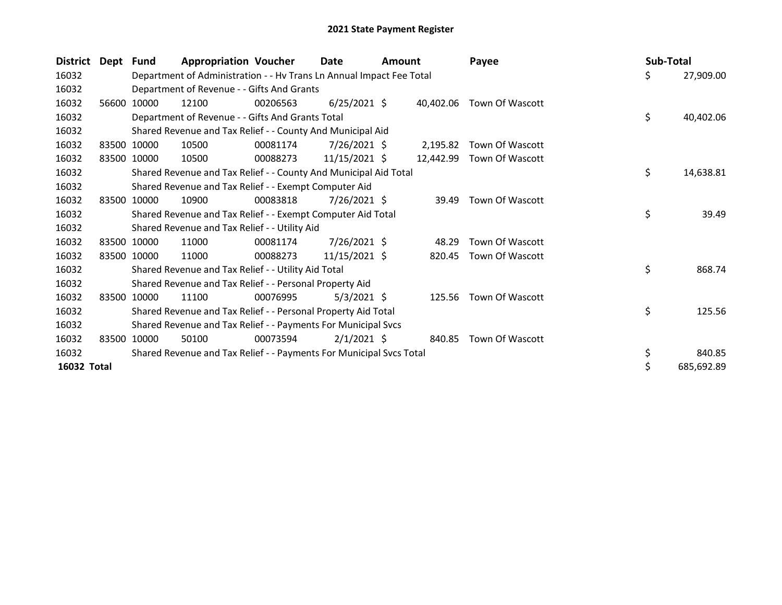| <b>District</b> | Dept Fund |             | <b>Appropriation Voucher</b>                                         |          | Date           | <b>Amount</b> |           | Payee                  | Sub-Total        |
|-----------------|-----------|-------------|----------------------------------------------------------------------|----------|----------------|---------------|-----------|------------------------|------------------|
| 16032           |           |             | Department of Administration - - Hv Trans Ln Annual Impact Fee Total |          |                |               |           |                        | \$<br>27,909.00  |
| 16032           |           |             | Department of Revenue - - Gifts And Grants                           |          |                |               |           |                        |                  |
| 16032           | 56600     | 10000       | 12100                                                                | 00206563 | $6/25/2021$ \$ |               | 40.402.06 | Town Of Wascott        |                  |
| 16032           |           |             | Department of Revenue - - Gifts And Grants Total                     |          |                |               |           |                        | \$<br>40,402.06  |
| 16032           |           |             | Shared Revenue and Tax Relief - - County And Municipal Aid           |          |                |               |           |                        |                  |
| 16032           |           | 83500 10000 | 10500                                                                | 00081174 | $7/26/2021$ \$ |               | 2,195.82  | Town Of Wascott        |                  |
| 16032           | 83500     | 10000       | 10500                                                                | 00088273 | 11/15/2021 \$  |               | 12.442.99 | Town Of Wascott        |                  |
| 16032           |           |             | Shared Revenue and Tax Relief - - County And Municipal Aid Total     |          |                |               |           |                        | \$<br>14,638.81  |
| 16032           |           |             | Shared Revenue and Tax Relief - - Exempt Computer Aid                |          |                |               |           |                        |                  |
| 16032           |           | 83500 10000 | 10900                                                                | 00083818 | $7/26/2021$ \$ |               | 39.49     | Town Of Wascott        |                  |
| 16032           |           |             | Shared Revenue and Tax Relief - - Exempt Computer Aid Total          |          |                |               |           |                        | \$<br>39.49      |
| 16032           |           |             | Shared Revenue and Tax Relief - - Utility Aid                        |          |                |               |           |                        |                  |
| 16032           |           | 83500 10000 | 11000                                                                | 00081174 | $7/26/2021$ \$ |               | 48.29     | Town Of Wascott        |                  |
| 16032           |           | 83500 10000 | 11000                                                                | 00088273 | 11/15/2021 \$  |               | 820.45    | Town Of Wascott        |                  |
| 16032           |           |             | Shared Revenue and Tax Relief - - Utility Aid Total                  |          |                |               |           |                        | \$<br>868.74     |
| 16032           |           |             | Shared Revenue and Tax Relief - - Personal Property Aid              |          |                |               |           |                        |                  |
| 16032           |           | 83500 10000 | 11100                                                                | 00076995 | $5/3/2021$ \$  |               |           | 125.56 Town Of Wascott |                  |
| 16032           |           |             | Shared Revenue and Tax Relief - - Personal Property Aid Total        |          |                |               |           |                        | \$<br>125.56     |
| 16032           |           |             | Shared Revenue and Tax Relief - - Payments For Municipal Svcs        |          |                |               |           |                        |                  |
| 16032           |           | 83500 10000 | 50100                                                                | 00073594 | $2/1/2021$ \$  |               | 840.85    | Town Of Wascott        |                  |
| 16032           |           |             | Shared Revenue and Tax Relief - - Payments For Municipal Svcs Total  |          |                |               |           |                        | \$<br>840.85     |
| 16032 Total     |           |             |                                                                      |          |                |               |           |                        | \$<br>685,692.89 |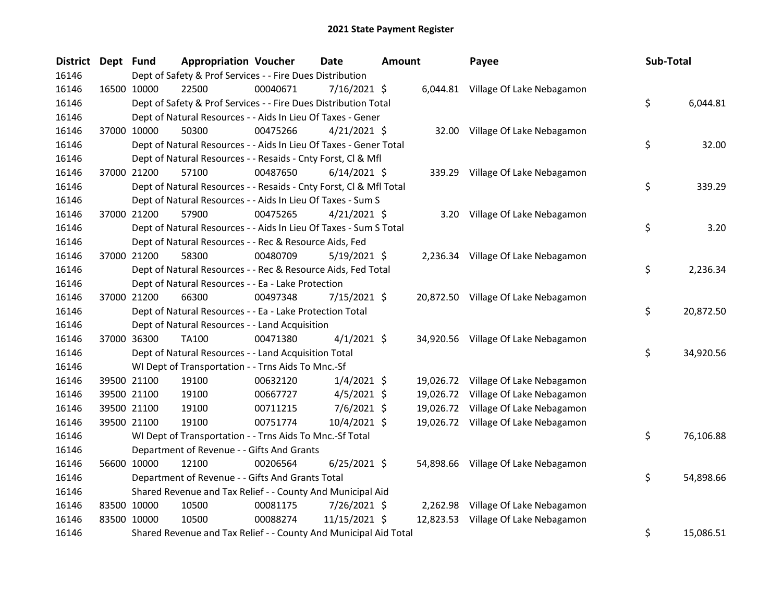| District Dept Fund |             | <b>Appropriation Voucher</b>                                       |          | <b>Date</b>    | <b>Amount</b> |           | Payee                               | Sub-Total |           |
|--------------------|-------------|--------------------------------------------------------------------|----------|----------------|---------------|-----------|-------------------------------------|-----------|-----------|
| 16146              |             | Dept of Safety & Prof Services - - Fire Dues Distribution          |          |                |               |           |                                     |           |           |
| 16146              | 16500 10000 | 22500                                                              | 00040671 | 7/16/2021 \$   |               |           | 6,044.81 Village Of Lake Nebagamon  |           |           |
| 16146              |             | Dept of Safety & Prof Services - - Fire Dues Distribution Total    |          |                |               |           |                                     | \$        | 6,044.81  |
| 16146              |             | Dept of Natural Resources - - Aids In Lieu Of Taxes - Gener        |          |                |               |           |                                     |           |           |
| 16146              | 37000 10000 | 50300                                                              | 00475266 | $4/21/2021$ \$ |               |           | 32.00 Village Of Lake Nebagamon     |           |           |
| 16146              |             | Dept of Natural Resources - - Aids In Lieu Of Taxes - Gener Total  |          |                |               |           |                                     | \$        | 32.00     |
| 16146              |             | Dept of Natural Resources - - Resaids - Cnty Forst, Cl & Mfl       |          |                |               |           |                                     |           |           |
| 16146              | 37000 21200 | 57100                                                              | 00487650 | $6/14/2021$ \$ |               |           | 339.29 Village Of Lake Nebagamon    |           |           |
| 16146              |             | Dept of Natural Resources - - Resaids - Cnty Forst, Cl & Mfl Total |          |                |               |           |                                     | \$        | 339.29    |
| 16146              |             | Dept of Natural Resources - - Aids In Lieu Of Taxes - Sum S        |          |                |               |           |                                     |           |           |
| 16146              | 37000 21200 | 57900                                                              | 00475265 | $4/21/2021$ \$ |               | 3.20      | Village Of Lake Nebagamon           |           |           |
| 16146              |             | Dept of Natural Resources - - Aids In Lieu Of Taxes - Sum S Total  |          |                |               |           |                                     | \$        | 3.20      |
| 16146              |             | Dept of Natural Resources - - Rec & Resource Aids, Fed             |          |                |               |           |                                     |           |           |
| 16146              | 37000 21200 | 58300                                                              | 00480709 | $5/19/2021$ \$ |               |           | 2,236.34 Village Of Lake Nebagamon  |           |           |
| 16146              |             | Dept of Natural Resources - - Rec & Resource Aids, Fed Total       |          |                |               |           |                                     | \$        | 2,236.34  |
| 16146              |             | Dept of Natural Resources - - Ea - Lake Protection                 |          |                |               |           |                                     |           |           |
| 16146              | 37000 21200 | 66300                                                              | 00497348 | $7/15/2021$ \$ |               |           | 20,872.50 Village Of Lake Nebagamon |           |           |
| 16146              |             | Dept of Natural Resources - - Ea - Lake Protection Total           |          |                |               |           |                                     | \$        | 20,872.50 |
| 16146              |             | Dept of Natural Resources - - Land Acquisition                     |          |                |               |           |                                     |           |           |
| 16146              | 37000 36300 | TA100                                                              | 00471380 | $4/1/2021$ \$  |               |           | 34,920.56 Village Of Lake Nebagamon |           |           |
| 16146              |             | Dept of Natural Resources - - Land Acquisition Total               |          |                |               |           |                                     | \$        | 34,920.56 |
| 16146              |             | WI Dept of Transportation - - Trns Aids To Mnc.-Sf                 |          |                |               |           |                                     |           |           |
| 16146              | 39500 21100 | 19100                                                              | 00632120 | $1/4/2021$ \$  |               |           | 19,026.72 Village Of Lake Nebagamon |           |           |
| 16146              | 39500 21100 | 19100                                                              | 00667727 | $4/5/2021$ \$  |               | 19,026.72 | Village Of Lake Nebagamon           |           |           |
| 16146              | 39500 21100 | 19100                                                              | 00711215 | 7/6/2021 \$    |               |           | 19,026.72 Village Of Lake Nebagamon |           |           |
| 16146              | 39500 21100 | 19100                                                              | 00751774 | 10/4/2021 \$   |               |           | 19,026.72 Village Of Lake Nebagamon |           |           |
| 16146              |             | WI Dept of Transportation - - Trns Aids To Mnc.-Sf Total           |          |                |               |           |                                     | \$        | 76,106.88 |
| 16146              |             | Department of Revenue - - Gifts And Grants                         |          |                |               |           |                                     |           |           |
| 16146              | 56600 10000 | 12100                                                              | 00206564 | $6/25/2021$ \$ |               | 54,898.66 | Village Of Lake Nebagamon           |           |           |
| 16146              |             | Department of Revenue - - Gifts And Grants Total                   |          |                |               |           |                                     | \$        | 54,898.66 |
| 16146              |             | Shared Revenue and Tax Relief - - County And Municipal Aid         |          |                |               |           |                                     |           |           |
| 16146              | 83500 10000 | 10500                                                              | 00081175 | 7/26/2021 \$   |               | 2,262.98  | Village Of Lake Nebagamon           |           |           |
| 16146              | 83500 10000 | 10500                                                              | 00088274 | 11/15/2021 \$  |               | 12,823.53 | Village Of Lake Nebagamon           |           |           |
| 16146              |             | Shared Revenue and Tax Relief - - County And Municipal Aid Total   |          |                |               |           |                                     | \$        | 15,086.51 |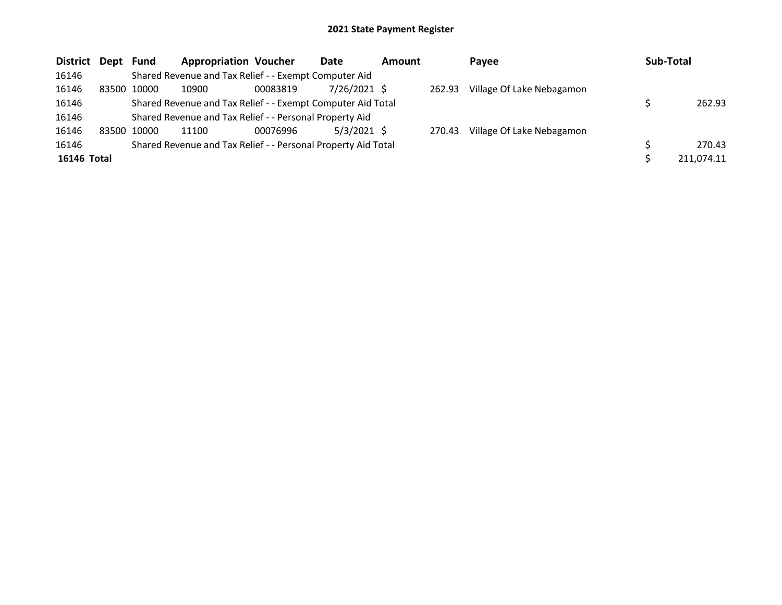| District Dept Fund |       |       | <b>Appropriation Voucher</b>                                  |          | Date           | <b>Amount</b> |        | Payee                     | Sub-Total |            |
|--------------------|-------|-------|---------------------------------------------------------------|----------|----------------|---------------|--------|---------------------------|-----------|------------|
| 16146              |       |       | Shared Revenue and Tax Relief - - Exempt Computer Aid         |          |                |               |        |                           |           |            |
| 16146              | 83500 | 10000 | 10900                                                         | 00083819 | $7/26/2021$ \$ |               | 262.93 | Village Of Lake Nebagamon |           |            |
| 16146              |       |       | Shared Revenue and Tax Relief - - Exempt Computer Aid Total   |          |                |               |        |                           |           | 262.93     |
| 16146              |       |       | Shared Revenue and Tax Relief - - Personal Property Aid       |          |                |               |        |                           |           |            |
| 16146              | 83500 | 10000 | 11100                                                         | 00076996 | $5/3/2021$ \$  |               | 270.43 | Village Of Lake Nebagamon |           |            |
| 16146              |       |       | Shared Revenue and Tax Relief - - Personal Property Aid Total |          |                |               |        |                           |           | 270.43     |
| 16146 Total        |       |       |                                                               |          |                |               |        |                           |           | 211,074.11 |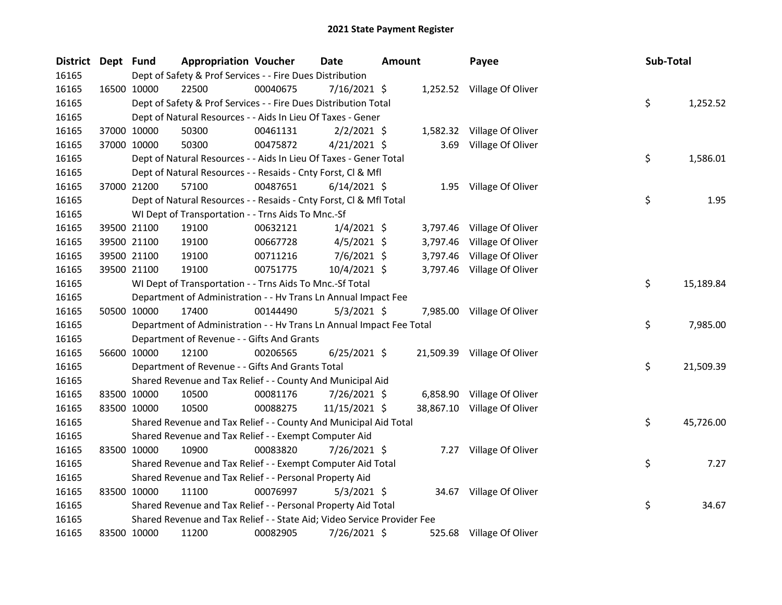| District Dept Fund |             |             | <b>Appropriation Voucher</b>                                            |          | <b>Date</b>    | <b>Amount</b> |          | Payee                       | Sub-Total |           |
|--------------------|-------------|-------------|-------------------------------------------------------------------------|----------|----------------|---------------|----------|-----------------------------|-----------|-----------|
| 16165              |             |             | Dept of Safety & Prof Services - - Fire Dues Distribution               |          |                |               |          |                             |           |           |
| 16165              |             | 16500 10000 | 22500                                                                   | 00040675 | $7/16/2021$ \$ |               |          | 1,252.52 Village Of Oliver  |           |           |
| 16165              |             |             | Dept of Safety & Prof Services - - Fire Dues Distribution Total         |          |                |               |          |                             | \$        | 1,252.52  |
| 16165              |             |             | Dept of Natural Resources - - Aids In Lieu Of Taxes - Gener             |          |                |               |          |                             |           |           |
| 16165              |             | 37000 10000 | 50300                                                                   | 00461131 | $2/2/2021$ \$  |               |          | 1,582.32 Village Of Oliver  |           |           |
| 16165              |             | 37000 10000 | 50300                                                                   | 00475872 | $4/21/2021$ \$ |               |          | 3.69 Village Of Oliver      |           |           |
| 16165              |             |             | Dept of Natural Resources - - Aids In Lieu Of Taxes - Gener Total       |          |                |               |          |                             | \$        | 1,586.01  |
| 16165              |             |             | Dept of Natural Resources - - Resaids - Cnty Forst, Cl & Mfl            |          |                |               |          |                             |           |           |
| 16165              |             | 37000 21200 | 57100                                                                   | 00487651 | $6/14/2021$ \$ |               |          | 1.95 Village Of Oliver      |           |           |
| 16165              |             |             | Dept of Natural Resources - - Resaids - Cnty Forst, Cl & Mfl Total      |          |                |               |          |                             | \$        | 1.95      |
| 16165              |             |             | WI Dept of Transportation - - Trns Aids To Mnc.-Sf                      |          |                |               |          |                             |           |           |
| 16165              |             | 39500 21100 | 19100                                                                   | 00632121 | $1/4/2021$ \$  |               |          | 3,797.46 Village Of Oliver  |           |           |
| 16165              |             | 39500 21100 | 19100                                                                   | 00667728 | $4/5/2021$ \$  |               | 3,797.46 | Village Of Oliver           |           |           |
| 16165              |             | 39500 21100 | 19100                                                                   | 00711216 | $7/6/2021$ \$  |               | 3,797.46 | Village Of Oliver           |           |           |
| 16165              |             | 39500 21100 | 19100                                                                   | 00751775 | 10/4/2021 \$   |               |          | 3,797.46 Village Of Oliver  |           |           |
| 16165              |             |             | WI Dept of Transportation - - Trns Aids To Mnc.-Sf Total                |          |                |               |          |                             | \$        | 15,189.84 |
| 16165              |             |             | Department of Administration - - Hv Trans Ln Annual Impact Fee          |          |                |               |          |                             |           |           |
| 16165              |             | 50500 10000 | 17400                                                                   | 00144490 | $5/3/2021$ \$  |               |          | 7,985.00 Village Of Oliver  |           |           |
| 16165              |             |             | Department of Administration - - Hv Trans Ln Annual Impact Fee Total    |          |                |               |          |                             | \$        | 7,985.00  |
| 16165              |             |             | Department of Revenue - - Gifts And Grants                              |          |                |               |          |                             |           |           |
| 16165              |             | 56600 10000 | 12100                                                                   | 00206565 | $6/25/2021$ \$ |               |          | 21,509.39 Village Of Oliver |           |           |
| 16165              |             |             | Department of Revenue - - Gifts And Grants Total                        |          |                |               |          |                             | \$        | 21,509.39 |
| 16165              |             |             | Shared Revenue and Tax Relief - - County And Municipal Aid              |          |                |               |          |                             |           |           |
| 16165              |             | 83500 10000 | 10500                                                                   | 00081176 | 7/26/2021 \$   |               |          | 6,858.90 Village Of Oliver  |           |           |
| 16165              |             | 83500 10000 | 10500                                                                   | 00088275 | 11/15/2021 \$  |               |          | 38,867.10 Village Of Oliver |           |           |
| 16165              |             |             | Shared Revenue and Tax Relief - - County And Municipal Aid Total        |          |                |               |          |                             | \$        | 45,726.00 |
| 16165              |             |             | Shared Revenue and Tax Relief - - Exempt Computer Aid                   |          |                |               |          |                             |           |           |
| 16165              |             | 83500 10000 | 10900                                                                   | 00083820 | $7/26/2021$ \$ |               |          | 7.27 Village Of Oliver      |           |           |
| 16165              |             |             | Shared Revenue and Tax Relief - - Exempt Computer Aid Total             |          |                |               |          |                             | \$        | 7.27      |
| 16165              |             |             | Shared Revenue and Tax Relief - - Personal Property Aid                 |          |                |               |          |                             |           |           |
| 16165              |             | 83500 10000 | 11100                                                                   | 00076997 | $5/3/2021$ \$  |               |          | 34.67 Village Of Oliver     |           |           |
| 16165              |             |             | Shared Revenue and Tax Relief - - Personal Property Aid Total           |          |                |               |          |                             | \$        | 34.67     |
| 16165              |             |             | Shared Revenue and Tax Relief - - State Aid; Video Service Provider Fee |          |                |               |          |                             |           |           |
| 16165              | 83500 10000 |             | 11200                                                                   | 00082905 | 7/26/2021 \$   |               |          | 525.68 Village Of Oliver    |           |           |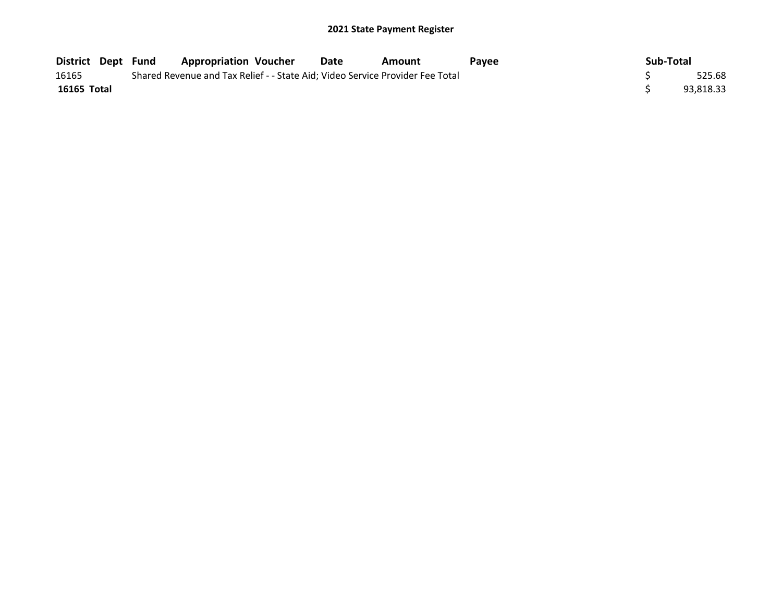| <b>District Dept Fund</b> |  | <b>Appropriation Voucher</b> | Date | Amount                                                                        | <b>Pavee</b> | Sub-Total |           |
|---------------------------|--|------------------------------|------|-------------------------------------------------------------------------------|--------------|-----------|-----------|
| 16165                     |  |                              |      | Shared Revenue and Tax Relief - - State Aid; Video Service Provider Fee Total |              |           | 525.68    |
| 16165 Total               |  |                              |      |                                                                               |              |           | 93.818.33 |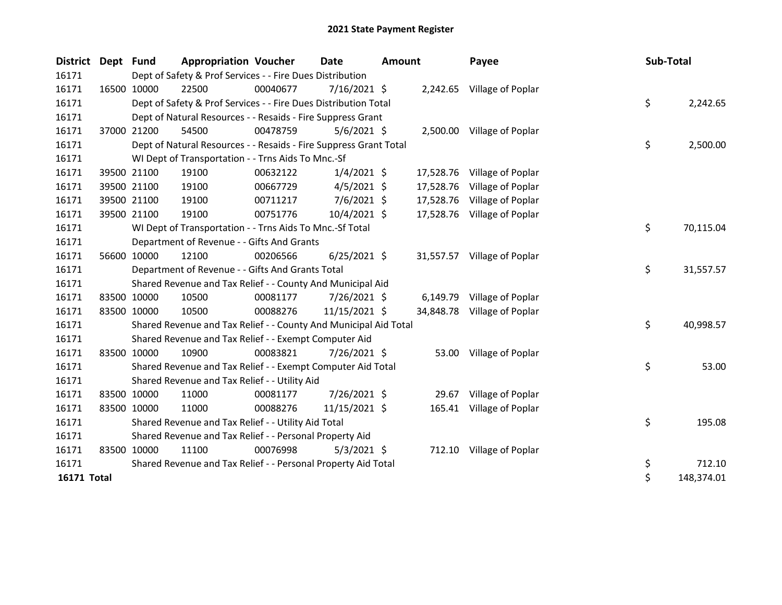| District Dept | <b>Fund</b> | <b>Appropriation Voucher</b>                                      |          | <b>Date</b>    | <b>Amount</b> |           | Payee                       | Sub-Total |            |
|---------------|-------------|-------------------------------------------------------------------|----------|----------------|---------------|-----------|-----------------------------|-----------|------------|
| 16171         |             | Dept of Safety & Prof Services - - Fire Dues Distribution         |          |                |               |           |                             |           |            |
| 16171         | 16500 10000 | 22500                                                             | 00040677 | 7/16/2021 \$   |               |           | 2,242.65 Village of Poplar  |           |            |
| 16171         |             | Dept of Safety & Prof Services - - Fire Dues Distribution Total   |          |                |               |           |                             | \$        | 2,242.65   |
| 16171         |             | Dept of Natural Resources - - Resaids - Fire Suppress Grant       |          |                |               |           |                             |           |            |
| 16171         | 37000 21200 | 54500                                                             | 00478759 | $5/6/2021$ \$  |               |           | 2,500.00 Village of Poplar  |           |            |
| 16171         |             | Dept of Natural Resources - - Resaids - Fire Suppress Grant Total |          |                |               |           |                             | \$        | 2,500.00   |
| 16171         |             | WI Dept of Transportation - - Trns Aids To Mnc.-Sf                |          |                |               |           |                             |           |            |
| 16171         | 39500 21100 | 19100                                                             | 00632122 | $1/4/2021$ \$  |               | 17,528.76 | Village of Poplar           |           |            |
| 16171         | 39500 21100 | 19100                                                             | 00667729 | $4/5/2021$ \$  |               | 17,528.76 | Village of Poplar           |           |            |
| 16171         | 39500 21100 | 19100                                                             | 00711217 | $7/6/2021$ \$  |               | 17,528.76 | Village of Poplar           |           |            |
| 16171         | 39500 21100 | 19100                                                             | 00751776 | 10/4/2021 \$   |               | 17,528.76 | Village of Poplar           |           |            |
| 16171         |             | WI Dept of Transportation - - Trns Aids To Mnc.-Sf Total          |          |                |               |           |                             | \$        | 70,115.04  |
| 16171         |             | Department of Revenue - - Gifts And Grants                        |          |                |               |           |                             |           |            |
| 16171         | 56600 10000 | 12100                                                             | 00206566 | $6/25/2021$ \$ |               |           | 31,557.57 Village of Poplar |           |            |
| 16171         |             | Department of Revenue - - Gifts And Grants Total                  |          |                |               |           |                             | \$        | 31,557.57  |
| 16171         |             | Shared Revenue and Tax Relief - - County And Municipal Aid        |          |                |               |           |                             |           |            |
| 16171         | 83500 10000 | 10500                                                             | 00081177 | $7/26/2021$ \$ |               | 6,149.79  | Village of Poplar           |           |            |
| 16171         | 83500 10000 | 10500                                                             | 00088276 | 11/15/2021 \$  |               | 34,848.78 | Village of Poplar           |           |            |
| 16171         |             | Shared Revenue and Tax Relief - - County And Municipal Aid Total  |          |                |               |           |                             | \$        | 40,998.57  |
| 16171         |             | Shared Revenue and Tax Relief - - Exempt Computer Aid             |          |                |               |           |                             |           |            |
| 16171         | 83500 10000 | 10900                                                             | 00083821 | $7/26/2021$ \$ |               | 53.00     | Village of Poplar           |           |            |
| 16171         |             | Shared Revenue and Tax Relief - - Exempt Computer Aid Total       |          |                |               |           |                             | \$        | 53.00      |
| 16171         |             | Shared Revenue and Tax Relief - - Utility Aid                     |          |                |               |           |                             |           |            |
| 16171         | 83500 10000 | 11000                                                             | 00081177 | 7/26/2021 \$   |               | 29.67     | Village of Poplar           |           |            |
| 16171         | 83500 10000 | 11000                                                             | 00088276 | 11/15/2021 \$  |               | 165.41    | Village of Poplar           |           |            |
| 16171         |             | Shared Revenue and Tax Relief - - Utility Aid Total               |          |                |               |           |                             | \$        | 195.08     |
| 16171         |             | Shared Revenue and Tax Relief - - Personal Property Aid           |          |                |               |           |                             |           |            |
| 16171         | 83500 10000 | 11100                                                             | 00076998 | $5/3/2021$ \$  |               |           | 712.10 Village of Poplar    |           |            |
| 16171         |             | Shared Revenue and Tax Relief - - Personal Property Aid Total     |          |                |               |           |                             | \$        | 712.10     |
| 16171 Total   |             |                                                                   |          |                |               |           |                             | \$        | 148,374.01 |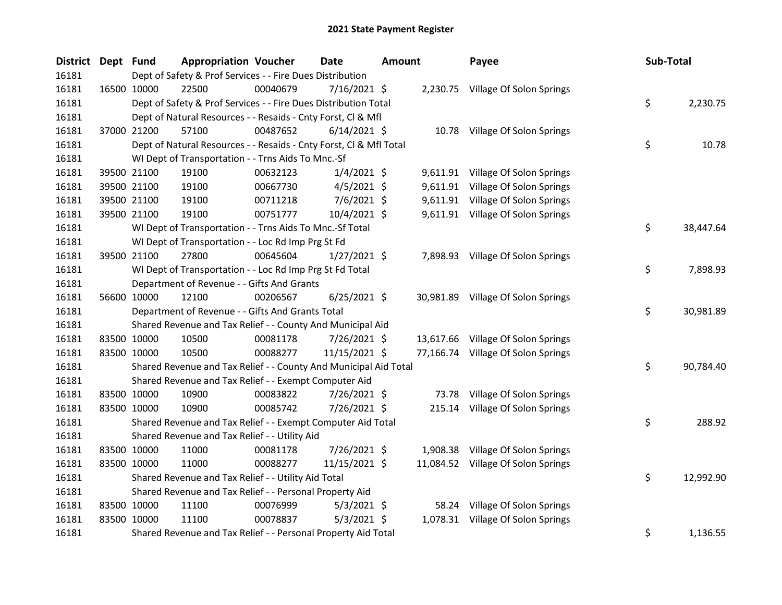| <b>District</b> | Dept Fund |             | <b>Appropriation Voucher</b>                                       |          | <b>Date</b>    | <b>Amount</b> |          | Payee                              | Sub-Total |           |
|-----------------|-----------|-------------|--------------------------------------------------------------------|----------|----------------|---------------|----------|------------------------------------|-----------|-----------|
| 16181           |           |             | Dept of Safety & Prof Services - - Fire Dues Distribution          |          |                |               |          |                                    |           |           |
| 16181           |           | 16500 10000 | 22500                                                              | 00040679 | 7/16/2021 \$   |               |          | 2,230.75 Village Of Solon Springs  |           |           |
| 16181           |           |             | Dept of Safety & Prof Services - - Fire Dues Distribution Total    |          |                |               |          |                                    | \$        | 2,230.75  |
| 16181           |           |             | Dept of Natural Resources - - Resaids - Cnty Forst, Cl & Mfl       |          |                |               |          |                                    |           |           |
| 16181           |           | 37000 21200 | 57100                                                              | 00487652 | $6/14/2021$ \$ |               |          | 10.78 Village Of Solon Springs     |           |           |
| 16181           |           |             | Dept of Natural Resources - - Resaids - Cnty Forst, Cl & Mfl Total |          |                |               |          |                                    | \$        | 10.78     |
| 16181           |           |             | WI Dept of Transportation - - Trns Aids To Mnc.-Sf                 |          |                |               |          |                                    |           |           |
| 16181           |           | 39500 21100 | 19100                                                              | 00632123 | $1/4/2021$ \$  |               |          | 9,611.91 Village Of Solon Springs  |           |           |
| 16181           |           | 39500 21100 | 19100                                                              | 00667730 | $4/5/2021$ \$  |               | 9,611.91 | Village Of Solon Springs           |           |           |
| 16181           |           | 39500 21100 | 19100                                                              | 00711218 | $7/6/2021$ \$  |               |          | 9,611.91 Village Of Solon Springs  |           |           |
| 16181           |           | 39500 21100 | 19100                                                              | 00751777 | 10/4/2021 \$   |               |          | 9,611.91 Village Of Solon Springs  |           |           |
| 16181           |           |             | WI Dept of Transportation - - Trns Aids To Mnc.-Sf Total           |          |                |               |          |                                    | \$.       | 38,447.64 |
| 16181           |           |             | WI Dept of Transportation - - Loc Rd Imp Prg St Fd                 |          |                |               |          |                                    |           |           |
| 16181           |           | 39500 21100 | 27800                                                              | 00645604 | $1/27/2021$ \$ |               |          | 7,898.93 Village Of Solon Springs  |           |           |
| 16181           |           |             | WI Dept of Transportation - - Loc Rd Imp Prg St Fd Total           |          |                |               |          |                                    | \$        | 7,898.93  |
| 16181           |           |             | Department of Revenue - - Gifts And Grants                         |          |                |               |          |                                    |           |           |
| 16181           |           | 56600 10000 | 12100                                                              | 00206567 | $6/25/2021$ \$ |               |          | 30,981.89 Village Of Solon Springs |           |           |
| 16181           |           |             | Department of Revenue - - Gifts And Grants Total                   |          |                |               |          |                                    | \$        | 30,981.89 |
| 16181           |           |             | Shared Revenue and Tax Relief - - County And Municipal Aid         |          |                |               |          |                                    |           |           |
| 16181           |           | 83500 10000 | 10500                                                              | 00081178 | 7/26/2021 \$   |               |          | 13,617.66 Village Of Solon Springs |           |           |
| 16181           |           | 83500 10000 | 10500                                                              | 00088277 | 11/15/2021 \$  |               |          | 77,166.74 Village Of Solon Springs |           |           |
| 16181           |           |             | Shared Revenue and Tax Relief - - County And Municipal Aid Total   |          |                |               |          |                                    | \$        | 90,784.40 |
| 16181           |           |             | Shared Revenue and Tax Relief - - Exempt Computer Aid              |          |                |               |          |                                    |           |           |
| 16181           |           | 83500 10000 | 10900                                                              | 00083822 | 7/26/2021 \$   |               | 73.78    | Village Of Solon Springs           |           |           |
| 16181           |           | 83500 10000 | 10900                                                              | 00085742 | 7/26/2021 \$   |               |          | 215.14 Village Of Solon Springs    |           |           |
| 16181           |           |             | Shared Revenue and Tax Relief - - Exempt Computer Aid Total        |          |                |               |          |                                    | \$        | 288.92    |
| 16181           |           |             | Shared Revenue and Tax Relief - - Utility Aid                      |          |                |               |          |                                    |           |           |
| 16181           |           | 83500 10000 | 11000                                                              | 00081178 | 7/26/2021 \$   |               |          | 1,908.38 Village Of Solon Springs  |           |           |
| 16181           |           | 83500 10000 | 11000                                                              | 00088277 | 11/15/2021 \$  |               |          | 11,084.52 Village Of Solon Springs |           |           |
| 16181           |           |             | Shared Revenue and Tax Relief - - Utility Aid Total                |          |                |               |          |                                    | \$        | 12,992.90 |
| 16181           |           |             | Shared Revenue and Tax Relief - - Personal Property Aid            |          |                |               |          |                                    |           |           |
| 16181           |           | 83500 10000 | 11100                                                              | 00076999 | $5/3/2021$ \$  |               | 58.24    | Village Of Solon Springs           |           |           |
| 16181           |           | 83500 10000 | 11100                                                              | 00078837 | $5/3/2021$ \$  |               |          | 1,078.31 Village Of Solon Springs  |           |           |
| 16181           |           |             | Shared Revenue and Tax Relief - - Personal Property Aid Total      |          |                |               |          |                                    | \$        | 1,136.55  |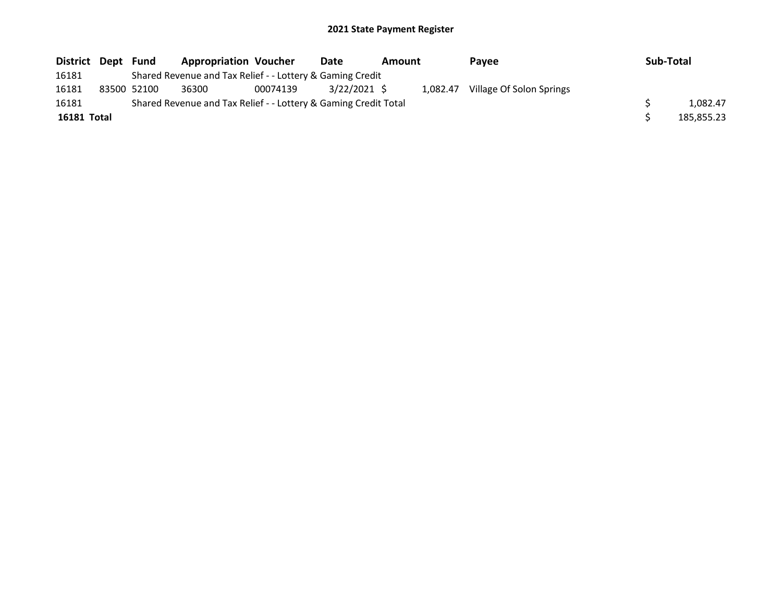| District Dept | Fund        | <b>Appropriation Voucher</b>                                    |          | Date         | Amount |          | Payee                    | Sub-Total  |
|---------------|-------------|-----------------------------------------------------------------|----------|--------------|--------|----------|--------------------------|------------|
| 16181         |             | Shared Revenue and Tax Relief - - Lottery & Gaming Credit       |          |              |        |          |                          |            |
| 16181         | 83500 52100 | 36300                                                           | 00074139 | 3/22/2021 \$ |        | 1.082.47 | Village Of Solon Springs |            |
| 16181         |             | Shared Revenue and Tax Relief - - Lottery & Gaming Credit Total |          |              |        |          |                          | 1.082.47   |
| 16181 Total   |             |                                                                 |          |              |        |          |                          | 185,855.23 |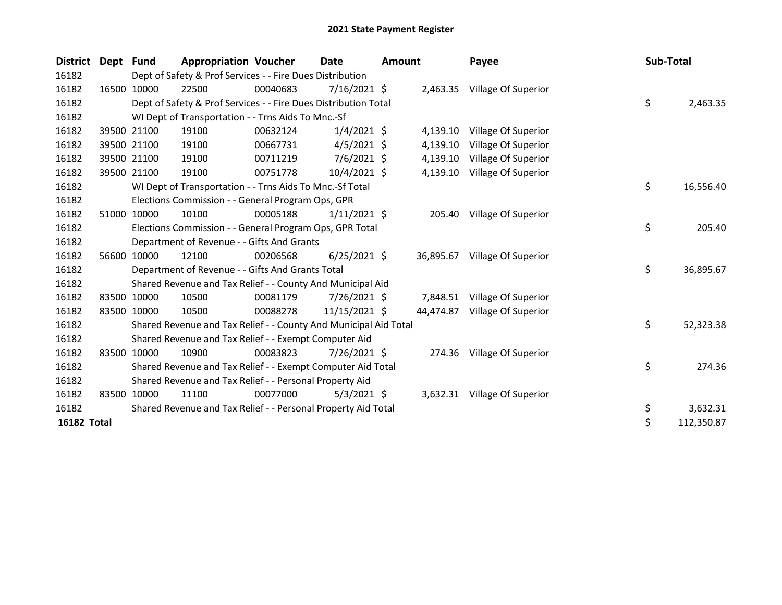| <b>District</b> | Dept  | <b>Fund</b> | <b>Appropriation Voucher</b>                                     |          | <b>Date</b>    | <b>Amount</b> |           | Payee                        | Sub-Total |            |
|-----------------|-------|-------------|------------------------------------------------------------------|----------|----------------|---------------|-----------|------------------------------|-----------|------------|
| 16182           |       |             | Dept of Safety & Prof Services - - Fire Dues Distribution        |          |                |               |           |                              |           |            |
| 16182           |       | 16500 10000 | 22500                                                            | 00040683 | $7/16/2021$ \$ |               |           | 2,463.35 Village Of Superior |           |            |
| 16182           |       |             | Dept of Safety & Prof Services - - Fire Dues Distribution Total  |          |                |               |           |                              | \$        | 2,463.35   |
| 16182           |       |             | WI Dept of Transportation - - Trns Aids To Mnc.-Sf               |          |                |               |           |                              |           |            |
| 16182           |       | 39500 21100 | 19100                                                            | 00632124 | $1/4/2021$ \$  |               | 4,139.10  | Village Of Superior          |           |            |
| 16182           |       | 39500 21100 | 19100                                                            | 00667731 | $4/5/2021$ \$  |               | 4,139.10  | Village Of Superior          |           |            |
| 16182           |       | 39500 21100 | 19100                                                            | 00711219 | 7/6/2021 \$    |               | 4,139.10  | Village Of Superior          |           |            |
| 16182           |       | 39500 21100 | 19100                                                            | 00751778 | 10/4/2021 \$   |               | 4,139.10  | Village Of Superior          |           |            |
| 16182           |       |             | WI Dept of Transportation - - Trns Aids To Mnc.-Sf Total         |          |                |               |           |                              | \$        | 16,556.40  |
| 16182           |       |             | Elections Commission - - General Program Ops, GPR                |          |                |               |           |                              |           |            |
| 16182           |       | 51000 10000 | 10100                                                            | 00005188 | $1/11/2021$ \$ |               | 205.40    | Village Of Superior          |           |            |
| 16182           |       |             | Elections Commission - - General Program Ops, GPR Total          |          |                |               |           |                              | \$        | 205.40     |
| 16182           |       |             | Department of Revenue - - Gifts And Grants                       |          |                |               |           |                              |           |            |
| 16182           | 56600 | 10000       | 12100                                                            | 00206568 | $6/25/2021$ \$ |               | 36,895.67 | Village Of Superior          |           |            |
| 16182           |       |             | Department of Revenue - - Gifts And Grants Total                 |          |                |               |           |                              | \$        | 36,895.67  |
| 16182           |       |             | Shared Revenue and Tax Relief - - County And Municipal Aid       |          |                |               |           |                              |           |            |
| 16182           |       | 83500 10000 | 10500                                                            | 00081179 | 7/26/2021 \$   |               | 7,848.51  | Village Of Superior          |           |            |
| 16182           |       | 83500 10000 | 10500                                                            | 00088278 | 11/15/2021 \$  |               | 44,474.87 | Village Of Superior          |           |            |
| 16182           |       |             | Shared Revenue and Tax Relief - - County And Municipal Aid Total |          |                |               |           |                              | \$        | 52,323.38  |
| 16182           |       |             | Shared Revenue and Tax Relief - - Exempt Computer Aid            |          |                |               |           |                              |           |            |
| 16182           |       | 83500 10000 | 10900                                                            | 00083823 | 7/26/2021 \$   |               | 274.36    | Village Of Superior          |           |            |
| 16182           |       |             | Shared Revenue and Tax Relief - - Exempt Computer Aid Total      |          |                |               |           |                              | \$        | 274.36     |
| 16182           |       |             | Shared Revenue and Tax Relief - - Personal Property Aid          |          |                |               |           |                              |           |            |
| 16182           | 83500 | 10000       | 11100                                                            | 00077000 | $5/3/2021$ \$  |               |           | 3,632.31 Village Of Superior |           |            |
| 16182           |       |             | Shared Revenue and Tax Relief - - Personal Property Aid Total    |          |                |               |           |                              | \$        | 3,632.31   |
| 16182 Total     |       |             |                                                                  |          |                |               |           |                              | \$        | 112,350.87 |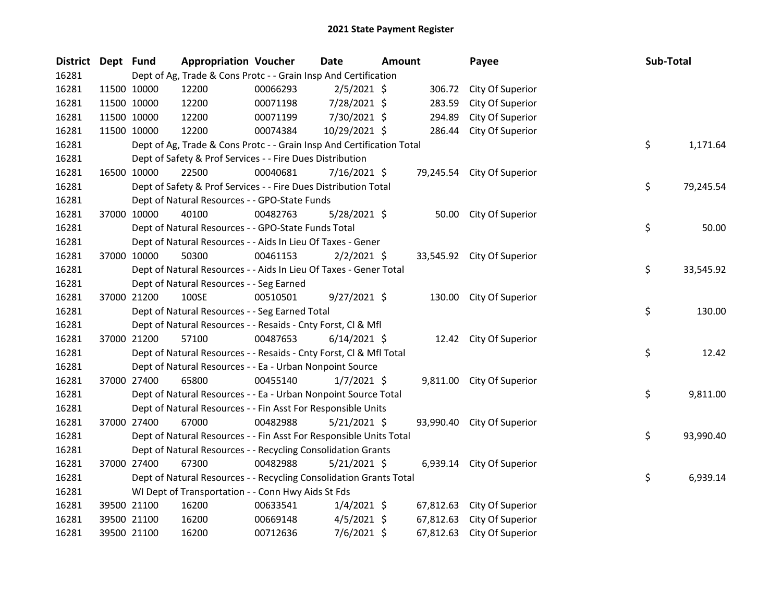| District Dept Fund |             | <b>Appropriation Voucher</b>                                          |          | Date           | Amount |           | Payee                      | Sub-Total |           |
|--------------------|-------------|-----------------------------------------------------------------------|----------|----------------|--------|-----------|----------------------------|-----------|-----------|
| 16281              |             | Dept of Ag, Trade & Cons Protc - - Grain Insp And Certification       |          |                |        |           |                            |           |           |
| 16281              | 11500 10000 | 12200                                                                 | 00066293 | $2/5/2021$ \$  |        | 306.72    | City Of Superior           |           |           |
| 16281              | 11500 10000 | 12200                                                                 | 00071198 | 7/28/2021 \$   |        | 283.59    | City Of Superior           |           |           |
| 16281              | 11500 10000 | 12200                                                                 | 00071199 | 7/30/2021 \$   |        | 294.89    | City Of Superior           |           |           |
| 16281              | 11500 10000 | 12200                                                                 | 00074384 | 10/29/2021 \$  |        | 286.44    | City Of Superior           |           |           |
| 16281              |             | Dept of Ag, Trade & Cons Protc - - Grain Insp And Certification Total |          |                |        |           |                            | \$        | 1,171.64  |
| 16281              |             | Dept of Safety & Prof Services - - Fire Dues Distribution             |          |                |        |           |                            |           |           |
| 16281              | 16500 10000 | 22500                                                                 | 00040681 | 7/16/2021 \$   |        |           | 79,245.54 City Of Superior |           |           |
| 16281              |             | Dept of Safety & Prof Services - - Fire Dues Distribution Total       |          |                |        |           |                            | \$        | 79,245.54 |
| 16281              |             | Dept of Natural Resources - - GPO-State Funds                         |          |                |        |           |                            |           |           |
| 16281              | 37000 10000 | 40100                                                                 | 00482763 | 5/28/2021 \$   |        |           | 50.00 City Of Superior     |           |           |
| 16281              |             | Dept of Natural Resources - - GPO-State Funds Total                   |          |                |        |           |                            | \$        | 50.00     |
| 16281              |             | Dept of Natural Resources - - Aids In Lieu Of Taxes - Gener           |          |                |        |           |                            |           |           |
| 16281              | 37000 10000 | 50300                                                                 | 00461153 | $2/2/2021$ \$  |        |           | 33,545.92 City Of Superior |           |           |
| 16281              |             | Dept of Natural Resources - - Aids In Lieu Of Taxes - Gener Total     |          |                |        |           |                            | \$        | 33,545.92 |
| 16281              |             | Dept of Natural Resources - - Seg Earned                              |          |                |        |           |                            |           |           |
| 16281              | 37000 21200 | 100SE                                                                 | 00510501 | $9/27/2021$ \$ |        |           | 130.00 City Of Superior    |           |           |
| 16281              |             | Dept of Natural Resources - - Seg Earned Total                        |          |                |        |           |                            | \$        | 130.00    |
| 16281              |             | Dept of Natural Resources - - Resaids - Cnty Forst, Cl & Mfl          |          |                |        |           |                            |           |           |
| 16281              | 37000 21200 | 57100                                                                 | 00487653 | $6/14/2021$ \$ |        |           | 12.42 City Of Superior     |           |           |
| 16281              |             | Dept of Natural Resources - - Resaids - Cnty Forst, Cl & Mfl Total    |          |                |        |           |                            | \$        | 12.42     |
| 16281              |             | Dept of Natural Resources - - Ea - Urban Nonpoint Source              |          |                |        |           |                            |           |           |
| 16281              | 37000 27400 | 65800                                                                 | 00455140 | $1/7/2021$ \$  |        |           | 9,811.00 City Of Superior  |           |           |
| 16281              |             | Dept of Natural Resources - - Ea - Urban Nonpoint Source Total        |          |                |        |           |                            | \$        | 9,811.00  |
| 16281              |             | Dept of Natural Resources - - Fin Asst For Responsible Units          |          |                |        |           |                            |           |           |
| 16281              | 37000 27400 | 67000                                                                 | 00482988 | 5/21/2021 \$   |        |           | 93,990.40 City Of Superior |           |           |
| 16281              |             | Dept of Natural Resources - - Fin Asst For Responsible Units Total    |          |                |        |           |                            | \$        | 93,990.40 |
| 16281              |             | Dept of Natural Resources - - Recycling Consolidation Grants          |          |                |        |           |                            |           |           |
| 16281              | 37000 27400 | 67300                                                                 | 00482988 | $5/21/2021$ \$ |        |           | 6,939.14 City Of Superior  |           |           |
| 16281              |             | Dept of Natural Resources - - Recycling Consolidation Grants Total    |          |                |        |           |                            | \$        | 6,939.14  |
| 16281              |             | WI Dept of Transportation - - Conn Hwy Aids St Fds                    |          |                |        |           |                            |           |           |
| 16281              | 39500 21100 | 16200                                                                 | 00633541 | $1/4/2021$ \$  |        |           | 67,812.63 City Of Superior |           |           |
| 16281              | 39500 21100 | 16200                                                                 | 00669148 | $4/5/2021$ \$  |        | 67,812.63 | City Of Superior           |           |           |
| 16281              | 39500 21100 | 16200                                                                 | 00712636 | 7/6/2021 \$    |        | 67,812.63 | City Of Superior           |           |           |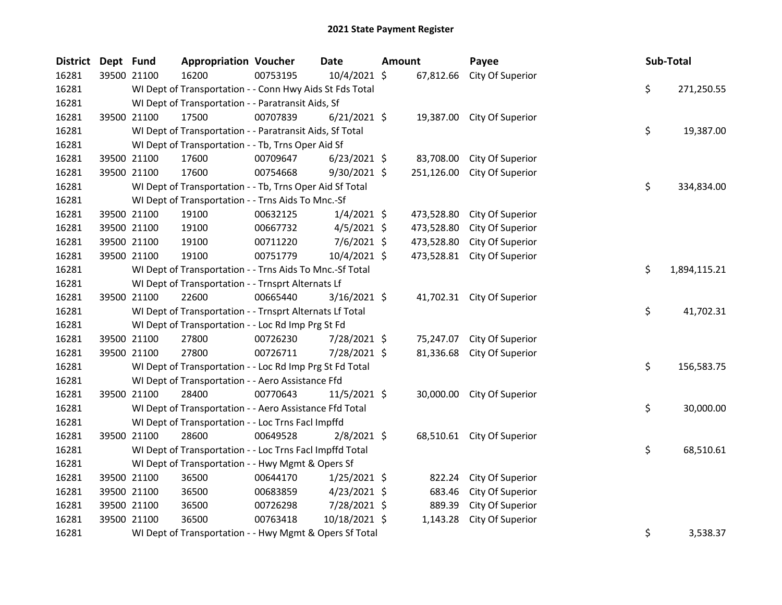| <b>District</b> | Dept Fund   |             | <b>Appropriation Voucher</b>                             |          | <b>Date</b>    | <b>Amount</b> |            | Payee                      | Sub-Total |              |
|-----------------|-------------|-------------|----------------------------------------------------------|----------|----------------|---------------|------------|----------------------------|-----------|--------------|
| 16281           |             | 39500 21100 | 16200                                                    | 00753195 | 10/4/2021 \$   |               | 67,812.66  | City Of Superior           |           |              |
| 16281           |             |             | WI Dept of Transportation - - Conn Hwy Aids St Fds Total |          |                |               |            |                            | \$        | 271,250.55   |
| 16281           |             |             | WI Dept of Transportation - - Paratransit Aids, Sf       |          |                |               |            |                            |           |              |
| 16281           |             | 39500 21100 | 17500                                                    | 00707839 | $6/21/2021$ \$ |               |            | 19,387.00 City Of Superior |           |              |
| 16281           |             |             | WI Dept of Transportation - - Paratransit Aids, Sf Total |          |                |               |            |                            | \$        | 19,387.00    |
| 16281           |             |             | WI Dept of Transportation - - Tb, Trns Oper Aid Sf       |          |                |               |            |                            |           |              |
| 16281           |             | 39500 21100 | 17600                                                    | 00709647 | $6/23/2021$ \$ |               | 83,708.00  | City Of Superior           |           |              |
| 16281           |             | 39500 21100 | 17600                                                    | 00754668 | $9/30/2021$ \$ |               | 251,126.00 | City Of Superior           |           |              |
| 16281           |             |             | WI Dept of Transportation - - Tb, Trns Oper Aid Sf Total |          |                |               |            |                            | \$        | 334,834.00   |
| 16281           |             |             | WI Dept of Transportation - - Trns Aids To Mnc.-Sf       |          |                |               |            |                            |           |              |
| 16281           |             | 39500 21100 | 19100                                                    | 00632125 | $1/4/2021$ \$  |               | 473,528.80 | City Of Superior           |           |              |
| 16281           |             | 39500 21100 | 19100                                                    | 00667732 | $4/5/2021$ \$  |               | 473,528.80 | City Of Superior           |           |              |
| 16281           |             | 39500 21100 | 19100                                                    | 00711220 | $7/6/2021$ \$  |               | 473,528.80 | City Of Superior           |           |              |
| 16281           |             | 39500 21100 | 19100                                                    | 00751779 | 10/4/2021 \$   |               | 473,528.81 | City Of Superior           |           |              |
| 16281           |             |             | WI Dept of Transportation - - Trns Aids To Mnc.-Sf Total |          |                |               |            |                            | \$        | 1,894,115.21 |
| 16281           |             |             | WI Dept of Transportation - - Trnsprt Alternats Lf       |          |                |               |            |                            |           |              |
| 16281           | 39500 21100 |             | 22600                                                    | 00665440 | $3/16/2021$ \$ |               |            | 41,702.31 City Of Superior |           |              |
| 16281           |             |             | WI Dept of Transportation - - Trnsprt Alternats Lf Total |          |                |               |            |                            | \$        | 41,702.31    |
| 16281           |             |             | WI Dept of Transportation - - Loc Rd Imp Prg St Fd       |          |                |               |            |                            |           |              |
| 16281           |             | 39500 21100 | 27800                                                    | 00726230 | 7/28/2021 \$   |               | 75,247.07  | City Of Superior           |           |              |
| 16281           |             | 39500 21100 | 27800                                                    | 00726711 | 7/28/2021 \$   |               | 81,336.68  | City Of Superior           |           |              |
| 16281           |             |             | WI Dept of Transportation - - Loc Rd Imp Prg St Fd Total |          |                |               |            |                            | \$        | 156,583.75   |
| 16281           |             |             | WI Dept of Transportation - - Aero Assistance Ffd        |          |                |               |            |                            |           |              |
| 16281           |             | 39500 21100 | 28400                                                    | 00770643 | 11/5/2021 \$   |               | 30,000.00  | City Of Superior           |           |              |
| 16281           |             |             | WI Dept of Transportation - - Aero Assistance Ffd Total  |          |                |               |            |                            | \$        | 30,000.00    |
| 16281           |             |             | WI Dept of Transportation - - Loc Trns Facl Impffd       |          |                |               |            |                            |           |              |
| 16281           |             | 39500 21100 | 28600                                                    | 00649528 | $2/8/2021$ \$  |               |            | 68,510.61 City Of Superior |           |              |
| 16281           |             |             | WI Dept of Transportation - - Loc Trns Facl Impffd Total |          |                |               |            |                            | \$        | 68,510.61    |
| 16281           |             |             | WI Dept of Transportation - - Hwy Mgmt & Opers Sf        |          |                |               |            |                            |           |              |
| 16281           |             | 39500 21100 | 36500                                                    | 00644170 | $1/25/2021$ \$ |               | 822.24     | City Of Superior           |           |              |
| 16281           |             | 39500 21100 | 36500                                                    | 00683859 | $4/23/2021$ \$ |               | 683.46     | City Of Superior           |           |              |
| 16281           |             | 39500 21100 | 36500                                                    | 00726298 | 7/28/2021 \$   |               | 889.39     | City Of Superior           |           |              |
| 16281           |             | 39500 21100 | 36500                                                    | 00763418 | 10/18/2021 \$  |               | 1,143.28   | City Of Superior           |           |              |
| 16281           |             |             | WI Dept of Transportation - - Hwy Mgmt & Opers Sf Total  |          |                |               |            |                            | \$        | 3,538.37     |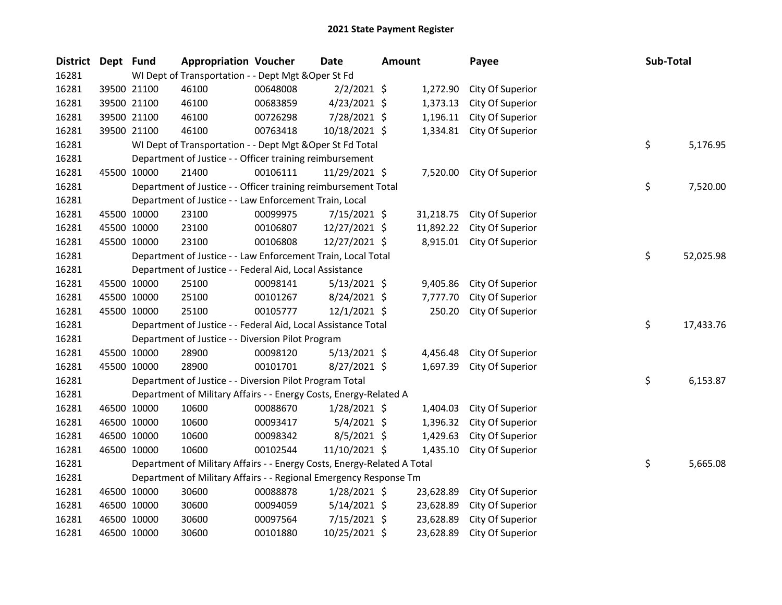| <b>District</b> | Dept Fund   |             | <b>Appropriation Voucher</b>                                            |          | <b>Date</b>    | <b>Amount</b> |           | Payee            | Sub-Total |           |
|-----------------|-------------|-------------|-------------------------------------------------------------------------|----------|----------------|---------------|-----------|------------------|-----------|-----------|
| 16281           |             |             | WI Dept of Transportation - - Dept Mgt & Oper St Fd                     |          |                |               |           |                  |           |           |
| 16281           |             | 39500 21100 | 46100                                                                   | 00648008 | $2/2/2021$ \$  |               | 1,272.90  | City Of Superior |           |           |
| 16281           |             | 39500 21100 | 46100                                                                   | 00683859 | $4/23/2021$ \$ |               | 1,373.13  | City Of Superior |           |           |
| 16281           |             | 39500 21100 | 46100                                                                   | 00726298 | 7/28/2021 \$   |               | 1,196.11  | City Of Superior |           |           |
| 16281           |             | 39500 21100 | 46100                                                                   | 00763418 | 10/18/2021 \$  |               | 1,334.81  | City Of Superior |           |           |
| 16281           |             |             | WI Dept of Transportation - - Dept Mgt & Oper St Fd Total               |          |                |               |           |                  | \$        | 5,176.95  |
| 16281           |             |             | Department of Justice - - Officer training reimbursement                |          |                |               |           |                  |           |           |
| 16281           |             | 45500 10000 | 21400                                                                   | 00106111 | 11/29/2021 \$  |               | 7,520.00  | City Of Superior |           |           |
| 16281           |             |             | Department of Justice - - Officer training reimbursement Total          |          |                |               |           |                  | \$        | 7,520.00  |
| 16281           |             |             | Department of Justice - - Law Enforcement Train, Local                  |          |                |               |           |                  |           |           |
| 16281           |             | 45500 10000 | 23100                                                                   | 00099975 | 7/15/2021 \$   |               | 31,218.75 | City Of Superior |           |           |
| 16281           |             | 45500 10000 | 23100                                                                   | 00106807 | 12/27/2021 \$  |               | 11,892.22 | City Of Superior |           |           |
| 16281           |             | 45500 10000 | 23100                                                                   | 00106808 | 12/27/2021 \$  |               | 8,915.01  | City Of Superior |           |           |
| 16281           |             |             | Department of Justice - - Law Enforcement Train, Local Total            |          |                |               |           |                  | \$        | 52,025.98 |
| 16281           |             |             | Department of Justice - - Federal Aid, Local Assistance                 |          |                |               |           |                  |           |           |
| 16281           |             | 45500 10000 | 25100                                                                   | 00098141 | $5/13/2021$ \$ |               | 9,405.86  | City Of Superior |           |           |
| 16281           |             | 45500 10000 | 25100                                                                   | 00101267 | 8/24/2021 \$   |               | 7,777.70  | City Of Superior |           |           |
| 16281           |             | 45500 10000 | 25100                                                                   | 00105777 | $12/1/2021$ \$ |               | 250.20    | City Of Superior |           |           |
| 16281           |             |             | Department of Justice - - Federal Aid, Local Assistance Total           |          |                |               |           |                  | \$        | 17,433.76 |
| 16281           |             |             | Department of Justice - - Diversion Pilot Program                       |          |                |               |           |                  |           |           |
| 16281           |             | 45500 10000 | 28900                                                                   | 00098120 | $5/13/2021$ \$ |               | 4,456.48  | City Of Superior |           |           |
| 16281           |             | 45500 10000 | 28900                                                                   | 00101701 | $8/27/2021$ \$ |               | 1,697.39  | City Of Superior |           |           |
| 16281           |             |             | Department of Justice - - Diversion Pilot Program Total                 |          |                |               |           |                  | \$        | 6,153.87  |
| 16281           |             |             | Department of Military Affairs - - Energy Costs, Energy-Related A       |          |                |               |           |                  |           |           |
| 16281           |             | 46500 10000 | 10600                                                                   | 00088670 | $1/28/2021$ \$ |               | 1,404.03  | City Of Superior |           |           |
| 16281           |             | 46500 10000 | 10600                                                                   | 00093417 | $5/4/2021$ \$  |               | 1,396.32  | City Of Superior |           |           |
| 16281           |             | 46500 10000 | 10600                                                                   | 00098342 | 8/5/2021 \$    |               | 1,429.63  | City Of Superior |           |           |
| 16281           |             | 46500 10000 | 10600                                                                   | 00102544 | 11/10/2021 \$  |               | 1,435.10  | City Of Superior |           |           |
| 16281           |             |             | Department of Military Affairs - - Energy Costs, Energy-Related A Total |          |                |               |           |                  | \$        | 5,665.08  |
| 16281           |             |             | Department of Military Affairs - - Regional Emergency Response Tm       |          |                |               |           |                  |           |           |
| 16281           |             | 46500 10000 | 30600                                                                   | 00088878 | 1/28/2021 \$   |               | 23,628.89 | City Of Superior |           |           |
| 16281           |             | 46500 10000 | 30600                                                                   | 00094059 | $5/14/2021$ \$ |               | 23,628.89 | City Of Superior |           |           |
| 16281           |             | 46500 10000 | 30600                                                                   | 00097564 | 7/15/2021 \$   |               | 23,628.89 | City Of Superior |           |           |
| 16281           | 46500 10000 |             | 30600                                                                   | 00101880 | 10/25/2021 \$  |               | 23,628.89 | City Of Superior |           |           |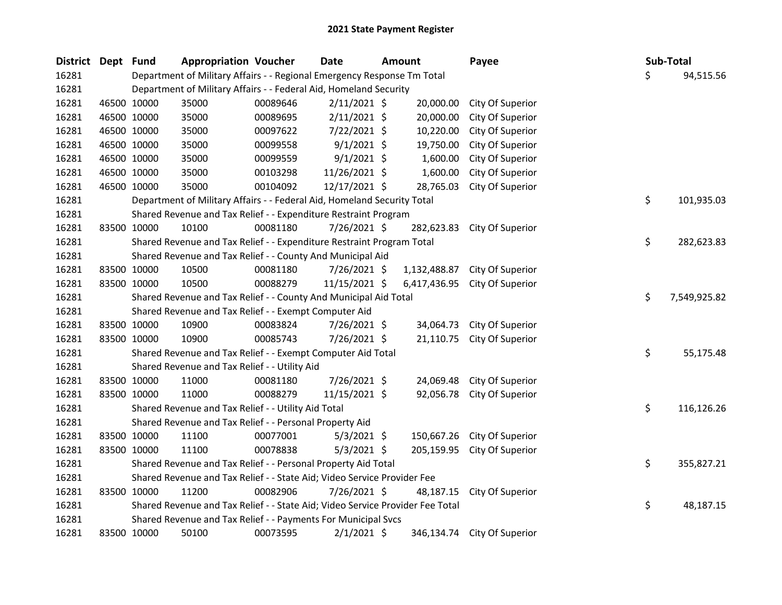| District Dept Fund |             | <b>Appropriation Voucher</b>                                                  |          | <b>Date</b>    | Amount       | Payee                       |    | <b>Sub-Total</b> |
|--------------------|-------------|-------------------------------------------------------------------------------|----------|----------------|--------------|-----------------------------|----|------------------|
| 16281              |             | Department of Military Affairs - - Regional Emergency Response Tm Total       |          |                |              |                             | \$ | 94,515.56        |
| 16281              |             | Department of Military Affairs - - Federal Aid, Homeland Security             |          |                |              |                             |    |                  |
| 16281              | 46500 10000 | 35000                                                                         | 00089646 | $2/11/2021$ \$ | 20,000.00    | City Of Superior            |    |                  |
| 16281              | 46500 10000 | 35000                                                                         | 00089695 | $2/11/2021$ \$ | 20,000.00    | City Of Superior            |    |                  |
| 16281              | 46500 10000 | 35000                                                                         | 00097622 | 7/22/2021 \$   | 10,220.00    | City Of Superior            |    |                  |
| 16281              | 46500 10000 | 35000                                                                         | 00099558 | $9/1/2021$ \$  | 19,750.00    | City Of Superior            |    |                  |
| 16281              | 46500 10000 | 35000                                                                         | 00099559 | $9/1/2021$ \$  | 1,600.00     | City Of Superior            |    |                  |
| 16281              | 46500 10000 | 35000                                                                         | 00103298 | 11/26/2021 \$  | 1,600.00     | City Of Superior            |    |                  |
| 16281              | 46500 10000 | 35000                                                                         | 00104092 | 12/17/2021 \$  | 28,765.03    | City Of Superior            |    |                  |
| 16281              |             | Department of Military Affairs - - Federal Aid, Homeland Security Total       |          |                |              |                             | \$ | 101,935.03       |
| 16281              |             | Shared Revenue and Tax Relief - - Expenditure Restraint Program               |          |                |              |                             |    |                  |
| 16281              | 83500 10000 | 10100                                                                         | 00081180 | 7/26/2021 \$   | 282,623.83   | City Of Superior            |    |                  |
| 16281              |             | Shared Revenue and Tax Relief - - Expenditure Restraint Program Total         |          |                |              |                             | \$ | 282,623.83       |
| 16281              |             | Shared Revenue and Tax Relief - - County And Municipal Aid                    |          |                |              |                             |    |                  |
| 16281              | 83500 10000 | 10500                                                                         | 00081180 | 7/26/2021 \$   | 1,132,488.87 | City Of Superior            |    |                  |
| 16281              | 83500 10000 | 10500                                                                         | 00088279 | 11/15/2021 \$  | 6,417,436.95 | City Of Superior            |    |                  |
| 16281              |             | Shared Revenue and Tax Relief - - County And Municipal Aid Total              |          |                |              |                             | \$ | 7,549,925.82     |
| 16281              |             | Shared Revenue and Tax Relief - - Exempt Computer Aid                         |          |                |              |                             |    |                  |
| 16281              | 83500 10000 | 10900                                                                         | 00083824 | $7/26/2021$ \$ | 34,064.73    | City Of Superior            |    |                  |
| 16281              | 83500 10000 | 10900                                                                         | 00085743 | 7/26/2021 \$   | 21,110.75    | City Of Superior            |    |                  |
| 16281              |             | Shared Revenue and Tax Relief - - Exempt Computer Aid Total                   |          |                |              |                             | \$ | 55,175.48        |
| 16281              |             | Shared Revenue and Tax Relief - - Utility Aid                                 |          |                |              |                             |    |                  |
| 16281              | 83500 10000 | 11000                                                                         | 00081180 | 7/26/2021 \$   | 24,069.48    | City Of Superior            |    |                  |
| 16281              | 83500 10000 | 11000                                                                         | 00088279 | 11/15/2021 \$  | 92,056.78    | City Of Superior            |    |                  |
| 16281              |             | Shared Revenue and Tax Relief - - Utility Aid Total                           |          |                |              |                             | \$ | 116,126.26       |
| 16281              |             | Shared Revenue and Tax Relief - - Personal Property Aid                       |          |                |              |                             |    |                  |
| 16281              | 83500 10000 | 11100                                                                         | 00077001 | $5/3/2021$ \$  | 150,667.26   | City Of Superior            |    |                  |
| 16281              | 83500 10000 | 11100                                                                         | 00078838 | $5/3/2021$ \$  | 205,159.95   | City Of Superior            |    |                  |
| 16281              |             | Shared Revenue and Tax Relief - - Personal Property Aid Total                 |          |                |              |                             | \$ | 355,827.21       |
| 16281              |             | Shared Revenue and Tax Relief - - State Aid; Video Service Provider Fee       |          |                |              |                             |    |                  |
| 16281              | 83500 10000 | 11200                                                                         | 00082906 | 7/26/2021 \$   | 48,187.15    | City Of Superior            |    |                  |
| 16281              |             | Shared Revenue and Tax Relief - - State Aid; Video Service Provider Fee Total |          |                |              |                             | \$ | 48,187.15        |
| 16281              |             | Shared Revenue and Tax Relief - - Payments For Municipal Svcs                 |          |                |              |                             |    |                  |
| 16281              | 83500 10000 | 50100                                                                         | 00073595 | $2/1/2021$ \$  |              | 346,134.74 City Of Superior |    |                  |